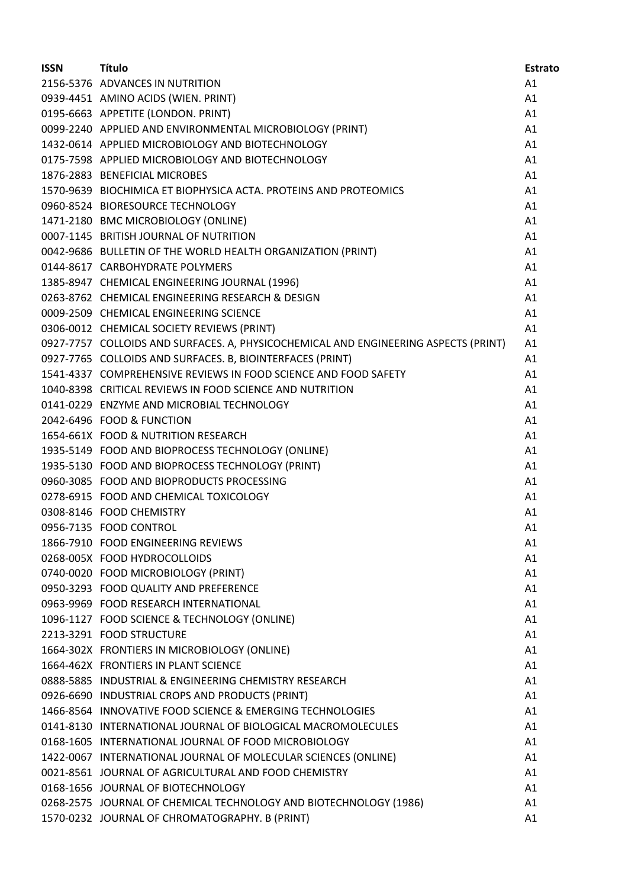| <b>ISSN</b> | <b>Título</b>                                                                       | <b>Estrato</b> |
|-------------|-------------------------------------------------------------------------------------|----------------|
|             | 2156-5376 ADVANCES IN NUTRITION                                                     | A1             |
|             | 0939-4451 AMINO ACIDS (WIEN. PRINT)                                                 | A1             |
|             | 0195-6663 APPETITE (LONDON. PRINT)                                                  | A1             |
|             | 0099-2240 APPLIED AND ENVIRONMENTAL MICROBIOLOGY (PRINT)                            | A1             |
|             | 1432-0614 APPLIED MICROBIOLOGY AND BIOTECHNOLOGY                                    | A1             |
|             | 0175-7598 APPLIED MICROBIOLOGY AND BIOTECHNOLOGY                                    | A1             |
|             | 1876-2883 BENEFICIAL MICROBES                                                       | A1             |
|             | 1570-9639 BIOCHIMICA ET BIOPHYSICA ACTA. PROTEINS AND PROTEOMICS                    | A1             |
|             | 0960-8524 BIORESOURCE TECHNOLOGY                                                    | A1             |
|             | 1471-2180 BMC MICROBIOLOGY (ONLINE)                                                 | A1             |
|             | 0007-1145 BRITISH JOURNAL OF NUTRITION                                              | A1             |
|             | 0042-9686 BULLETIN OF THE WORLD HEALTH ORGANIZATION (PRINT)                         | A1             |
|             | 0144-8617 CARBOHYDRATE POLYMERS                                                     | A1             |
|             | 1385-8947 CHEMICAL ENGINEERING JOURNAL (1996)                                       | A1             |
|             | 0263-8762 CHEMICAL ENGINEERING RESEARCH & DESIGN                                    | A1             |
|             | 0009-2509 CHEMICAL ENGINEERING SCIENCE                                              | A1             |
|             | 0306-0012 CHEMICAL SOCIETY REVIEWS (PRINT)                                          | A1             |
|             | 0927-7757 COLLOIDS AND SURFACES. A, PHYSICOCHEMICAL AND ENGINEERING ASPECTS (PRINT) | A1             |
|             | 0927-7765 COLLOIDS AND SURFACES. B, BIOINTERFACES (PRINT)                           | A1             |
|             | 1541-4337 COMPREHENSIVE REVIEWS IN FOOD SCIENCE AND FOOD SAFETY                     | A1             |
|             | 1040-8398 CRITICAL REVIEWS IN FOOD SCIENCE AND NUTRITION                            | A1             |
|             | 0141-0229 ENZYME AND MICROBIAL TECHNOLOGY                                           | A1             |
|             | 2042-6496 FOOD & FUNCTION                                                           | A1             |
|             | 1654-661X FOOD & NUTRITION RESEARCH                                                 | A1             |
|             | 1935-5149 FOOD AND BIOPROCESS TECHNOLOGY (ONLINE)                                   | A1             |
|             | 1935-5130 FOOD AND BIOPROCESS TECHNOLOGY (PRINT)                                    | A1             |
|             | 0960-3085 FOOD AND BIOPRODUCTS PROCESSING                                           | A1             |
|             | 0278-6915 FOOD AND CHEMICAL TOXICOLOGY                                              | A1             |
|             | 0308-8146 FOOD CHEMISTRY                                                            | A1             |
|             | 0956-7135 FOOD CONTROL                                                              | A1             |
|             | 1866-7910 FOOD ENGINEERING REVIEWS                                                  | A1             |
|             | 0268-005X FOOD HYDROCOLLOIDS                                                        | A1             |
|             | 0740-0020 FOOD MICROBIOLOGY (PRINT)                                                 | A1             |
|             | 0950-3293 FOOD QUALITY AND PREFERENCE                                               | A1             |
|             | 0963-9969 FOOD RESEARCH INTERNATIONAL                                               | A1             |
|             | 1096-1127 FOOD SCIENCE & TECHNOLOGY (ONLINE)                                        | A1             |
|             | 2213-3291 FOOD STRUCTURE                                                            | A1             |
|             | 1664-302X FRONTIERS IN MICROBIOLOGY (ONLINE)                                        | A1             |
|             | 1664-462X FRONTIERS IN PLANT SCIENCE                                                | A1             |
|             | 0888-5885 INDUSTRIAL & ENGINEERING CHEMISTRY RESEARCH                               | A1             |
|             | 0926-6690 INDUSTRIAL CROPS AND PRODUCTS (PRINT)                                     | A1             |
|             | 1466-8564 INNOVATIVE FOOD SCIENCE & EMERGING TECHNOLOGIES                           | A1             |
|             | 0141-8130 INTERNATIONAL JOURNAL OF BIOLOGICAL MACROMOLECULES                        | A1             |
|             | 0168-1605 INTERNATIONAL JOURNAL OF FOOD MICROBIOLOGY                                | A1             |
|             | 1422-0067 INTERNATIONAL JOURNAL OF MOLECULAR SCIENCES (ONLINE)                      | A1             |
|             | 0021-8561 JOURNAL OF AGRICULTURAL AND FOOD CHEMISTRY                                | A1             |
|             | 0168-1656 JOURNAL OF BIOTECHNOLOGY                                                  | A1             |
|             | 0268-2575 JOURNAL OF CHEMICAL TECHNOLOGY AND BIOTECHNOLOGY (1986)                   | A1             |
|             | 1570-0232 JOURNAL OF CHROMATOGRAPHY. B (PRINT)                                      | A1             |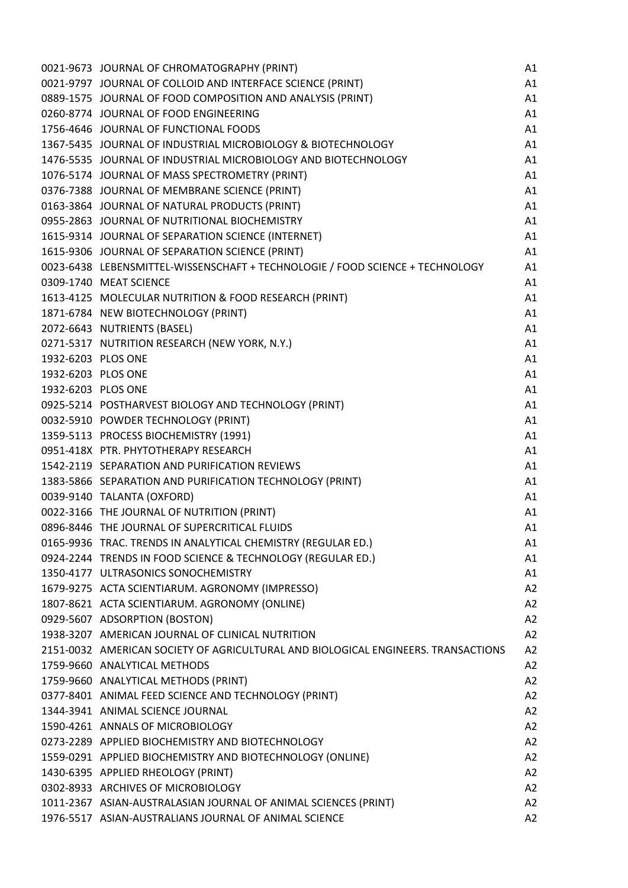|                    | 0021-9673 JOURNAL OF CHROMATOGRAPHY (PRINT)                                       | A1 |
|--------------------|-----------------------------------------------------------------------------------|----|
|                    | 0021-9797 JOURNAL OF COLLOID AND INTERFACE SCIENCE (PRINT)                        | A1 |
|                    | 0889-1575 JOURNAL OF FOOD COMPOSITION AND ANALYSIS (PRINT)                        | A1 |
|                    | 0260-8774 JOURNAL OF FOOD ENGINEERING                                             | A1 |
|                    | 1756-4646 JOURNAL OF FUNCTIONAL FOODS                                             | A1 |
|                    | 1367-5435 JOURNAL OF INDUSTRIAL MICROBIOLOGY & BIOTECHNOLOGY                      | A1 |
|                    | 1476-5535 JOURNAL OF INDUSTRIAL MICROBIOLOGY AND BIOTECHNOLOGY                    | A1 |
|                    | 1076-5174 JOURNAL OF MASS SPECTROMETRY (PRINT)                                    | A1 |
|                    | 0376-7388 JOURNAL OF MEMBRANE SCIENCE (PRINT)                                     | A1 |
|                    | 0163-3864 JOURNAL OF NATURAL PRODUCTS (PRINT)                                     | A1 |
|                    | 0955-2863 JOURNAL OF NUTRITIONAL BIOCHEMISTRY                                     | A1 |
|                    | 1615-9314 JOURNAL OF SEPARATION SCIENCE (INTERNET)                                | A1 |
|                    | 1615-9306 JOURNAL OF SEPARATION SCIENCE (PRINT)                                   | A1 |
|                    | 0023-6438 LEBENSMITTEL-WISSENSCHAFT + TECHNOLOGIE / FOOD SCIENCE + TECHNOLOGY     | A1 |
|                    | 0309-1740 MEAT SCIENCE                                                            | A1 |
|                    | 1613-4125 MOLECULAR NUTRITION & FOOD RESEARCH (PRINT)                             | A1 |
|                    | 1871-6784 NEW BIOTECHNOLOGY (PRINT)                                               | A1 |
|                    | 2072-6643 NUTRIENTS (BASEL)                                                       | A1 |
|                    | 0271-5317 NUTRITION RESEARCH (NEW YORK, N.Y.)                                     | A1 |
| 1932-6203 PLOS ONE |                                                                                   | A1 |
| 1932-6203 PLOS ONE |                                                                                   | A1 |
| 1932-6203 PLOS ONE |                                                                                   | A1 |
|                    | 0925-5214 POSTHARVEST BIOLOGY AND TECHNOLOGY (PRINT)                              | A1 |
|                    | 0032-5910 POWDER TECHNOLOGY (PRINT)                                               | A1 |
|                    | 1359-5113 PROCESS BIOCHEMISTRY (1991)                                             | A1 |
|                    | 0951-418X PTR. PHYTOTHERAPY RESEARCH                                              | A1 |
|                    | 1542-2119 SEPARATION AND PURIFICATION REVIEWS                                     | A1 |
|                    | 1383-5866 SEPARATION AND PURIFICATION TECHNOLOGY (PRINT)                          | A1 |
|                    | 0039-9140 TALANTA (OXFORD)                                                        | A1 |
|                    | 0022-3166 THE JOURNAL OF NUTRITION (PRINT)                                        | A1 |
|                    | 0896-8446 THE JOURNAL OF SUPERCRITICAL FLUIDS                                     | A1 |
|                    | 0165-9936 TRAC. TRENDS IN ANALYTICAL CHEMISTRY (REGULAR ED.)                      | A1 |
|                    | 0924-2244 TRENDS IN FOOD SCIENCE & TECHNOLOGY (REGULAR ED.)                       | A1 |
|                    | 1350-4177 ULTRASONICS SONOCHEMISTRY                                               | A1 |
|                    | 1679-9275 ACTA SCIENTIARUM. AGRONOMY (IMPRESSO)                                   | A2 |
|                    | 1807-8621 ACTA SCIENTIARUM. AGRONOMY (ONLINE)                                     | A2 |
|                    | 0929-5607 ADSORPTION (BOSTON)                                                     | A2 |
|                    | 1938-3207 AMERICAN JOURNAL OF CLINICAL NUTRITION                                  | A2 |
|                    | 2151-0032 AMERICAN SOCIETY OF AGRICULTURAL AND BIOLOGICAL ENGINEERS. TRANSACTIONS | A2 |
|                    | 1759-9660 ANALYTICAL METHODS                                                      | A2 |
|                    | 1759-9660 ANALYTICAL METHODS (PRINT)                                              | A2 |
|                    | 0377-8401 ANIMAL FEED SCIENCE AND TECHNOLOGY (PRINT)                              | A2 |
|                    | 1344-3941 ANIMAL SCIENCE JOURNAL                                                  | A2 |
|                    | 1590-4261 ANNALS OF MICROBIOLOGY                                                  | A2 |
|                    | 0273-2289 APPLIED BIOCHEMISTRY AND BIOTECHNOLOGY                                  | A2 |
|                    | 1559-0291 APPLIED BIOCHEMISTRY AND BIOTECHNOLOGY (ONLINE)                         | A2 |
|                    | 1430-6395 APPLIED RHEOLOGY (PRINT)                                                | A2 |
|                    | 0302-8933 ARCHIVES OF MICROBIOLOGY                                                | A2 |
|                    | 1011-2367 ASIAN-AUSTRALASIAN JOURNAL OF ANIMAL SCIENCES (PRINT)                   | A2 |
|                    | 1976-5517 ASIAN-AUSTRALIANS JOURNAL OF ANIMAL SCIENCE                             | A2 |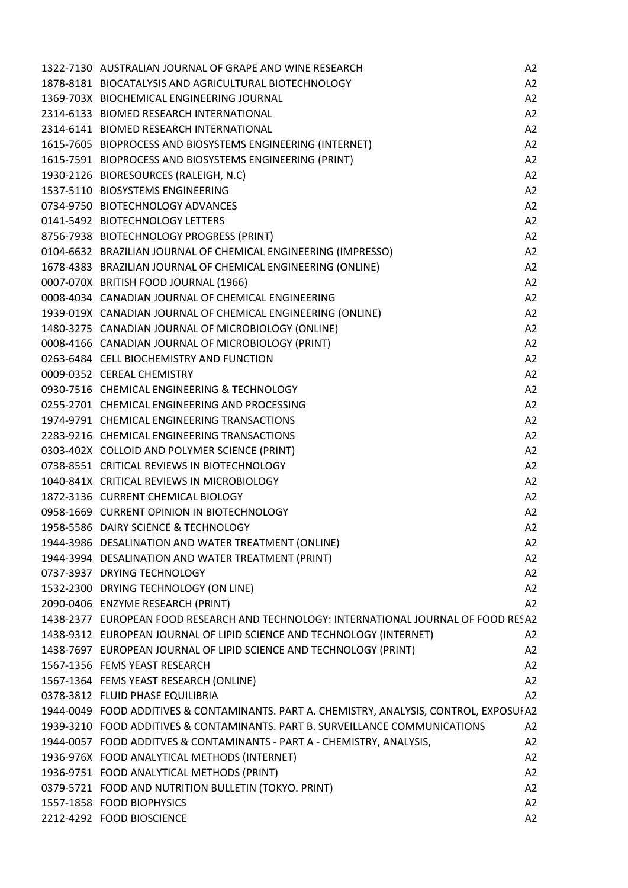| 1322-7130 AUSTRALIAN JOURNAL OF GRAPE AND WINE RESEARCH                                                                                       | A2             |
|-----------------------------------------------------------------------------------------------------------------------------------------------|----------------|
| 1878-8181 BIOCATALYSIS AND AGRICULTURAL BIOTECHNOLOGY                                                                                         | A2             |
| 1369-703X BIOCHEMICAL ENGINEERING JOURNAL                                                                                                     | A2             |
| 2314-6133 BIOMED RESEARCH INTERNATIONAL                                                                                                       | A2             |
| 2314-6141 BIOMED RESEARCH INTERNATIONAL                                                                                                       | A2             |
| 1615-7605 BIOPROCESS AND BIOSYSTEMS ENGINEERING (INTERNET)                                                                                    | A2             |
| 1615-7591 BIOPROCESS AND BIOSYSTEMS ENGINEERING (PRINT)                                                                                       | A2             |
| 1930-2126 BIORESOURCES (RALEIGH, N.C)                                                                                                         | A2             |
| 1537-5110 BIOSYSTEMS ENGINEERING                                                                                                              | A2             |
| 0734-9750 BIOTECHNOLOGY ADVANCES                                                                                                              | A2             |
| 0141-5492 BIOTECHNOLOGY LETTERS                                                                                                               | A2             |
| 0141-5492 BIOTECHNOLOGY LETTERS<br>8756-7938 BIOTECHNOLOGY PROGRESS (PRINT)<br>0104-6632 BRAZILIAN JOURNAL OF CHEMICAL ENGINEERING (IMPRESSO) | A2             |
|                                                                                                                                               | A2             |
| 1678-4383 BRAZILIAN JOURNAL OF CHEMICAL ENGINEERING (ONLINE)                                                                                  | A2             |
| 0007-070X BRITISH FOOD JOURNAL (1966)                                                                                                         | A2             |
| 0008-4034 CANADIAN JOURNAL OF CHEMICAL ENGINEERING                                                                                            | A2             |
| 1939-019X CANADIAN JOURNAL OF CHEMICAL ENGINEERING (ONLINE)                                                                                   | A2             |
| 1480-3275 CANADIAN JOURNAL OF MICROBIOLOGY (ONLINE)                                                                                           | A2             |
| 0008-4166 CANADIAN JOURNAL OF MICROBIOLOGY (PRINT)                                                                                            | A2             |
| 0263-6484 CELL BIOCHEMISTRY AND FUNCTION                                                                                                      | A2             |
| 0009-0352 CEREAL CHEMISTRY                                                                                                                    | A2             |
| 0930-7516 CHEMICAL ENGINEERING & TECHNOLOGY                                                                                                   | A2             |
| 0255-2701 CHEMICAL ENGINEERING AND PROCESSING                                                                                                 | A2             |
| 1974-9791 CHEMICAL ENGINEERING TRANSACTIONS                                                                                                   | A2             |
| 2283-9216 CHEMICAL ENGINEERING TRANSACTIONS                                                                                                   | A2             |
| 0303-402X COLLOID AND POLYMER SCIENCE (PRINT)                                                                                                 | A2             |
| 0738-8551 CRITICAL REVIEWS IN BIOTECHNOLOGY                                                                                                   | A2             |
| 1040-841X CRITICAL REVIEWS IN MICROBIOLOGY                                                                                                    | A2             |
| 1872-3136 CURRENT CHEMICAL BIOLOGY                                                                                                            | A2             |
| 0958-1669 CURRENT OPINION IN BIOTECHNOLOGY                                                                                                    | A2             |
| 1958-5586 DAIRY SCIENCE & TECHNOLOGY                                                                                                          | A2             |
| 1944-3986 DESALINATION AND WATER TREATMENT (ONLINE)                                                                                           | A <sub>2</sub> |
| 1944-3994 DESALINATION AND WATER TREATMENT (PRINT)                                                                                            | A2             |
| 0737-3937 DRYING TECHNOLOGY                                                                                                                   | A2             |
| 1532-2300 DRYING TECHNOLOGY (ON LINE)                                                                                                         | A2             |
| 2090-0406 ENZYME RESEARCH (PRINT)                                                                                                             | A2             |
| 1438-2377 EUROPEAN FOOD RESEARCH AND TECHNOLOGY: INTERNATIONAL JOURNAL OF FOOD RESA2                                                          |                |
| 1438-9312 EUROPEAN JOURNAL OF LIPID SCIENCE AND TECHNOLOGY (INTERNET)                                                                         | A2             |
| 1438-7697 EUROPEAN JOURNAL OF LIPID SCIENCE AND TECHNOLOGY (PRINT)                                                                            | A2             |
| 1567-1356 FEMS YEAST RESEARCH                                                                                                                 | A2             |
| 1567-1364 FEMS YEAST RESEARCH (ONLINE)                                                                                                        | A2             |
| 0378-3812 FLUID PHASE EQUILIBRIA                                                                                                              | A2             |
| 1944-0049 FOOD ADDITIVES & CONTAMINANTS. PART A. CHEMISTRY, ANALYSIS, CONTROL, EXPOSUIA2                                                      |                |
| 1939-3210 FOOD ADDITIVES & CONTAMINANTS. PART B. SURVEILLANCE COMMUNICATIONS                                                                  | A2             |
| 1944-0057 FOOD ADDITVES & CONTAMINANTS - PART A - CHEMISTRY, ANALYSIS,                                                                        | A2             |
| 1936-976X FOOD ANALYTICAL METHODS (INTERNET)                                                                                                  | A2             |
| 1936-9751 FOOD ANALYTICAL METHODS (PRINT)                                                                                                     | A2             |
| 0379-5721 FOOD AND NUTRITION BULLETIN (TOKYO. PRINT)                                                                                          | A2             |
| 1557-1858 FOOD BIOPHYSICS                                                                                                                     | A2             |
| 2212-4292 FOOD BIOSCIENCE                                                                                                                     | A2             |
|                                                                                                                                               |                |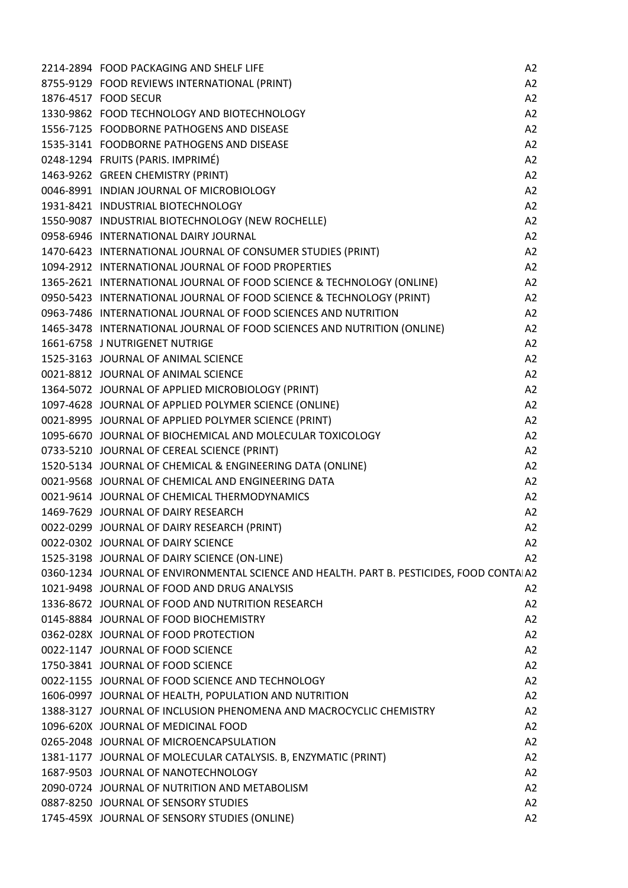| 2214-2894 FOOD PACKAGING AND SHELF LIFE                                                  | A2             |
|------------------------------------------------------------------------------------------|----------------|
| 8755-9129 FOOD REVIEWS INTERNATIONAL (PRINT)                                             | A2             |
| 1876-4517 FOOD SECUR                                                                     | A2             |
| 1330-9862 FOOD TECHNOLOGY AND BIOTECHNOLOGY                                              | A2             |
| 1556-7125 FOODBORNE PATHOGENS AND DISEASE                                                | A2             |
| 1535-3141 FOODBORNE PATHOGENS AND DISEASE                                                | A2             |
| 0248-1294 FRUITS (PARIS. IMPRIMÉ)                                                        | A2             |
| 1463-9262 GREEN CHEMISTRY (PRINT)                                                        | A2             |
| 0046-8991 INDIAN JOURNAL OF MICROBIOLOGY                                                 | A2             |
| 1931-8421 INDUSTRIAL BIOTECHNOLOGY                                                       | A2             |
| 1550-9087 INDUSTRIAL BIOTECHNOLOGY (NEW ROCHELLE)                                        | A2             |
| 0958-6946 INTERNATIONAL DAIRY JOURNAL                                                    | A2             |
| 1470-6423 INTERNATIONAL JOURNAL OF CONSUMER STUDIES (PRINT)                              | A2             |
| 1094-2912 INTERNATIONAL JOURNAL OF FOOD PROPERTIES                                       | A2             |
| 1365-2621 INTERNATIONAL JOURNAL OF FOOD SCIENCE & TECHNOLOGY (ONLINE) A2                 |                |
| 0950-5423 INTERNATIONAL JOURNAL OF FOOD SCIENCE & TECHNOLOGY (PRINT)                     | A2             |
| 0963-7486 INTERNATIONAL JOURNAL OF FOOD SCIENCES AND NUTRITION                           | A2             |
| 1465-3478 INTERNATIONAL JOURNAL OF FOOD SCIENCES AND NUTRITION (ONLINE)                  | A2             |
| 1661-6758 J NUTRIGENET NUTRIGE                                                           | A2             |
| 1525-3163 JOURNAL OF ANIMAL SCIENCE                                                      | A2             |
| 0021-8812 JOURNAL OF ANIMAL SCIENCE                                                      | A2             |
| 1364-5072 JOURNAL OF APPLIED MICROBIOLOGY (PRINT)                                        | A2             |
| 1097-4628 JOURNAL OF APPLIED POLYMER SCIENCE (ONLINE)                                    | A2             |
| 0021-8995 JOURNAL OF APPLIED POLYMER SCIENCE (PRINT)                                     | A2             |
| 1095-6670 JOURNAL OF BIOCHEMICAL AND MOLECULAR TOXICOLOGY                                | A2             |
| 0733-5210 JOURNAL OF CEREAL SCIENCE (PRINT)                                              | A2             |
| 1520-5134 JOURNAL OF CHEMICAL & ENGINEERING DATA (ONLINE)                                | A2             |
| 0021-9568 JOURNAL OF CHEMICAL AND ENGINEERING DATA                                       | A2             |
| 0021-9614 JOURNAL OF CHEMICAL THERMODYNAMICS                                             | A2             |
| 1469-7629 JOURNAL OF DAIRY RESEARCH                                                      | A2             |
| 0022-0299 JOURNAL OF DAIRY RESEARCH (PRINT)                                              | A2             |
| 0022-0302 JOURNAL OF DAIRY SCIENCE                                                       | A <sub>2</sub> |
| 1525-3198 JOURNAL OF DAIRY SCIENCE (ON-LINE)                                             | A2             |
| 0360-1234 JOURNAL OF ENVIRONMENTAL SCIENCE AND HEALTH. PART B. PESTICIDES, FOOD CONTAIA2 |                |
| 1021-9498 JOURNAL OF FOOD AND DRUG ANALYSIS                                              | A2             |
| 1336-8672 JOURNAL OF FOOD AND NUTRITION RESEARCH                                         | A2             |
| 0145-8884 JOURNAL OF FOOD BIOCHEMISTRY                                                   | A2             |
| 0362-028X JOURNAL OF FOOD PROTECTION                                                     | A2             |
| 0022-1147 JOURNAL OF FOOD SCIENCE                                                        | A2             |
| 1750-3841 JOURNAL OF FOOD SCIENCE                                                        | A2             |
| 0022-1155 JOURNAL OF FOOD SCIENCE AND TECHNOLOGY                                         | A2             |
| 1606-0997 JOURNAL OF HEALTH, POPULATION AND NUTRITION                                    | A2             |
| 1388-3127 JOURNAL OF INCLUSION PHENOMENA AND MACROCYCLIC CHEMISTRY                       | A2             |
| 1096-620X JOURNAL OF MEDICINAL FOOD                                                      | A2             |
| 0265-2048 JOURNAL OF MICROENCAPSULATION                                                  | A2             |
| 1381-1177 JOURNAL OF MOLECULAR CATALYSIS. B, ENZYMATIC (PRINT)                           | A2             |
| 1687-9503 JOURNAL OF NANOTECHNOLOGY                                                      | A2             |
| 2090-0724 JOURNAL OF NUTRITION AND METABOLISM                                            | A2             |
| 0887-8250 JOURNAL OF SENSORY STUDIES                                                     | A2             |
| 1745-459X JOURNAL OF SENSORY STUDIES (ONLINE)                                            | A2             |
|                                                                                          |                |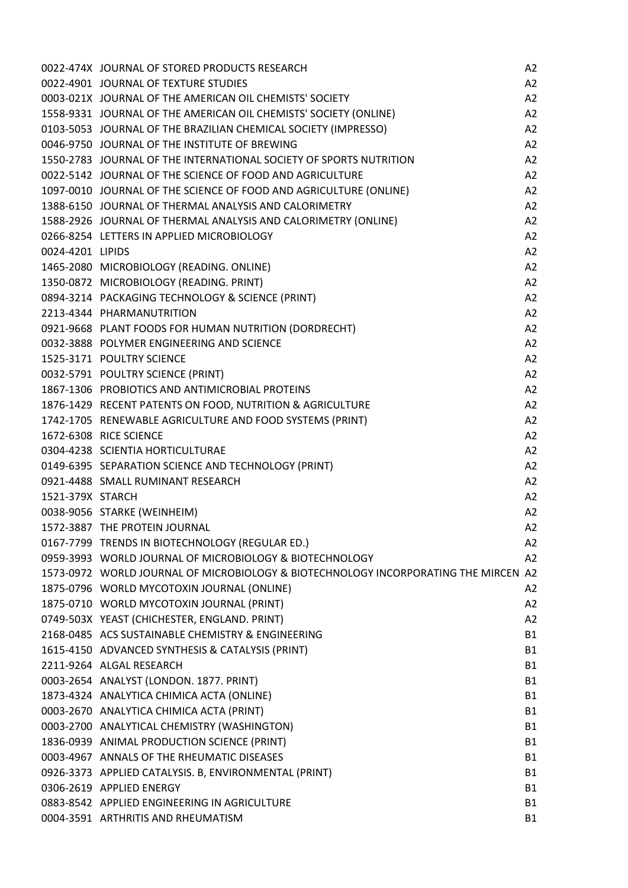|                  | 0022-474X JOURNAL OF STORED PRODUCTS RESEARCH                                       | A <sub>2</sub> |
|------------------|-------------------------------------------------------------------------------------|----------------|
|                  | 0022-4901 JOURNAL OF TEXTURE STUDIES                                                | A2             |
|                  | 0003-021X JOURNAL OF THE AMERICAN OIL CHEMISTS' SOCIETY                             | A2             |
|                  | 1558-9331 JOURNAL OF THE AMERICAN OIL CHEMISTS' SOCIETY (ONLINE)                    | A2             |
|                  | 0103-5053 JOURNAL OF THE BRAZILIAN CHEMICAL SOCIETY (IMPRESSO)                      | A2             |
|                  | 0046-9750 JOURNAL OF THE INSTITUTE OF BREWING                                       | A2             |
|                  | 1550-2783 JOURNAL OF THE INTERNATIONAL SOCIETY OF SPORTS NUTRITION                  | A2             |
|                  | 0022-5142 JOURNAL OF THE SCIENCE OF FOOD AND AGRICULTURE                            | A2             |
|                  | 1097-0010 JOURNAL OF THE SCIENCE OF FOOD AND AGRICULTURE (ONLINE)                   | A2             |
|                  | 1388-6150 JOURNAL OF THERMAL ANALYSIS AND CALORIMETRY                               | A2             |
|                  | 1588-2926 JOURNAL OF THERMAL ANALYSIS AND CALORIMETRY (ONLINE)                      | A2             |
|                  | 0266-8254 LETTERS IN APPLIED MICROBIOLOGY                                           | A2             |
| 0024-4201 LIPIDS |                                                                                     | A2             |
|                  | 1465-2080 MICROBIOLOGY (READING. ONLINE)                                            | A2             |
|                  | 1350-0872 MICROBIOLOGY (READING. PRINT)                                             | A2             |
|                  | 0894-3214 PACKAGING TECHNOLOGY & SCIENCE (PRINT)                                    |                |
|                  |                                                                                     | A2             |
|                  | 2213-4344 PHARMANUTRITION                                                           | A2             |
|                  | 0921-9668 PLANT FOODS FOR HUMAN NUTRITION (DORDRECHT)                               | A2             |
|                  | 0032-3888 POLYMER ENGINEERING AND SCIENCE                                           | A2             |
|                  | 1525-3171 POULTRY SCIENCE                                                           | A2             |
|                  | 0032-5791 POULTRY SCIENCE (PRINT)                                                   | A2             |
|                  | 1867-1306 PROBIOTICS AND ANTIMICROBIAL PROTEINS                                     | A2             |
|                  | 1876-1429 RECENT PATENTS ON FOOD, NUTRITION & AGRICULTURE                           | A2             |
|                  | 1742-1705 RENEWABLE AGRICULTURE AND FOOD SYSTEMS (PRINT)                            | A2             |
|                  | 1672-6308 RICE SCIENCE                                                              | A2             |
|                  | 0304-4238 SCIENTIA HORTICULTURAE                                                    | A2             |
|                  | 0149-6395 SEPARATION SCIENCE AND TECHNOLOGY (PRINT)                                 | A2             |
|                  | 0921-4488 SMALL RUMINANT RESEARCH                                                   | A2             |
| 1521-379X STARCH |                                                                                     | A2             |
|                  | 0038-9056 STARKE (WEINHEIM)                                                         | A2             |
|                  | 1572-3887 THE PROTEIN JOURNAL                                                       | A2             |
|                  | 0167-7799 TRENDS IN BIOTECHNOLOGY (REGULAR ED.)                                     | A <sub>2</sub> |
|                  | 0959-3993 WORLD JOURNAL OF MICROBIOLOGY & BIOTECHNOLOGY                             | A2             |
|                  | 1573-0972 WORLD JOURNAL OF MICROBIOLOGY & BIOTECHNOLOGY INCORPORATING THE MIRCEN A2 |                |
|                  | 1875-0796 WORLD MYCOTOXIN JOURNAL (ONLINE)                                          | A <sub>2</sub> |
|                  | 1875-0710 WORLD MYCOTOXIN JOURNAL (PRINT)                                           | A2             |
|                  | 0749-503X YEAST (CHICHESTER, ENGLAND. PRINT)                                        | A2             |
|                  | 2168-0485 ACS SUSTAINABLE CHEMISTRY & ENGINEERING                                   | <b>B1</b>      |
|                  | 1615-4150 ADVANCED SYNTHESIS & CATALYSIS (PRINT)                                    | <b>B1</b>      |
|                  | 2211-9264 ALGAL RESEARCH                                                            | <b>B1</b>      |
|                  | 0003-2654 ANALYST (LONDON. 1877. PRINT)                                             | <b>B1</b>      |
|                  | 1873-4324 ANALYTICA CHIMICA ACTA (ONLINE)                                           | <b>B1</b>      |
|                  | 0003-2670 ANALYTICA CHIMICA ACTA (PRINT)                                            | <b>B1</b>      |
|                  | 0003-2700 ANALYTICAL CHEMISTRY (WASHINGTON)                                         | <b>B1</b>      |
|                  |                                                                                     |                |
|                  | 1836-0939 ANIMAL PRODUCTION SCIENCE (PRINT)                                         | <b>B1</b>      |
|                  | 0003-4967 ANNALS OF THE RHEUMATIC DISEASES                                          | <b>B1</b>      |
|                  | 0926-3373 APPLIED CATALYSIS. B, ENVIRONMENTAL (PRINT)                               | <b>B1</b>      |
|                  | 0306-2619 APPLIED ENERGY                                                            | <b>B1</b>      |
|                  | 0883-8542 APPLIED ENGINEERING IN AGRICULTURE                                        | <b>B1</b>      |
|                  | 0004-3591 ARTHRITIS AND RHEUMATISM                                                  | <b>B1</b>      |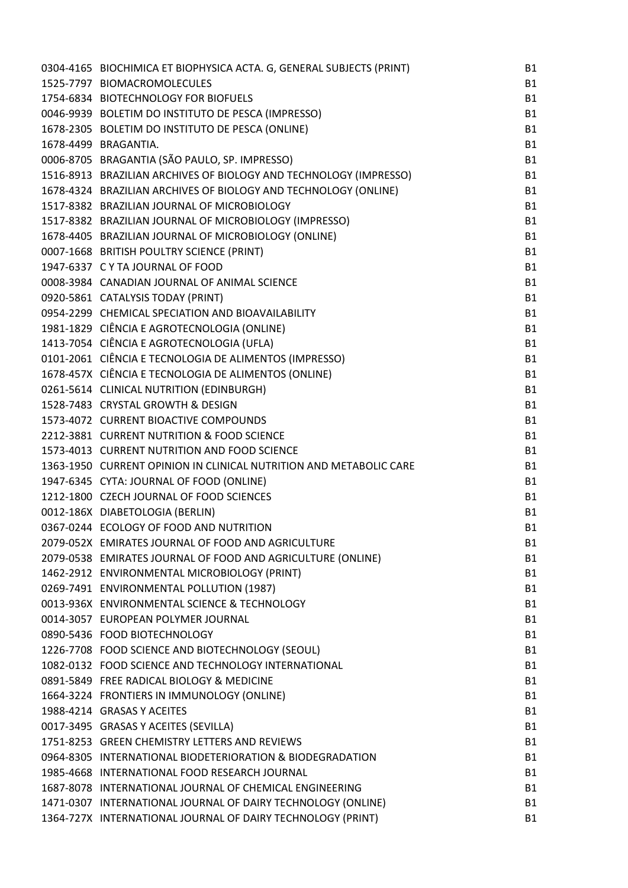| 0304-4165 BIOCHIMICA ET BIOPHYSICA ACTA. G, GENERAL SUBJECTS (PRINT) | <b>B1</b> |
|----------------------------------------------------------------------|-----------|
| 1525-7797 BIOMACROMOLECULES                                          | <b>B1</b> |
| 1754-6834 BIOTECHNOLOGY FOR BIOFUELS                                 | <b>B1</b> |
| 0046-9939 BOLETIM DO INSTITUTO DE PESCA (IMPRESSO)                   | <b>B1</b> |
| 1678-2305 BOLETIM DO INSTITUTO DE PESCA (ONLINE)                     | <b>B1</b> |
| 1678-4499 BRAGANTIA.                                                 | <b>B1</b> |
| 0006-8705 BRAGANTIA (SÃO PAULO, SP. IMPRESSO)                        | <b>B1</b> |
| 1516-8913 BRAZILIAN ARCHIVES OF BIOLOGY AND TECHNOLOGY (IMPRESSO)    | <b>B1</b> |
| 1678-4324 BRAZILIAN ARCHIVES OF BIOLOGY AND TECHNOLOGY (ONLINE)      | <b>B1</b> |
| 1517-8382 BRAZILIAN JOURNAL OF MICROBIOLOGY                          | <b>B1</b> |
| 1517-8382 BRAZILIAN JOURNAL OF MICROBIOLOGY (IMPRESSO)               | <b>B1</b> |
| 1678-4405 BRAZILIAN JOURNAL OF MICROBIOLOGY (ONLINE)                 | <b>B1</b> |
| 0007-1668 BRITISH POULTRY SCIENCE (PRINT)                            | <b>B1</b> |
| 1947-6337 CYTA JOURNAL OF FOOD                                       | <b>B1</b> |
| 0008-3984 CANADIAN JOURNAL OF ANIMAL SCIENCE                         | <b>B1</b> |
| 0920-5861 CATALYSIS TODAY (PRINT)                                    | <b>B1</b> |
| 0954-2299 CHEMICAL SPECIATION AND BIOAVAILABILITY                    | <b>B1</b> |
| 1981-1829 CIÊNCIA E AGROTECNOLOGIA (ONLINE)                          | <b>B1</b> |
| 1413-7054 CIÊNCIA E AGROTECNOLOGIA (UFLA)                            | <b>B1</b> |
| 0101-2061 CIÊNCIA E TECNOLOGIA DE ALIMENTOS (IMPRESSO)               | <b>B1</b> |
| 1678-457X CIÊNCIA E TECNOLOGIA DE ALIMENTOS (ONLINE)                 | <b>B1</b> |
| 0261-5614 CLINICAL NUTRITION (EDINBURGH)                             | <b>B1</b> |
| 1528-7483 CRYSTAL GROWTH & DESIGN                                    | <b>B1</b> |
| 1573-4072 CURRENT BIOACTIVE COMPOUNDS                                | <b>B1</b> |
| 2212-3881 CURRENT NUTRITION & FOOD SCIENCE                           | <b>B1</b> |
| 1573-4013 CURRENT NUTRITION AND FOOD SCIENCE                         | <b>B1</b> |
| 1363-1950 CURRENT OPINION IN CLINICAL NUTRITION AND METABOLIC CARE   | <b>B1</b> |
| 1947-6345 CYTA: JOURNAL OF FOOD (ONLINE)                             | <b>B1</b> |
| 1212-1800 CZECH JOURNAL OF FOOD SCIENCES                             | <b>B1</b> |
| 0012-186X DIABETOLOGIA (BERLIN)                                      | <b>B1</b> |
| 0367-0244 ECOLOGY OF FOOD AND NUTRITION                              | <b>B1</b> |
| 2079-052X EMIRATES JOURNAL OF FOOD AND AGRICULTURE                   | <b>B1</b> |
| 2079-0538 EMIRATES JOURNAL OF FOOD AND AGRICULTURE (ONLINE)          | <b>B1</b> |
| 1462-2912 ENVIRONMENTAL MICROBIOLOGY (PRINT)                         | <b>B1</b> |
| 0269-7491 ENVIRONMENTAL POLLUTION (1987)                             | <b>B1</b> |
| 0013-936X ENVIRONMENTAL SCIENCE & TECHNOLOGY                         | <b>B1</b> |
| 0014-3057 EUROPEAN POLYMER JOURNAL                                   | <b>B1</b> |
| 0890-5436 FOOD BIOTECHNOLOGY                                         | <b>B1</b> |
| 1226-7708 FOOD SCIENCE AND BIOTECHNOLOGY (SEOUL)                     | <b>B1</b> |
| 1082-0132 FOOD SCIENCE AND TECHNOLOGY INTERNATIONAL                  | <b>B1</b> |
| 0891-5849 FREE RADICAL BIOLOGY & MEDICINE                            | <b>B1</b> |
| 1664-3224 FRONTIERS IN IMMUNOLOGY (ONLINE)                           | <b>B1</b> |
| 1988-4214 GRASAS Y ACEITES                                           | <b>B1</b> |
| 0017-3495 GRASAS Y ACEITES (SEVILLA)                                 | <b>B1</b> |
| 1751-8253 GREEN CHEMISTRY LETTERS AND REVIEWS                        | <b>B1</b> |
| 0964-8305 INTERNATIONAL BIODETERIORATION & BIODEGRADATION            | <b>B1</b> |
| 1985-4668 INTERNATIONAL FOOD RESEARCH JOURNAL                        | <b>B1</b> |
| 1687-8078 INTERNATIONAL JOURNAL OF CHEMICAL ENGINEERING              | <b>B1</b> |
| 1471-0307 INTERNATIONAL JOURNAL OF DAIRY TECHNOLOGY (ONLINE)         | <b>B1</b> |
| 1364-727X INTERNATIONAL JOURNAL OF DAIRY TECHNOLOGY (PRINT)          | <b>B1</b> |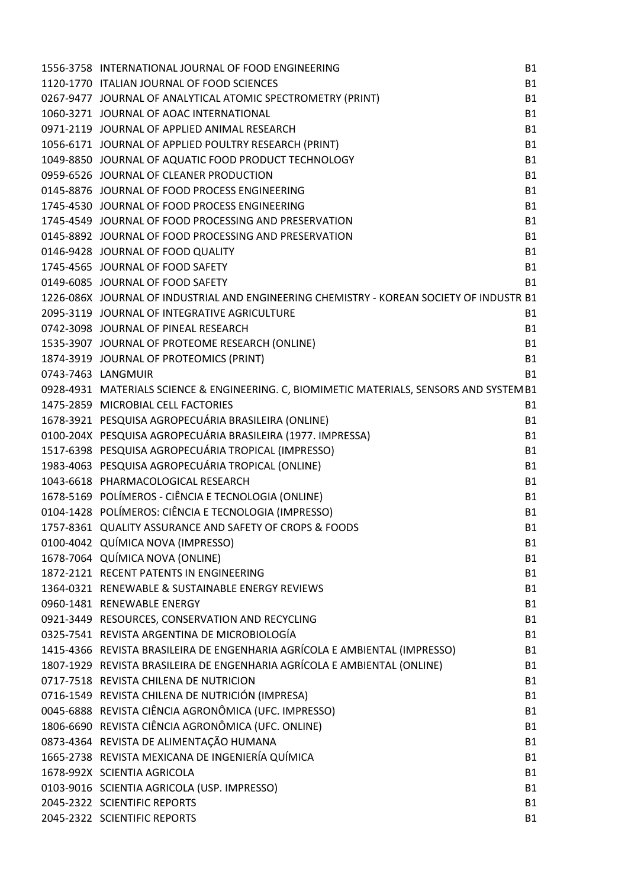| 1556-3758 INTERNATIONAL JOURNAL OF FOOD ENGINEERING                                       | <b>B1</b> |
|-------------------------------------------------------------------------------------------|-----------|
| 1120-1770 ITALIAN JOURNAL OF FOOD SCIENCES                                                | <b>B1</b> |
| 0267-9477 JOURNAL OF ANALYTICAL ATOMIC SPECTROMETRY (PRINT)                               | <b>B1</b> |
| 1060-3271 JOURNAL OF AOAC INTERNATIONAL                                                   | <b>B1</b> |
| 0971-2119 JOURNAL OF APPLIED ANIMAL RESEARCH                                              | <b>B1</b> |
| 1056-6171 JOURNAL OF APPLIED POULTRY RESEARCH (PRINT)                                     | <b>B1</b> |
| 1049-8850 JOURNAL OF AQUATIC FOOD PRODUCT TECHNOLOGY                                      | <b>B1</b> |
| 0959-6526 JOURNAL OF CLEANER PRODUCTION                                                   | <b>B1</b> |
| 0145-8876 JOURNAL OF FOOD PROCESS ENGINEERING                                             | <b>B1</b> |
| 1745-4530 JOURNAL OF FOOD PROCESS ENGINEERING                                             | <b>B1</b> |
| 1745-4549 JOURNAL OF FOOD PROCESSING AND PRESERVATION                                     | <b>B1</b> |
| 0145-8892 JOURNAL OF FOOD PROCESSING AND PRESERVATION                                     | <b>B1</b> |
| 0146-9428 JOURNAL OF FOOD QUALITY                                                         | <b>B1</b> |
| 1745-4565 JOURNAL OF FOOD SAFETY                                                          | <b>B1</b> |
| 0149-6085 JOURNAL OF FOOD SAFETY                                                          | <b>B1</b> |
| 1226-086X JOURNAL OF INDUSTRIAL AND ENGINEERING CHEMISTRY - KOREAN SOCIETY OF INDUSTR B1  |           |
| 2095-3119 JOURNAL OF INTEGRATIVE AGRICULTURE                                              | <b>B1</b> |
| 0742-3098 JOURNAL OF PINEAL RESEARCH                                                      | <b>B1</b> |
| 1535-3907 JOURNAL OF PROTEOME RESEARCH (ONLINE)                                           | <b>B1</b> |
| 1874-3919 JOURNAL OF PROTEOMICS (PRINT)                                                   | <b>B1</b> |
| 0743-7463 LANGMUIR                                                                        | <b>B1</b> |
| 0928-4931 MATERIALS SCIENCE & ENGINEERING. C, BIOMIMETIC MATERIALS, SENSORS AND SYSTEM B1 |           |
| 1475-2859 MICROBIAL CELL FACTORIES                                                        | <b>B1</b> |
| 1678-3921 PESQUISA AGROPECUÁRIA BRASILEIRA (ONLINE)                                       | <b>B1</b> |
| 0100-204X PESQUISA AGROPECUÁRIA BRASILEIRA (1977. IMPRESSA)                               | <b>B1</b> |
| 1517-6398 PESQUISA AGROPECUÁRIA TROPICAL (IMPRESSO)                                       | <b>B1</b> |
| 1983-4063 PESQUISA AGROPECUÁRIA TROPICAL (ONLINE)                                         | <b>B1</b> |
| 1043-6618 PHARMACOLOGICAL RESEARCH                                                        | <b>B1</b> |
| 1678-5169 POLÍMEROS - CIÊNCIA E TECNOLOGIA (ONLINE)                                       | <b>B1</b> |
| 0104-1428 POLÍMEROS: CIÊNCIA E TECNOLOGIA (IMPRESSO)                                      | <b>B1</b> |
| 1757-8361 QUALITY ASSURANCE AND SAFETY OF CROPS & FOODS                                   | <b>B1</b> |
| 0100-4042 QUÍMICA NOVA (IMPRESSO)                                                         | <b>B1</b> |
| 1678-7064 QUÍMICA NOVA (ONLINE)                                                           | <b>B1</b> |
| 1872-2121 RECENT PATENTS IN ENGINEERING                                                   | <b>B1</b> |
| 1364-0321 RENEWABLE & SUSTAINABLE ENERGY REVIEWS                                          | <b>B1</b> |
| 0960-1481 RENEWABLE ENERGY                                                                | <b>B1</b> |
| 0921-3449 RESOURCES, CONSERVATION AND RECYCLING                                           | <b>B1</b> |
| 0325-7541 REVISTA ARGENTINA DE MICROBIOLOGÍA                                              | <b>B1</b> |
| 1415-4366 REVISTA BRASILEIRA DE ENGENHARIA AGRÍCOLA E AMBIENTAL (IMPRESSO)                | <b>B1</b> |
| 1807-1929 REVISTA BRASILEIRA DE ENGENHARIA AGRÍCOLA E AMBIENTAL (ONLINE)                  | <b>B1</b> |
| 0717-7518 REVISTA CHILENA DE NUTRICION                                                    | <b>B1</b> |
| 0716-1549 REVISTA CHILENA DE NUTRICIÓN (IMPRESA)                                          | <b>B1</b> |
| 0045-6888 REVISTA CIÊNCIA AGRONÔMICA (UFC. IMPRESSO)                                      | <b>B1</b> |
| 1806-6690 REVISTA CIÊNCIA AGRONÔMICA (UFC. ONLINE)                                        | <b>B1</b> |
| 0873-4364 REVISTA DE ALIMENTAÇÃO HUMANA                                                   | <b>B1</b> |
| 1665-2738 REVISTA MEXICANA DE INGENIERÍA QUÍMICA                                          | <b>B1</b> |
| 1678-992X SCIENTIA AGRICOLA                                                               | <b>B1</b> |
| 0103-9016 SCIENTIA AGRICOLA (USP. IMPRESSO)                                               | <b>B1</b> |
| 2045-2322 SCIENTIFIC REPORTS                                                              | <b>B1</b> |
| 2045-2322 SCIENTIFIC REPORTS                                                              | <b>B1</b> |
|                                                                                           |           |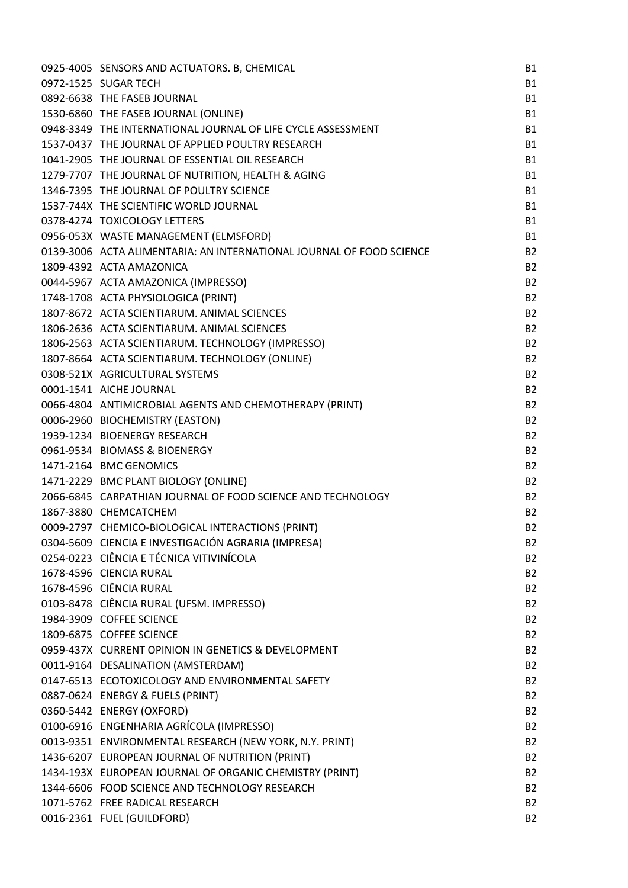| 0925-4005 SENSORS AND ACTUATORS. B, CHEMICAL                         | <b>B1</b>      |
|----------------------------------------------------------------------|----------------|
| 0972-1525 SUGAR TECH                                                 | <b>B1</b>      |
| 0892-6638 THE FASEB JOURNAL                                          | <b>B1</b>      |
| 1530-6860 THE FASEB JOURNAL (ONLINE)                                 | <b>B1</b>      |
| 0948-3349 THE INTERNATIONAL JOURNAL OF LIFE CYCLE ASSESSMENT         | <b>B1</b>      |
| 1537-0437 THE JOURNAL OF APPLIED POULTRY RESEARCH                    | <b>B1</b>      |
| 1041-2905 THE JOURNAL OF ESSENTIAL OIL RESEARCH                      | <b>B1</b>      |
| 1279-7707 THE JOURNAL OF NUTRITION, HEALTH & AGING                   | <b>B1</b>      |
| 1346-7395 THE JOURNAL OF POULTRY SCIENCE                             | <b>B1</b>      |
| 1537-744X THE SCIENTIFIC WORLD JOURNAL                               | <b>B1</b>      |
| 0378-4274 TOXICOLOGY LETTERS                                         | <b>B1</b>      |
| 0956-053X WASTE MANAGEMENT (ELMSFORD)                                | <b>B1</b>      |
| 0139-3006 ACTA ALIMENTARIA: AN INTERNATIONAL JOURNAL OF FOOD SCIENCE | <b>B2</b>      |
| 1809-4392 ACTA AMAZONICA                                             | <b>B2</b>      |
| 0044-5967 ACTA AMAZONICA (IMPRESSO)                                  | <b>B2</b>      |
| 1748-1708 ACTA PHYSIOLOGICA (PRINT)                                  | <b>B2</b>      |
| 1807-8672 ACTA SCIENTIARUM. ANIMAL SCIENCES                          | <b>B2</b>      |
| 1806-2636 ACTA SCIENTIARUM. ANIMAL SCIENCES                          | <b>B2</b>      |
| 1806-2563 ACTA SCIENTIARUM. TECHNOLOGY (IMPRESSO)                    | <b>B2</b>      |
| 1807-8664 ACTA SCIENTIARUM. TECHNOLOGY (ONLINE)                      | <b>B2</b>      |
| 0308-521X AGRICULTURAL SYSTEMS                                       | <b>B2</b>      |
| 0001-1541 AICHE JOURNAL                                              | <b>B2</b>      |
| 0066-4804 ANTIMICROBIAL AGENTS AND CHEMOTHERAPY (PRINT)              | <b>B2</b>      |
| 0006-2960 BIOCHEMISTRY (EASTON)                                      | <b>B2</b>      |
| 1939-1234 BIOENERGY RESEARCH                                         | <b>B2</b>      |
| 0961-9534 BIOMASS & BIOENERGY                                        | <b>B2</b>      |
| 1471-2164 BMC GENOMICS                                               | <b>B2</b>      |
| 1471-2229 BMC PLANT BIOLOGY (ONLINE)                                 | <b>B2</b>      |
| 2066-6845 CARPATHIAN JOURNAL OF FOOD SCIENCE AND TECHNOLOGY          | <b>B2</b>      |
| 1867-3880 CHEMCATCHEM                                                | <b>B2</b>      |
| 0009-2797 CHEMICO-BIOLOGICAL INTERACTIONS (PRINT)                    | B <sub>2</sub> |
| 0304-5609 CIENCIA E INVESTIGACIÓN AGRARIA (IMPRESA)                  | <b>B2</b>      |
| 0254-0223 CIÊNCIA E TÉCNICA VITIVINÍCOLA                             | <b>B2</b>      |
| 1678-4596 CIENCIA RURAL                                              | <b>B2</b>      |
| 1678-4596 CIÊNCIA RURAL                                              | <b>B2</b>      |
| 0103-8478 CIÊNCIA RURAL (UFSM. IMPRESSO)                             | <b>B2</b>      |
| 1984-3909 COFFEE SCIENCE                                             | <b>B2</b>      |
| 1809-6875 COFFEE SCIENCE                                             | <b>B2</b>      |
| 0959-437X CURRENT OPINION IN GENETICS & DEVELOPMENT                  | <b>B2</b>      |
| 0011-9164 DESALINATION (AMSTERDAM)                                   | <b>B2</b>      |
| 0147-6513 ECOTOXICOLOGY AND ENVIRONMENTAL SAFETY                     | <b>B2</b>      |
| 0887-0624 ENERGY & FUELS (PRINT)                                     | <b>B2</b>      |
| 0360-5442 ENERGY (OXFORD)                                            | <b>B2</b>      |
| 0100-6916 ENGENHARIA AGRÍCOLA (IMPRESSO)                             | <b>B2</b>      |
| 0013-9351 ENVIRONMENTAL RESEARCH (NEW YORK, N.Y. PRINT)              | <b>B2</b>      |
| 1436-6207 EUROPEAN JOURNAL OF NUTRITION (PRINT)                      | <b>B2</b>      |
| 1434-193X EUROPEAN JOURNAL OF ORGANIC CHEMISTRY (PRINT)              | <b>B2</b>      |
| 1344-6606 FOOD SCIENCE AND TECHNOLOGY RESEARCH                       | <b>B2</b>      |
| 1071-5762 FREE RADICAL RESEARCH                                      | <b>B2</b>      |
| 0016-2361 FUEL (GUILDFORD)                                           | <b>B2</b>      |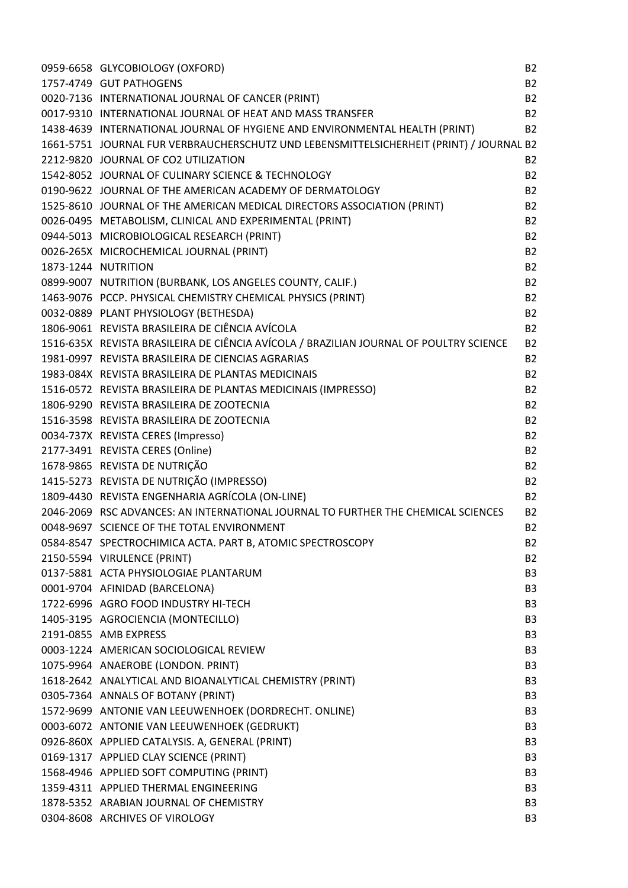|                     | 0959-6658 GLYCOBIOLOGY (OXFORD)                                                         | <b>B2</b>      |
|---------------------|-----------------------------------------------------------------------------------------|----------------|
|                     | 1757-4749 GUT PATHOGENS                                                                 | <b>B2</b>      |
|                     | 0020-7136 INTERNATIONAL JOURNAL OF CANCER (PRINT)                                       | <b>B2</b>      |
|                     | 0017-9310 INTERNATIONAL JOURNAL OF HEAT AND MASS TRANSFER                               | <b>B2</b>      |
|                     | 1438-4639 INTERNATIONAL JOURNAL OF HYGIENE AND ENVIRONMENTAL HEALTH (PRINT)             | <b>B2</b>      |
|                     | 1661-5751 JOURNAL FUR VERBRAUCHERSCHUTZ UND LEBENSMITTELSICHERHEIT (PRINT) / JOURNAL B2 |                |
|                     | 2212-9820 JOURNAL OF CO2 UTILIZATION                                                    | <b>B2</b>      |
|                     | 1542-8052 JOURNAL OF CULINARY SCIENCE & TECHNOLOGY                                      | <b>B2</b>      |
|                     | 0190-9622 JOURNAL OF THE AMERICAN ACADEMY OF DERMATOLOGY                                | <b>B2</b>      |
|                     | 1525-8610 JOURNAL OF THE AMERICAN MEDICAL DIRECTORS ASSOCIATION (PRINT)                 | <b>B2</b>      |
|                     | 0026-0495 METABOLISM, CLINICAL AND EXPERIMENTAL (PRINT)                                 | <b>B2</b>      |
|                     | 0944-5013 MICROBIOLOGICAL RESEARCH (PRINT)                                              | <b>B2</b>      |
|                     | 0026-265X MICROCHEMICAL JOURNAL (PRINT)                                                 | <b>B2</b>      |
| 1873-1244 NUTRITION |                                                                                         | <b>B2</b>      |
|                     | 0899-9007 NUTRITION (BURBANK, LOS ANGELES COUNTY, CALIF.)                               | <b>B2</b>      |
|                     | 1463-9076 PCCP. PHYSICAL CHEMISTRY CHEMICAL PHYSICS (PRINT)                             | <b>B2</b>      |
|                     | 0032-0889 PLANT PHYSIOLOGY (BETHESDA)                                                   | <b>B2</b>      |
|                     | 1806-9061 REVISTA BRASILEIRA DE CIÊNCIA AVÍCOLA                                         | <b>B2</b>      |
|                     | 1516-635X REVISTA BRASILEIRA DE CIÊNCIA AVÍCOLA / BRAZILIAN JOURNAL OF POULTRY SCIENCE  | <b>B2</b>      |
|                     | 1981-0997 REVISTA BRASILEIRA DE CIENCIAS AGRARIAS                                       | <b>B2</b>      |
|                     | 1983-084X REVISTA BRASILEIRA DE PLANTAS MEDICINAIS                                      | <b>B2</b>      |
|                     | 1516-0572 REVISTA BRASILEIRA DE PLANTAS MEDICINAIS (IMPRESSO)                           | <b>B2</b>      |
|                     | 1806-9290 REVISTA BRASILEIRA DE ZOOTECNIA                                               | <b>B2</b>      |
|                     | 1516-3598 REVISTA BRASILEIRA DE ZOOTECNIA                                               | <b>B2</b>      |
|                     | 0034-737X REVISTA CERES (Impresso)                                                      | <b>B2</b>      |
|                     | 2177-3491 REVISTA CERES (Online)                                                        | <b>B2</b>      |
|                     | 1678-9865 REVISTA DE NUTRIÇÃO                                                           | <b>B2</b>      |
|                     | 1415-5273 REVISTA DE NUTRIÇÃO (IMPRESSO)                                                | <b>B2</b>      |
|                     | 1809-4430 REVISTA ENGENHARIA AGRÍCOLA (ON-LINE)                                         | <b>B2</b>      |
|                     | 2046-2069 RSC ADVANCES: AN INTERNATIONAL JOURNAL TO FURTHER THE CHEMICAL SCIENCES       | <b>B2</b>      |
|                     | 0048-9697 SCIENCE OF THE TOTAL ENVIRONMENT                                              | <b>B2</b>      |
|                     | 0584-8547 SPECTROCHIMICA ACTA. PART B, ATOMIC SPECTROSCOPY                              | <b>B2</b>      |
|                     | 2150-5594 VIRULENCE (PRINT)                                                             | <b>B2</b>      |
|                     | 0137-5881 ACTA PHYSIOLOGIAE PLANTARUM                                                   | B <sub>3</sub> |
|                     | 0001-9704 AFINIDAD (BARCELONA)                                                          | B <sub>3</sub> |
|                     | 1722-6996 AGRO FOOD INDUSTRY HI-TECH                                                    | B <sub>3</sub> |
|                     | 1405-3195 AGROCIENCIA (MONTECILLO)                                                      | B <sub>3</sub> |
|                     | 2191-0855 AMB EXPRESS                                                                   | B <sub>3</sub> |
|                     | 0003-1224 AMERICAN SOCIOLOGICAL REVIEW                                                  | B <sub>3</sub> |
|                     | 1075-9964 ANAEROBE (LONDON. PRINT)                                                      | B <sub>3</sub> |
|                     | 1618-2642 ANALYTICAL AND BIOANALYTICAL CHEMISTRY (PRINT)                                | B <sub>3</sub> |
|                     | 0305-7364 ANNALS OF BOTANY (PRINT)                                                      | B <sub>3</sub> |
|                     | 1572-9699 ANTONIE VAN LEEUWENHOEK (DORDRECHT. ONLINE)                                   | B <sub>3</sub> |
|                     | 0003-6072 ANTONIE VAN LEEUWENHOEK (GEDRUKT)                                             | B <sub>3</sub> |
|                     | 0926-860X APPLIED CATALYSIS. A, GENERAL (PRINT)                                         | B <sub>3</sub> |
|                     | 0169-1317 APPLIED CLAY SCIENCE (PRINT)                                                  | B <sub>3</sub> |
|                     | 1568-4946 APPLIED SOFT COMPUTING (PRINT)                                                | B <sub>3</sub> |
|                     | 1359-4311 APPLIED THERMAL ENGINEERING                                                   | B <sub>3</sub> |
|                     |                                                                                         |                |
|                     | 1878-5352 ARABIAN JOURNAL OF CHEMISTRY                                                  | B <sub>3</sub> |
|                     | 0304-8608 ARCHIVES OF VIROLOGY                                                          | B <sub>3</sub> |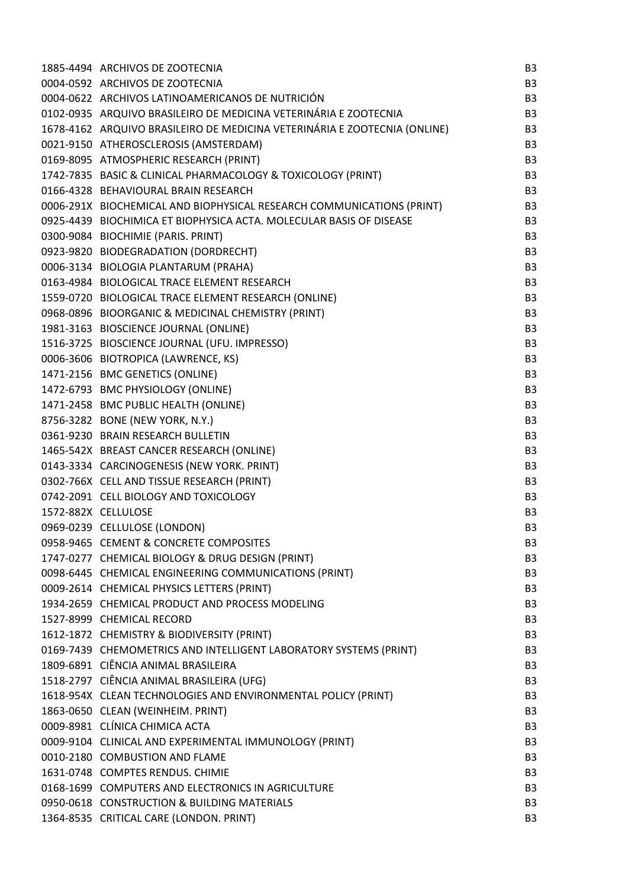| 1885-4494 ARCHIVOS DE ZOOTECNIA                                           | B <sub>3</sub> |
|---------------------------------------------------------------------------|----------------|
| 0004-0592 ARCHIVOS DE ZOOTECNIA                                           | B <sub>3</sub> |
| 0004-0622 ARCHIVOS LATINOAMERICANOS DE NUTRICIÓN                          | B <sub>3</sub> |
| 0102-0935 ARQUIVO BRASILEIRO DE MEDICINA VETERINÁRIA E ZOOTECNIA          | B <sub>3</sub> |
| 1678-4162 ARQUIVO BRASILEIRO DE MEDICINA VETERINÁRIA E ZOOTECNIA (ONLINE) | B <sub>3</sub> |
| 0021-9150 ATHEROSCLEROSIS (AMSTERDAM)                                     | B <sub>3</sub> |
| 0169-8095 ATMOSPHERIC RESEARCH (PRINT)                                    | B <sub>3</sub> |
| 1742-7835 BASIC & CLINICAL PHARMACOLOGY & TOXICOLOGY (PRINT)              | B <sub>3</sub> |
| 0166-4328 BEHAVIOURAL BRAIN RESEARCH                                      | B <sub>3</sub> |
| 0006-291X BIOCHEMICAL AND BIOPHYSICAL RESEARCH COMMUNICATIONS (PRINT)     | B <sub>3</sub> |
| 0925-4439 BIOCHIMICA ET BIOPHYSICA ACTA. MOLECULAR BASIS OF DISEASE       | B <sub>3</sub> |
| 0300-9084 BIOCHIMIE (PARIS. PRINT)                                        | B <sub>3</sub> |
| 0923-9820 BIODEGRADATION (DORDRECHT)                                      | B <sub>3</sub> |
| 0006-3134 BIOLOGIA PLANTARUM (PRAHA)                                      | B <sub>3</sub> |
| 0163-4984 BIOLOGICAL TRACE ELEMENT RESEARCH                               | B <sub>3</sub> |
| 1559-0720 BIOLOGICAL TRACE ELEMENT RESEARCH (ONLINE)                      | B <sub>3</sub> |
| 0968-0896 BIOORGANIC & MEDICINAL CHEMISTRY (PRINT)                        | B <sub>3</sub> |
| 1981-3163 BIOSCIENCE JOURNAL (ONLINE)                                     | B <sub>3</sub> |
| 1516-3725 BIOSCIENCE JOURNAL (UFU. IMPRESSO)                              | B <sub>3</sub> |
| 0006-3606 BIOTROPICA (LAWRENCE, KS)                                       | B <sub>3</sub> |
| 1471-2156 BMC GENETICS (ONLINE)                                           | B <sub>3</sub> |
| 1472-6793 BMC PHYSIOLOGY (ONLINE)                                         | B <sub>3</sub> |
| 1471-2458 BMC PUBLIC HEALTH (ONLINE)                                      | B <sub>3</sub> |
| 8756-3282 BONE (NEW YORK, N.Y.)                                           | B <sub>3</sub> |
| 0361-9230 BRAIN RESEARCH BULLETIN                                         | B <sub>3</sub> |
| 1465-542X BREAST CANCER RESEARCH (ONLINE)                                 | B <sub>3</sub> |
| 0143-3334 CARCINOGENESIS (NEW YORK. PRINT)                                | B <sub>3</sub> |
| 0302-766X CELL AND TISSUE RESEARCH (PRINT)                                | B <sub>3</sub> |
| 0742-2091 CELL BIOLOGY AND TOXICOLOGY                                     | B <sub>3</sub> |
| 1572-882X CELLULOSE                                                       | B <sub>3</sub> |
| 0969-0239 CELLULOSE (LONDON)                                              | B <sub>3</sub> |
| 0958-9465 CEMENT & CONCRETE COMPOSITES                                    | B <sub>3</sub> |
| 1747-0277 CHEMICAL BIOLOGY & DRUG DESIGN (PRINT)                          | B <sub>3</sub> |
| 0098-6445 CHEMICAL ENGINEERING COMMUNICATIONS (PRINT)                     | B <sub>3</sub> |
| 0009-2614 CHEMICAL PHYSICS LETTERS (PRINT)                                | B <sub>3</sub> |
| 1934-2659 CHEMICAL PRODUCT AND PROCESS MODELING                           | B <sub>3</sub> |
| 1527-8999 CHEMICAL RECORD                                                 | B <sub>3</sub> |
| 1612-1872 CHEMISTRY & BIODIVERSITY (PRINT)                                | B <sub>3</sub> |
| 0169-7439 CHEMOMETRICS AND INTELLIGENT LABORATORY SYSTEMS (PRINT)         | B <sub>3</sub> |
| 1809-6891 CIÊNCIA ANIMAL BRASILEIRA                                       | B <sub>3</sub> |
| 1518-2797 CIÊNCIA ANIMAL BRASILEIRA (UFG)                                 | B <sub>3</sub> |
| 1618-954X CLEAN TECHNOLOGIES AND ENVIRONMENTAL POLICY (PRINT)             | B <sub>3</sub> |
| 1863-0650 CLEAN (WEINHEIM. PRINT)                                         | B <sub>3</sub> |
| 0009-8981 CLÍNICA CHIMICA ACTA                                            | B <sub>3</sub> |
| 0009-9104 CLINICAL AND EXPERIMENTAL IMMUNOLOGY (PRINT)                    | B <sub>3</sub> |
| 0010-2180 COMBUSTION AND FLAME                                            | B <sub>3</sub> |
| 1631-0748 COMPTES RENDUS. CHIMIE                                          | B <sub>3</sub> |
| 0168-1699 COMPUTERS AND ELECTRONICS IN AGRICULTURE                        | B <sub>3</sub> |
| 0950-0618 CONSTRUCTION & BUILDING MATERIALS                               | B <sub>3</sub> |
| 1364-8535 CRITICAL CARE (LONDON. PRINT)                                   | B <sub>3</sub> |
|                                                                           |                |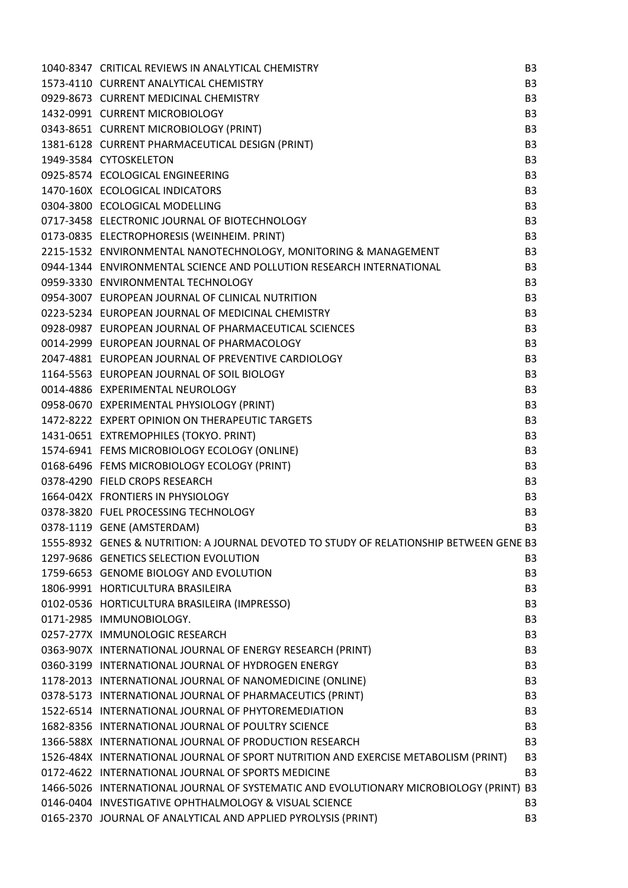| 1040-8347 CRITICAL REVIEWS IN ANALYTICAL CHEMISTRY                                      | B <sub>3</sub> |
|-----------------------------------------------------------------------------------------|----------------|
| 1573-4110 CURRENT ANALYTICAL CHEMISTRY                                                  | B <sub>3</sub> |
| 0929-8673 CURRENT MEDICINAL CHEMISTRY                                                   | B <sub>3</sub> |
| 1432-0991 CURRENT MICROBIOLOGY                                                          | B <sub>3</sub> |
| 0343-8651 CURRENT MICROBIOLOGY (PRINT)                                                  | B <sub>3</sub> |
| 1381-6128 CURRENT PHARMACEUTICAL DESIGN (PRINT)                                         | B <sub>3</sub> |
| 1949-3584 CYTOSKELETON                                                                  | B <sub>3</sub> |
| 0925-8574 ECOLOGICAL ENGINEERING                                                        | B <sub>3</sub> |
| 1470-160X ECOLOGICAL INDICATORS                                                         | B <sub>3</sub> |
| 0304-3800 ECOLOGICAL MODELLING                                                          | B <sub>3</sub> |
| 0717-3458 ELECTRONIC JOURNAL OF BIOTECHNOLOGY                                           | B <sub>3</sub> |
| 0173-0835 ELECTROPHORESIS (WEINHEIM. PRINT)                                             | B <sub>3</sub> |
| 2215-1532 ENVIRONMENTAL NANOTECHNOLOGY, MONITORING & MANAGEMENT                         | B <sub>3</sub> |
| 0944-1344 ENVIRONMENTAL SCIENCE AND POLLUTION RESEARCH INTERNATIONAL                    | B <sub>3</sub> |
| 0959-3330 ENVIRONMENTAL TECHNOLOGY                                                      | B <sub>3</sub> |
| 0954-3007 EUROPEAN JOURNAL OF CLINICAL NUTRITION                                        | B <sub>3</sub> |
| 0223-5234 EUROPEAN JOURNAL OF MEDICINAL CHEMISTRY                                       | B <sub>3</sub> |
| 0928-0987 EUROPEAN JOURNAL OF PHARMACEUTICAL SCIENCES                                   | B <sub>3</sub> |
| 0014-2999 EUROPEAN JOURNAL OF PHARMACOLOGY                                              | B <sub>3</sub> |
| 2047-4881 EUROPEAN JOURNAL OF PREVENTIVE CARDIOLOGY                                     | B <sub>3</sub> |
| 1164-5563 EUROPEAN JOURNAL OF SOIL BIOLOGY                                              | B <sub>3</sub> |
| 0014-4886 EXPERIMENTAL NEUROLOGY                                                        | B <sub>3</sub> |
| 0958-0670 EXPERIMENTAL PHYSIOLOGY (PRINT)                                               | B <sub>3</sub> |
| 1472-8222 EXPERT OPINION ON THERAPEUTIC TARGETS                                         | B <sub>3</sub> |
| 1431-0651 EXTREMOPHILES (TOKYO. PRINT)                                                  | B <sub>3</sub> |
| 1574-6941 FEMS MICROBIOLOGY ECOLOGY (ONLINE)                                            | B <sub>3</sub> |
| 0168-6496 FEMS MICROBIOLOGY ECOLOGY (PRINT)                                             | B <sub>3</sub> |
| 0378-4290 FIELD CROPS RESEARCH                                                          | B <sub>3</sub> |
| 1664-042X FRONTIERS IN PHYSIOLOGY                                                       | B <sub>3</sub> |
| 0378-3820 FUEL PROCESSING TECHNOLOGY                                                    | B <sub>3</sub> |
| 0378-1119 GENE (AMSTERDAM)                                                              | B <sub>3</sub> |
| 1555-8932 GENES & NUTRITION: A JOURNAL DEVOTED TO STUDY OF RELATIONSHIP BETWEEN GENE B3 |                |
| 1297-9686 GENETICS SELECTION EVOLUTION                                                  | B <sub>3</sub> |
| 1759-6653 GENOME BIOLOGY AND EVOLUTION                                                  | B <sub>3</sub> |
| 1806-9991 HORTICULTURA BRASILEIRA                                                       | B <sub>3</sub> |
| 0102-0536 HORTICULTURA BRASILEIRA (IMPRESSO)                                            | B <sub>3</sub> |
| 0171-2985 IMMUNOBIOLOGY.                                                                | B <sub>3</sub> |
| 0257-277X IMMUNOLOGIC RESEARCH                                                          | B <sub>3</sub> |
| 0363-907X INTERNATIONAL JOURNAL OF ENERGY RESEARCH (PRINT)                              | B <sub>3</sub> |
| 0360-3199 INTERNATIONAL JOURNAL OF HYDROGEN ENERGY                                      | B <sub>3</sub> |
| 1178-2013 INTERNATIONAL JOURNAL OF NANOMEDICINE (ONLINE)                                | B <sub>3</sub> |
| 0378-5173 INTERNATIONAL JOURNAL OF PHARMACEUTICS (PRINT)                                | B <sub>3</sub> |
| 1522-6514 INTERNATIONAL JOURNAL OF PHYTOREMEDIATION                                     | B <sub>3</sub> |
| 1682-8356 INTERNATIONAL JOURNAL OF POULTRY SCIENCE                                      | B <sub>3</sub> |
| 1366-588X INTERNATIONAL JOURNAL OF PRODUCTION RESEARCH                                  | B <sub>3</sub> |
| 1526-484X INTERNATIONAL JOURNAL OF SPORT NUTRITION AND EXERCISE METABOLISM (PRINT)      | B <sub>3</sub> |
| 0172-4622 INTERNATIONAL JOURNAL OF SPORTS MEDICINE                                      | B <sub>3</sub> |
| 1466-5026 INTERNATIONAL JOURNAL OF SYSTEMATIC AND EVOLUTIONARY MICROBIOLOGY (PRINT) B3  |                |
| 0146-0404 INVESTIGATIVE OPHTHALMOLOGY & VISUAL SCIENCE                                  | B <sub>3</sub> |
| 0165-2370 JOURNAL OF ANALYTICAL AND APPLIED PYROLYSIS (PRINT)                           | B <sub>3</sub> |
|                                                                                         |                |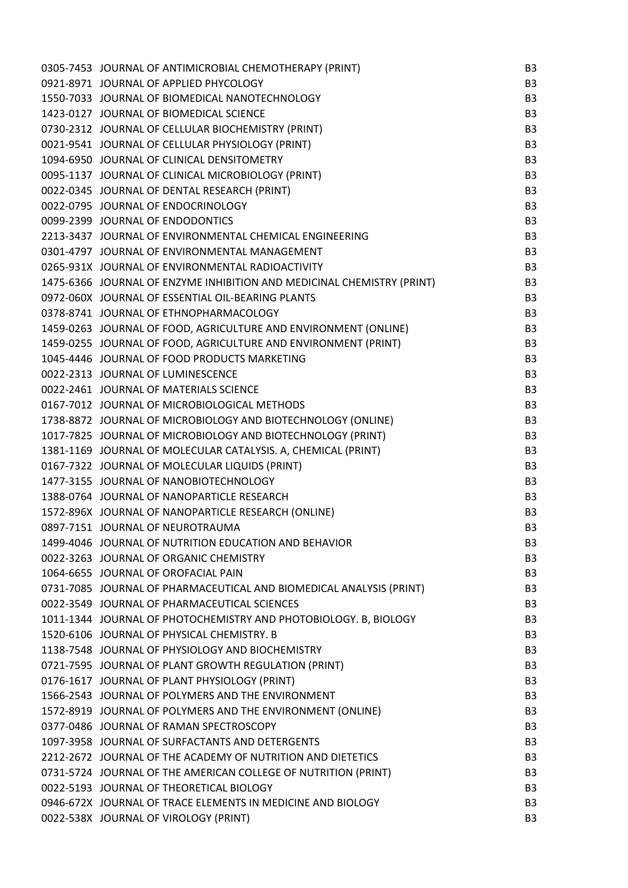| 0305-7453 JOURNAL OF ANTIMICROBIAL CHEMOTHERAPY (PRINT)                | B <sub>3</sub> |
|------------------------------------------------------------------------|----------------|
| 0921-8971 JOURNAL OF APPLIED PHYCOLOGY                                 | B <sub>3</sub> |
| 1550-7033 JOURNAL OF BIOMEDICAL NANOTECHNOLOGY                         | B <sub>3</sub> |
| 1423-0127 JOURNAL OF BIOMEDICAL SCIENCE                                | B <sub>3</sub> |
| 0730-2312 JOURNAL OF CELLULAR BIOCHEMISTRY (PRINT)                     | B <sub>3</sub> |
| 0021-9541 JOURNAL OF CELLULAR PHYSIOLOGY (PRINT)                       | B <sub>3</sub> |
| 1094-6950 JOURNAL OF CLINICAL DENSITOMETRY                             | B <sub>3</sub> |
| 0095-1137 JOURNAL OF CLINICAL MICROBIOLOGY (PRINT)                     | B <sub>3</sub> |
| 0022-0345 JOURNAL OF DENTAL RESEARCH (PRINT)                           | B <sub>3</sub> |
| 0022-0795 JOURNAL OF ENDOCRINOLOGY                                     | B <sub>3</sub> |
| 0099-2399 JOURNAL OF ENDODONTICS                                       | B <sub>3</sub> |
| 2213-3437 JOURNAL OF ENVIRONMENTAL CHEMICAL ENGINEERING                | B <sub>3</sub> |
| 0301-4797 JOURNAL OF ENVIRONMENTAL MANAGEMENT                          | B <sub>3</sub> |
| 0265-931X JOURNAL OF ENVIRONMENTAL RADIOACTIVITY                       | B <sub>3</sub> |
| 1475-6366 JOURNAL OF ENZYME INHIBITION AND MEDICINAL CHEMISTRY (PRINT) | B <sub>3</sub> |
| 0972-060X JOURNAL OF ESSENTIAL OIL-BEARING PLANTS                      | B <sub>3</sub> |
| 0378-8741 JOURNAL OF ETHNOPHARMACOLOGY                                 | B <sub>3</sub> |
| 1459-0263 JOURNAL OF FOOD, AGRICULTURE AND ENVIRONMENT (ONLINE)        | B <sub>3</sub> |
| 1459-0255 JOURNAL OF FOOD, AGRICULTURE AND ENVIRONMENT (PRINT)         | B <sub>3</sub> |
| 1045-4446 JOURNAL OF FOOD PRODUCTS MARKETING                           | B <sub>3</sub> |
| 0022-2313 JOURNAL OF LUMINESCENCE                                      | B <sub>3</sub> |
| 0022-2461 JOURNAL OF MATERIALS SCIENCE                                 | B <sub>3</sub> |
| 0167-7012 JOURNAL OF MICROBIOLOGICAL METHODS                           | B <sub>3</sub> |
| 1738-8872 JOURNAL OF MICROBIOLOGY AND BIOTECHNOLOGY (ONLINE)           | B <sub>3</sub> |
| 1017-7825 JOURNAL OF MICROBIOLOGY AND BIOTECHNOLOGY (PRINT)            | B <sub>3</sub> |
| 1381-1169 JOURNAL OF MOLECULAR CATALYSIS. A, CHEMICAL (PRINT)          | B <sub>3</sub> |
| 0167-7322 JOURNAL OF MOLECULAR LIQUIDS (PRINT)                         | B <sub>3</sub> |
| 1477-3155 JOURNAL OF NANOBIOTECHNOLOGY                                 | B <sub>3</sub> |
| 1388-0764 JOURNAL OF NANOPARTICLE RESEARCH                             | B <sub>3</sub> |
| 1572-896X JOURNAL OF NANOPARTICLE RESEARCH (ONLINE)                    | B <sub>3</sub> |
| 0897-7151 JOURNAL OF NEUROTRAUMA                                       | B <sub>3</sub> |
| 1499-4046 JOURNAL OF NUTRITION EDUCATION AND BEHAVIOR                  | B <sub>3</sub> |
| 0022-3263 JOURNAL OF ORGANIC CHEMISTRY                                 | B <sub>3</sub> |
| 1064-6655 JOURNAL OF OROFACIAL PAIN                                    | B <sub>3</sub> |
| 0731-7085 JOURNAL OF PHARMACEUTICAL AND BIOMEDICAL ANALYSIS (PRINT)    | B <sub>3</sub> |
| 0022-3549 JOURNAL OF PHARMACEUTICAL SCIENCES                           | B <sub>3</sub> |
| 1011-1344 JOURNAL OF PHOTOCHEMISTRY AND PHOTOBIOLOGY. B, BIOLOGY       | B <sub>3</sub> |
| 1520-6106 JOURNAL OF PHYSICAL CHEMISTRY. B                             | B <sub>3</sub> |
| 1138-7548 JOURNAL OF PHYSIOLOGY AND BIOCHEMISTRY                       | B <sub>3</sub> |
| 0721-7595 JOURNAL OF PLANT GROWTH REGULATION (PRINT)                   | B <sub>3</sub> |
| 0176-1617 JOURNAL OF PLANT PHYSIOLOGY (PRINT)                          | B <sub>3</sub> |
| 1566-2543 JOURNAL OF POLYMERS AND THE ENVIRONMENT                      | B <sub>3</sub> |
| 1572-8919 JOURNAL OF POLYMERS AND THE ENVIRONMENT (ONLINE)             | B <sub>3</sub> |
| 0377-0486 JOURNAL OF RAMAN SPECTROSCOPY                                | B <sub>3</sub> |
| 1097-3958 JOURNAL OF SURFACTANTS AND DETERGENTS                        | B <sub>3</sub> |
| 2212-2672 JOURNAL OF THE ACADEMY OF NUTRITION AND DIETETICS            | B <sub>3</sub> |
| 0731-5724 JOURNAL OF THE AMERICAN COLLEGE OF NUTRITION (PRINT)         | B <sub>3</sub> |
| 0022-5193 JOURNAL OF THEORETICAL BIOLOGY                               | B <sub>3</sub> |
| 0946-672X JOURNAL OF TRACE ELEMENTS IN MEDICINE AND BIOLOGY            | B <sub>3</sub> |
| 0022-538X JOURNAL OF VIROLOGY (PRINT)                                  | B <sub>3</sub> |
|                                                                        |                |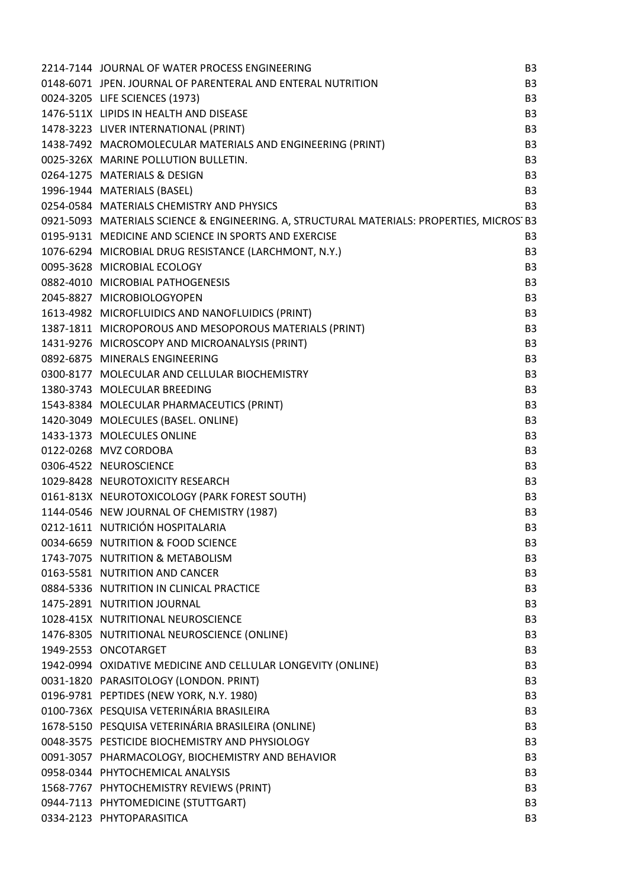| 2214-7144 JOURNAL OF WATER PROCESS ENGINEERING                                            | B <sub>3</sub> |
|-------------------------------------------------------------------------------------------|----------------|
| 0148-6071 JPEN. JOURNAL OF PARENTERAL AND ENTERAL NUTRITION                               | B <sub>3</sub> |
|                                                                                           |                |
| 0024-3205 LIFE SCIENCES (1973)                                                            | B <sub>3</sub> |
| 1476-511X LIPIDS IN HEALTH AND DISEASE                                                    | B <sub>3</sub> |
| 1478-3223 LIVER INTERNATIONAL (PRINT)                                                     | B <sub>3</sub> |
| 1438-7492 MACROMOLECULAR MATERIALS AND ENGINEERING (PRINT)                                | B <sub>3</sub> |
| 0025-326X MARINE POLLUTION BULLETIN.                                                      | B <sub>3</sub> |
| 0264-1275 MATERIALS & DESIGN                                                              | B <sub>3</sub> |
| 1996-1944 MATERIALS (BASEL)                                                               | B <sub>3</sub> |
| 0254-0584 MATERIALS CHEMISTRY AND PHYSICS                                                 | B <sub>3</sub> |
| 0921-5093 MATERIALS SCIENCE & ENGINEERING. A, STRUCTURAL MATERIALS: PROPERTIES, MICROS B3 |                |
| 0195-9131 MEDICINE AND SCIENCE IN SPORTS AND EXERCISE                                     | B <sub>3</sub> |
| 1076-6294 MICROBIAL DRUG RESISTANCE (LARCHMONT, N.Y.)                                     | B <sub>3</sub> |
| 0095-3628 MICROBIAL ECOLOGY                                                               | B <sub>3</sub> |
| 0882-4010 MICROBIAL PATHOGENESIS                                                          | B <sub>3</sub> |
| 2045-8827 MICROBIOLOGYOPEN                                                                | B <sub>3</sub> |
| 1613-4982 MICROFLUIDICS AND NANOFLUIDICS (PRINT)                                          | B <sub>3</sub> |
| 1387-1811 MICROPOROUS AND MESOPOROUS MATERIALS (PRINT)                                    | B <sub>3</sub> |
| 1431-9276 MICROSCOPY AND MICROANALYSIS (PRINT)                                            | B <sub>3</sub> |
| 0892-6875 MINERALS ENGINEERING                                                            | B <sub>3</sub> |
| 0300-8177 MOLECULAR AND CELLULAR BIOCHEMISTRY                                             | B <sub>3</sub> |
| 1380-3743 MOLECULAR BREEDING                                                              | B <sub>3</sub> |
| 1543-8384 MOLECULAR PHARMACEUTICS (PRINT)                                                 | B <sub>3</sub> |
| 1420-3049 MOLECULES (BASEL. ONLINE)                                                       | B <sub>3</sub> |
| 1433-1373 MOLECULES ONLINE                                                                | B <sub>3</sub> |
| 0122-0268 MVZ CORDOBA                                                                     | B <sub>3</sub> |
| 0306-4522 NEUROSCIENCE                                                                    | B <sub>3</sub> |
| 1029-8428 NEUROTOXICITY RESEARCH                                                          | B <sub>3</sub> |
| 0161-813X NEUROTOXICOLOGY (PARK FOREST SOUTH)                                             | B <sub>3</sub> |
| 1144-0546 NEW JOURNAL OF CHEMISTRY (1987)                                                 | B <sub>3</sub> |
| 0212-1611 NUTRICIÓN HOSPITALARIA                                                          | B <sub>3</sub> |
| 0034-6659 NUTRITION & FOOD SCIENCE                                                        | B <sub>3</sub> |
| 1743-7075 NUTRITION & METABOLISM                                                          | B <sub>3</sub> |
| 0163-5581 NUTRITION AND CANCER                                                            | B <sub>3</sub> |
| 0884-5336 NUTRITION IN CLINICAL PRACTICE                                                  | B <sub>3</sub> |
| 1475-2891 NUTRITION JOURNAL                                                               | B <sub>3</sub> |
| 1028-415X NUTRITIONAL NEUROSCIENCE                                                        | B <sub>3</sub> |
| 1476-8305 NUTRITIONAL NEUROSCIENCE (ONLINE)                                               | B <sub>3</sub> |
| 1949-2553 ONCOTARGET                                                                      | B <sub>3</sub> |
| 1942-0994 OXIDATIVE MEDICINE AND CELLULAR LONGEVITY (ONLINE)                              | B <sub>3</sub> |
| 0031-1820 PARASITOLOGY (LONDON. PRINT)                                                    | B <sub>3</sub> |
| 0196-9781 PEPTIDES (NEW YORK, N.Y. 1980)                                                  | B <sub>3</sub> |
| 0100-736X PESQUISA VETERINÁRIA BRASILEIRA                                                 | B <sub>3</sub> |
| 1678-5150 PESQUISA VETERINÁRIA BRASILEIRA (ONLINE)                                        | B <sub>3</sub> |
| 0048-3575 PESTICIDE BIOCHEMISTRY AND PHYSIOLOGY                                           | B <sub>3</sub> |
| 0091-3057 PHARMACOLOGY, BIOCHEMISTRY AND BEHAVIOR                                         | B <sub>3</sub> |
| 0958-0344 PHYTOCHEMICAL ANALYSIS                                                          | B <sub>3</sub> |
| 1568-7767 PHYTOCHEMISTRY REVIEWS (PRINT)                                                  | B <sub>3</sub> |
| 0944-7113 PHYTOMEDICINE (STUTTGART)                                                       | B <sub>3</sub> |
| 0334-2123 PHYTOPARASITICA                                                                 | B <sub>3</sub> |
|                                                                                           |                |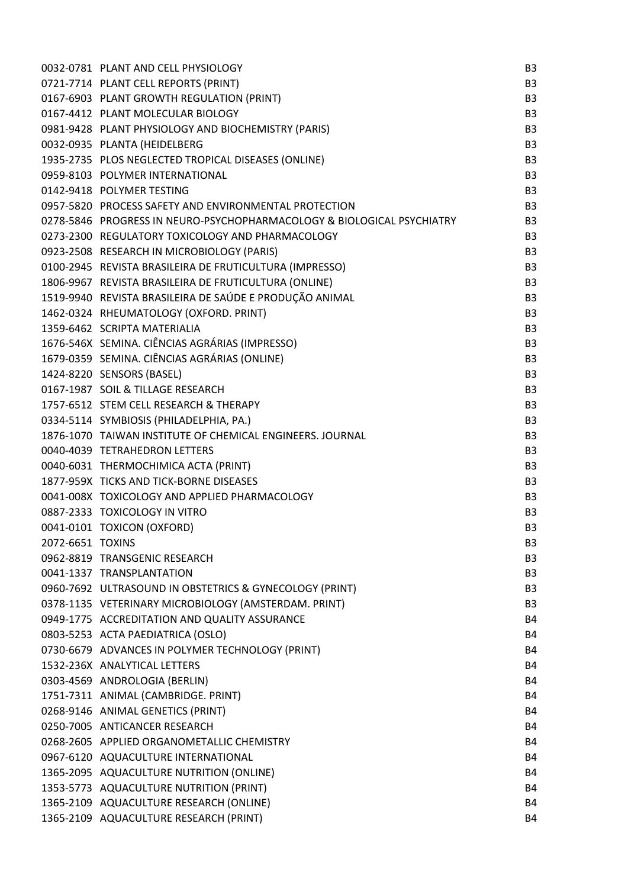|                  | 0032-0781 PLANT AND CELL PHYSIOLOGY                                    | B <sub>3</sub> |
|------------------|------------------------------------------------------------------------|----------------|
|                  | 0721-7714 PLANT CELL REPORTS (PRINT)                                   | B <sub>3</sub> |
|                  | 0167-6903 PLANT GROWTH REGULATION (PRINT)                              | B <sub>3</sub> |
|                  | 0167-4412 PLANT MOLECULAR BIOLOGY                                      | B <sub>3</sub> |
|                  | 0981-9428 PLANT PHYSIOLOGY AND BIOCHEMISTRY (PARIS)                    | B <sub>3</sub> |
|                  | 0032-0935 PLANTA (HEIDELBERG                                           | B <sub>3</sub> |
|                  | 1935-2735 PLOS NEGLECTED TROPICAL DISEASES (ONLINE)                    | B <sub>3</sub> |
|                  | 0959-8103 POLYMER INTERNATIONAL                                        | B <sub>3</sub> |
|                  | 0142-9418 POLYMER TESTING                                              | B <sub>3</sub> |
|                  | 0957-5820 PROCESS SAFETY AND ENVIRONMENTAL PROTECTION                  | B <sub>3</sub> |
|                  | 0278-5846 PROGRESS IN NEURO-PSYCHOPHARMACOLOGY & BIOLOGICAL PSYCHIATRY | B <sub>3</sub> |
|                  | 0273-2300 REGULATORY TOXICOLOGY AND PHARMACOLOGY                       | B <sub>3</sub> |
|                  | 0923-2508 RESEARCH IN MICROBIOLOGY (PARIS)                             | B <sub>3</sub> |
|                  | 0100-2945 REVISTA BRASILEIRA DE FRUTICULTURA (IMPRESSO)                | B <sub>3</sub> |
|                  | 1806-9967 REVISTA BRASILEIRA DE FRUTICULTURA (ONLINE)                  | B <sub>3</sub> |
|                  | 1519-9940 REVISTA BRASILEIRA DE SAÚDE E PRODUÇÃO ANIMAL                | B <sub>3</sub> |
|                  | 1462-0324 RHEUMATOLOGY (OXFORD. PRINT)                                 | B <sub>3</sub> |
|                  | 1359-6462 SCRIPTA MATERIALIA                                           | B <sub>3</sub> |
|                  | 1676-546X SEMINA. CIÊNCIAS AGRÁRIAS (IMPRESSO)                         | B <sub>3</sub> |
|                  | 1679-0359 SEMINA. CIÊNCIAS AGRÁRIAS (ONLINE)                           | B <sub>3</sub> |
|                  | 1424-8220 SENSORS (BASEL)                                              | B <sub>3</sub> |
|                  | 0167-1987 SOIL & TILLAGE RESEARCH                                      | B <sub>3</sub> |
|                  | 1757-6512 STEM CELL RESEARCH & THERAPY                                 | B <sub>3</sub> |
|                  | 0334-5114 SYMBIOSIS (PHILADELPHIA, PA.)                                | B <sub>3</sub> |
|                  | 1876-1070 TAIWAN INSTITUTE OF CHEMICAL ENGINEERS. JOURNAL              | B <sub>3</sub> |
|                  | 0040-4039 TETRAHEDRON LETTERS                                          | B <sub>3</sub> |
|                  | 0040-6031 THERMOCHIMICA ACTA (PRINT)                                   | B <sub>3</sub> |
|                  | 1877-959X TICKS AND TICK-BORNE DISEASES                                | B <sub>3</sub> |
|                  | 0041-008X TOXICOLOGY AND APPLIED PHARMACOLOGY                          | B <sub>3</sub> |
|                  | 0887-2333 TOXICOLOGY IN VITRO                                          | B <sub>3</sub> |
|                  | 0041-0101 TOXICON (OXFORD)                                             | B <sub>3</sub> |
| 2072-6651 TOXINS |                                                                        | B <sub>3</sub> |
|                  | 0962-8819 TRANSGENIC RESEARCH                                          | B <sub>3</sub> |
|                  | 0041-1337 TRANSPLANTATION                                              | B <sub>3</sub> |
|                  | 0960-7692 ULTRASOUND IN OBSTETRICS & GYNECOLOGY (PRINT)                | B <sub>3</sub> |
|                  | 0378-1135 VETERINARY MICROBIOLOGY (AMSTERDAM. PRINT)                   | B <sub>3</sub> |
|                  | 0949-1775 ACCREDITATION AND QUALITY ASSURANCE                          | <b>B4</b>      |
|                  | 0803-5253 ACTA PAEDIATRICA (OSLO)                                      | <b>B4</b>      |
|                  | 0730-6679 ADVANCES IN POLYMER TECHNOLOGY (PRINT)                       | <b>B4</b>      |
|                  | 1532-236X ANALYTICAL LETTERS                                           | <b>B4</b>      |
|                  | 0303-4569 ANDROLOGIA (BERLIN)                                          | <b>B4</b>      |
|                  | 1751-7311 ANIMAL (CAMBRIDGE. PRINT)                                    | <b>B4</b>      |
|                  | 0268-9146 ANIMAL GENETICS (PRINT)                                      | <b>B4</b>      |
|                  | 0250-7005 ANTICANCER RESEARCH                                          | B4             |
|                  | 0268-2605 APPLIED ORGANOMETALLIC CHEMISTRY                             | <b>B4</b>      |
|                  | 0967-6120 AQUACULTURE INTERNATIONAL                                    | <b>B4</b>      |
|                  | 1365-2095 AQUACULTURE NUTRITION (ONLINE)                               | <b>B4</b>      |
|                  | 1353-5773 AQUACULTURE NUTRITION (PRINT)                                | <b>B4</b>      |
|                  | 1365-2109 AQUACULTURE RESEARCH (ONLINE)                                | B4             |
|                  | 1365-2109 AQUACULTURE RESEARCH (PRINT)                                 | B4             |
|                  |                                                                        |                |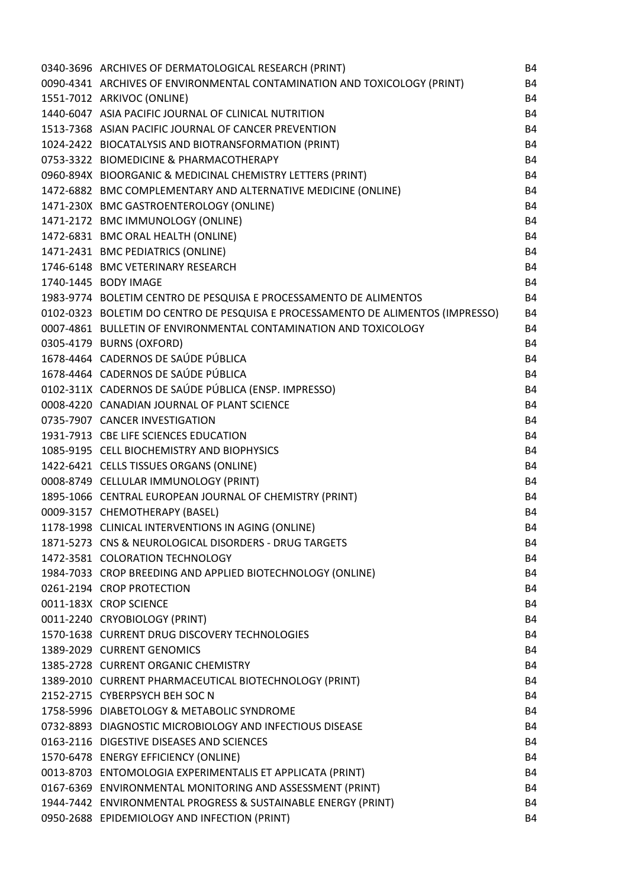| 0340-3696 ARCHIVES OF DERMATOLOGICAL RESEARCH (PRINT)                           | B4        |
|---------------------------------------------------------------------------------|-----------|
| 0090-4341 ARCHIVES OF ENVIRONMENTAL CONTAMINATION AND TOXICOLOGY (PRINT)        | <b>B4</b> |
| 1551-7012 ARKIVOC (ONLINE)                                                      | <b>B4</b> |
| 1440-6047 ASIA PACIFIC JOURNAL OF CLINICAL NUTRITION                            | <b>B4</b> |
| 1513-7368 ASIAN PACIFIC JOURNAL OF CANCER PREVENTION                            | <b>B4</b> |
| 1024-2422 BIOCATALYSIS AND BIOTRANSFORMATION (PRINT)                            | <b>B4</b> |
| 0753-3322 BIOMEDICINE & PHARMACOTHERAPY                                         | <b>B4</b> |
| 0960-894X BIOORGANIC & MEDICINAL CHEMISTRY LETTERS (PRINT)                      | <b>B4</b> |
| 1472-6882 BMC COMPLEMENTARY AND ALTERNATIVE MEDICINE (ONLINE)                   | <b>B4</b> |
| 1471-230X BMC GASTROENTEROLOGY (ONLINE)                                         | <b>B4</b> |
| 1471-2172 BMC IMMUNOLOGY (ONLINE)                                               | <b>B4</b> |
| 1472-6831 BMC ORAL HEALTH (ONLINE)                                              | <b>B4</b> |
| 1471-2431 BMC PEDIATRICS (ONLINE)                                               | <b>B4</b> |
| 1746-6148 BMC VETERINARY RESEARCH                                               | <b>B4</b> |
| 1740-1445 BODY IMAGE                                                            | <b>B4</b> |
| 1983-9774 BOLETIM CENTRO DE PESQUISA E PROCESSAMENTO DE ALIMENTOS               | <b>B4</b> |
| 0102-0323 BOLETIM DO CENTRO DE PESQUISA E PROCESSAMENTO DE ALIMENTOS (IMPRESSO) | <b>B4</b> |
| 0007-4861 BULLETIN OF ENVIRONMENTAL CONTAMINATION AND TOXICOLOGY                | <b>B4</b> |
| 0305-4179 BURNS (OXFORD)                                                        | <b>B4</b> |
| 1678-4464 CADERNOS DE SAÚDE PÚBLICA                                             | <b>B4</b> |
| 1678-4464 CADERNOS DE SAÚDE PÚBLICA                                             | <b>B4</b> |
| 0102-311X CADERNOS DE SAÚDE PÚBLICA (ENSP. IMPRESSO)                            | <b>B4</b> |
| 0008-4220 CANADIAN JOURNAL OF PLANT SCIENCE                                     | <b>B4</b> |
| 0735-7907 CANCER INVESTIGATION                                                  | <b>B4</b> |
| 1931-7913 CBE LIFE SCIENCES EDUCATION                                           | <b>B4</b> |
| 1085-9195 CELL BIOCHEMISTRY AND BIOPHYSICS                                      | <b>B4</b> |
| 1422-6421 CELLS TISSUES ORGANS (ONLINE)                                         | <b>B4</b> |
| 0008-8749 CELLULAR IMMUNOLOGY (PRINT)                                           | B4        |
| 1895-1066 CENTRAL EUROPEAN JOURNAL OF CHEMISTRY (PRINT)                         | <b>B4</b> |
| 0009-3157 CHEMOTHERAPY (BASEL)                                                  | <b>B4</b> |
| 1178-1998 CLINICAL INTERVENTIONS IN AGING (ONLINE)                              | <b>B4</b> |
| 1871-5273 CNS & NEUROLOGICAL DISORDERS - DRUG TARGETS                           | <b>B4</b> |
| 1472-3581 COLORATION TECHNOLOGY                                                 | <b>B4</b> |
| 1984-7033 CROP BREEDING AND APPLIED BIOTECHNOLOGY (ONLINE)                      | <b>B4</b> |
| 0261-2194 CROP PROTECTION                                                       | <b>B4</b> |
| 0011-183X CROP SCIENCE                                                          | <b>B4</b> |
| 0011-2240 CRYOBIOLOGY (PRINT)                                                   | <b>B4</b> |
| 1570-1638 CURRENT DRUG DISCOVERY TECHNOLOGIES                                   | <b>B4</b> |
| 1389-2029 CURRENT GENOMICS                                                      | <b>B4</b> |
| 1385-2728 CURRENT ORGANIC CHEMISTRY                                             | <b>B4</b> |
| 1389-2010 CURRENT PHARMACEUTICAL BIOTECHNOLOGY (PRINT)                          | <b>B4</b> |
| 2152-2715 CYBERPSYCH BEH SOC N                                                  | <b>B4</b> |
| 1758-5996 DIABETOLOGY & METABOLIC SYNDROME                                      | <b>B4</b> |
| 0732-8893 DIAGNOSTIC MICROBIOLOGY AND INFECTIOUS DISEASE                        | <b>B4</b> |
| 0163-2116 DIGESTIVE DISEASES AND SCIENCES                                       | <b>B4</b> |
| 1570-6478 ENERGY EFFICIENCY (ONLINE)                                            | <b>B4</b> |
| 0013-8703 ENTOMOLOGIA EXPERIMENTALIS ET APPLICATA (PRINT)                       | <b>B4</b> |
| 0167-6369 ENVIRONMENTAL MONITORING AND ASSESSMENT (PRINT)                       | <b>B4</b> |
| 1944-7442 ENVIRONMENTAL PROGRESS & SUSTAINABLE ENERGY (PRINT)                   | <b>B4</b> |
| 0950-2688 EPIDEMIOLOGY AND INFECTION (PRINT)                                    | <b>B4</b> |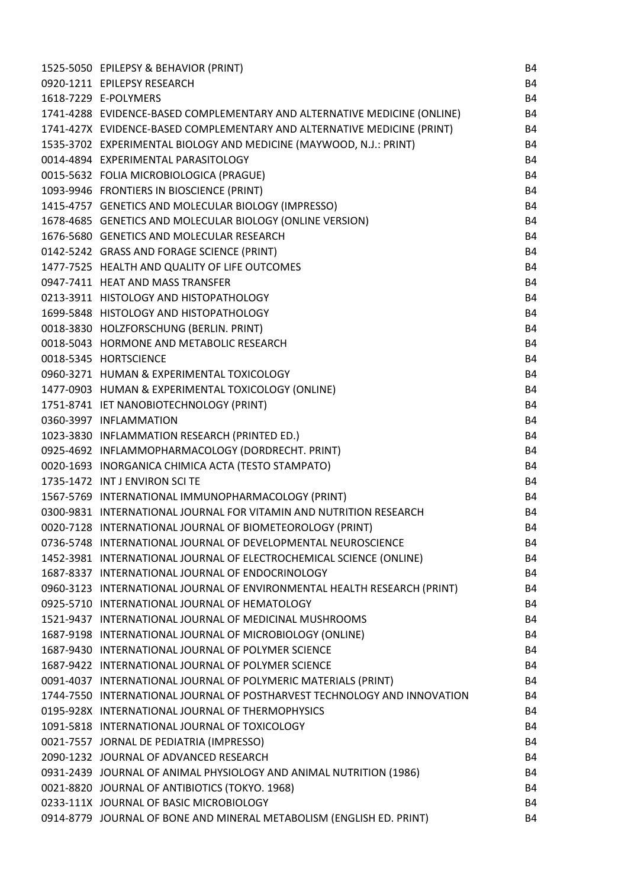| 1525-5050 EPILEPSY & BEHAVIOR (PRINT)                                    | B4        |
|--------------------------------------------------------------------------|-----------|
| 0920-1211 EPILEPSY RESEARCH                                              | <b>B4</b> |
| 1618-7229 E-POLYMERS                                                     | <b>B4</b> |
| 1741-4288 EVIDENCE-BASED COMPLEMENTARY AND ALTERNATIVE MEDICINE (ONLINE) | <b>B4</b> |
| 1741-427X EVIDENCE-BASED COMPLEMENTARY AND ALTERNATIVE MEDICINE (PRINT)  | <b>B4</b> |
| 1535-3702 EXPERIMENTAL BIOLOGY AND MEDICINE (MAYWOOD, N.J.: PRINT)       | <b>B4</b> |
| 0014-4894 EXPERIMENTAL PARASITOLOGY                                      | <b>B4</b> |
| 0015-5632 FOLIA MICROBIOLOGICA (PRAGUE)                                  | <b>B4</b> |
| 1093-9946 FRONTIERS IN BIOSCIENCE (PRINT)                                | <b>B4</b> |
| 1415-4757 GENETICS AND MOLECULAR BIOLOGY (IMPRESSO)                      | <b>B4</b> |
| 1678-4685 GENETICS AND MOLECULAR BIOLOGY (ONLINE VERSION)                | <b>B4</b> |
| 1676-5680 GENETICS AND MOLECULAR RESEARCH                                | <b>B4</b> |
| 0142-5242 GRASS AND FORAGE SCIENCE (PRINT)                               | <b>B4</b> |
| 1477-7525 HEALTH AND QUALITY OF LIFE OUTCOMES                            | <b>B4</b> |
| 0947-7411 HEAT AND MASS TRANSFER                                         | <b>B4</b> |
| 0213-3911 HISTOLOGY AND HISTOPATHOLOGY                                   | <b>B4</b> |
| 1699-5848 HISTOLOGY AND HISTOPATHOLOGY                                   | <b>B4</b> |
| 0018-3830 HOLZFORSCHUNG (BERLIN. PRINT)                                  | <b>B4</b> |
| 0018-5043 HORMONE AND METABOLIC RESEARCH                                 | <b>B4</b> |
| 0018-5345 HORTSCIENCE                                                    | <b>B4</b> |
| 0960-3271 HUMAN & EXPERIMENTAL TOXICOLOGY                                | <b>B4</b> |
| 1477-0903 HUMAN & EXPERIMENTAL TOXICOLOGY (ONLINE)                       | <b>B4</b> |
| 1751-8741 IET NANOBIOTECHNOLOGY (PRINT)                                  | B4        |
| 0360-3997 INFLAMMATION                                                   | <b>B4</b> |
| 1023-3830 INFLAMMATION RESEARCH (PRINTED ED.)                            | B4        |
| 0925-4692 INFLAMMOPHARMACOLOGY (DORDRECHT. PRINT)                        | <b>B4</b> |
| 0020-1693 INORGANICA CHIMICA ACTA (TESTO STAMPATO)                       | <b>B4</b> |
| 1735-1472 INT J ENVIRON SCI TE                                           | B4        |
| 1567-5769 INTERNATIONAL IMMUNOPHARMACOLOGY (PRINT)                       | B4        |
| 0300-9831 INTERNATIONAL JOURNAL FOR VITAMIN AND NUTRITION RESEARCH       | <b>B4</b> |
| 0020-7128 INTERNATIONAL JOURNAL OF BIOMETEOROLOGY (PRINT)                | <b>B4</b> |
| 0736-5748 INTERNATIONAL JOURNAL OF DEVELOPMENTAL NEUROSCIENCE            | B4        |
| 1452-3981 INTERNATIONAL JOURNAL OF ELECTROCHEMICAL SCIENCE (ONLINE)      | <b>B4</b> |
| 1687-8337 INTERNATIONAL JOURNAL OF ENDOCRINOLOGY                         | <b>B4</b> |
| 0960-3123 INTERNATIONAL JOURNAL OF ENVIRONMENTAL HEALTH RESEARCH (PRINT) | <b>B4</b> |
| 0925-5710 INTERNATIONAL JOURNAL OF HEMATOLOGY                            | <b>B4</b> |
| 1521-9437 INTERNATIONAL JOURNAL OF MEDICINAL MUSHROOMS                   | <b>B4</b> |
| 1687-9198 INTERNATIONAL JOURNAL OF MICROBIOLOGY (ONLINE)                 | <b>B4</b> |
| 1687-9430 INTERNATIONAL JOURNAL OF POLYMER SCIENCE                       | <b>B4</b> |
| 1687-9422 INTERNATIONAL JOURNAL OF POLYMER SCIENCE                       | <b>B4</b> |
| 0091-4037 INTERNATIONAL JOURNAL OF POLYMERIC MATERIALS (PRINT)           | <b>B4</b> |
| 1744-7550 INTERNATIONAL JOURNAL OF POSTHARVEST TECHNOLOGY AND INNOVATION | <b>B4</b> |
| 0195-928X INTERNATIONAL JOURNAL OF THERMOPHYSICS                         | <b>B4</b> |
| 1091-5818 INTERNATIONAL JOURNAL OF TOXICOLOGY                            | B4        |
| 0021-7557 JORNAL DE PEDIATRIA (IMPRESSO)                                 | B4        |
| 2090-1232 JOURNAL OF ADVANCED RESEARCH                                   | <b>B4</b> |
| 0931-2439 JOURNAL OF ANIMAL PHYSIOLOGY AND ANIMAL NUTRITION (1986)       | <b>B4</b> |
| 0021-8820 JOURNAL OF ANTIBIOTICS (TOKYO. 1968)                           | B4        |
| 0233-111X JOURNAL OF BASIC MICROBIOLOGY                                  | B4        |
| 0914-8779 JOURNAL OF BONE AND MINERAL METABOLISM (ENGLISH ED. PRINT)     | <b>B4</b> |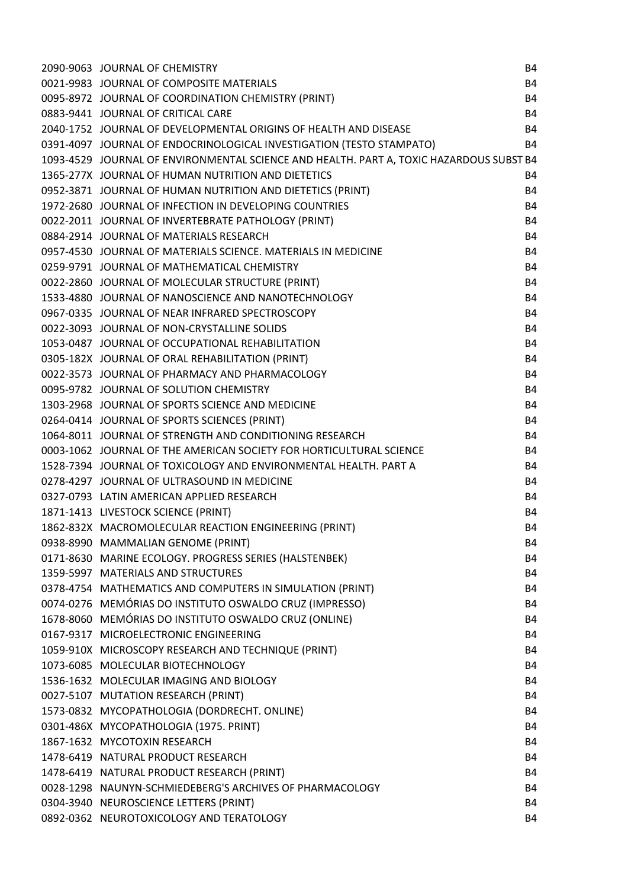|                                                                                                                                                                                                                                                                                                                      | <b>B4</b> |
|----------------------------------------------------------------------------------------------------------------------------------------------------------------------------------------------------------------------------------------------------------------------------------------------------------------------|-----------|
|                                                                                                                                                                                                                                                                                                                      | <b>B4</b> |
|                                                                                                                                                                                                                                                                                                                      | <b>B4</b> |
|                                                                                                                                                                                                                                                                                                                      | <b>B4</b> |
| <b>COLL COMPOSITE MATERIALS<br/>1995-8972 JOURNAL OF COORDINATION CHEMISTRY (PRINT)<br/>19883-9441 JOURNAL OF CRITICAL CARE<br/>1990-1752 JOURNAL OF DEVELOPMENTAL ORIGINS OF HEALTH AND DISCREM391-4097 JOURNAL OF DISCREMENTAL ORIGINS OF </b><br>2040-1752 JOURNAL OF DEVELOPMENTAL ORIGINS OF HEALTH AND DISEASE | <b>B4</b> |
| 0391-4097 JOURNAL OF ENDOCRINOLOGICAL INVESTIGATION (TESTO STAMPATO)                                                                                                                                                                                                                                                 | <b>B4</b> |
| 1093-4529 JOURNAL OF ENVIRONMENTAL SCIENCE AND HEALTH. PART A, TOXIC HAZARDOUS SUBST B4                                                                                                                                                                                                                              |           |
| 1365-277X JOURNAL OF HUMAN NUTRITION AND DIETETICS                                                                                                                                                                                                                                                                   | <b>B4</b> |
| 0952-3871 JOURNAL OF HUMAN NUTRITION AND DIETETICS (PRINT)                                                                                                                                                                                                                                                           | <b>B4</b> |
|                                                                                                                                                                                                                                                                                                                      | <b>B4</b> |
|                                                                                                                                                                                                                                                                                                                      | <b>B4</b> |
|                                                                                                                                                                                                                                                                                                                      | <b>B4</b> |
|                                                                                                                                                                                                                                                                                                                      | <b>B4</b> |
|                                                                                                                                                                                                                                                                                                                      | <b>B4</b> |
|                                                                                                                                                                                                                                                                                                                      | <b>B4</b> |
|                                                                                                                                                                                                                                                                                                                      | <b>B4</b> |
|                                                                                                                                                                                                                                                                                                                      | <b>B4</b> |
| 0952-38/1 JOURNAL OF HUMAN NUTRITION AND DIETETICS (PRINT)<br>1972-2680 JOURNAL OF INFECTION IN DEVELOPING COUNTRIES<br>0022-2011 JOURNAL OF INVERTEBRATE PATHOLOGY (PRINT)<br>0884-2914 JOURNAL OF INVERTEBRATE PATHOLOGY (PRINT)<br>0854                                                                           | <b>B4</b> |
|                                                                                                                                                                                                                                                                                                                      | <b>B4</b> |
|                                                                                                                                                                                                                                                                                                                      | <b>B4</b> |
|                                                                                                                                                                                                                                                                                                                      | <b>B4</b> |
|                                                                                                                                                                                                                                                                                                                      | <b>B4</b> |
|                                                                                                                                                                                                                                                                                                                      | <b>B4</b> |
|                                                                                                                                                                                                                                                                                                                      | <b>B4</b> |
| 0305-182X JOURNAL OF ORAL REHABILITATION (PRINT)<br>0022-3573 JOURNAL OF PHARMACY AND PHARMACOLOGY<br>0095-9782 JOURNAL OF SOLUTION CHEMISTRY<br>1303-2968 JOURNAL OF SPORTS SCIENCE AND MEDICINE<br>0264-0414 JOURNAL OF SPORTS SCIENCES                                                                            | <b>B4</b> |
| 0003-1062 JOURNAL OF THE AMERICAN SOCIETY FOR HORTICULTURAL SCIENCE                                                                                                                                                                                                                                                  | <b>B4</b> |
| 1528-7394 JOURNAL OF TOXICOLOGY AND ENVIRONMENTAL HEALTH. PART A                                                                                                                                                                                                                                                     | <b>B4</b> |
| 0278-4297 JOURNAL OF ULTRASOUND IN MEDICINE                                                                                                                                                                                                                                                                          | <b>B4</b> |
| 0327-0793 LATIN AMERICAN APPLIED RESEARCH                                                                                                                                                                                                                                                                            | <b>B4</b> |
| 1871-1413 LIVESTOCK SCIENCE (PRINT)                                                                                                                                                                                                                                                                                  | <b>B4</b> |
| 1862-832X MACROMOLECULAR REACTION ENGINEERING (PRINT)                                                                                                                                                                                                                                                                | <b>B4</b> |
| 0938-8990 MAMMALIAN GENOME (PRINT)                                                                                                                                                                                                                                                                                   | <b>B4</b> |
| 0171-8630 MARINE ECOLOGY. PROGRESS SERIES (HALSTENBEK)                                                                                                                                                                                                                                                               | <b>B4</b> |
| 1359-5997 MATERIALS AND STRUCTURES                                                                                                                                                                                                                                                                                   | <b>B4</b> |
| 0378-4754 MATHEMATICS AND COMPUTERS IN SIMULATION (PRINT)                                                                                                                                                                                                                                                            | <b>B4</b> |
| 0074-0276 MEMÓRIAS DO INSTITUTO OSWALDO CRUZ (IMPRESSO)                                                                                                                                                                                                                                                              | <b>B4</b> |
| 1678-8060 MEMÓRIAS DO INSTITUTO OSWALDO CRUZ (ONLINE)                                                                                                                                                                                                                                                                | <b>B4</b> |
| 0167-9317 MICROELECTRONIC ENGINEERING                                                                                                                                                                                                                                                                                | <b>B4</b> |
| 1059-910X MICROSCOPY RESEARCH AND TECHNIQUE (PRINT)                                                                                                                                                                                                                                                                  | <b>B4</b> |
| 1073-6085 MOLECULAR BIOTECHNOLOGY                                                                                                                                                                                                                                                                                    | <b>B4</b> |
| 1536-1632 MOLECULAR IMAGING AND BIOLOGY                                                                                                                                                                                                                                                                              | <b>B4</b> |
| 0027-5107 MUTATION RESEARCH (PRINT)                                                                                                                                                                                                                                                                                  | <b>B4</b> |
| 1573-0832 MYCOPATHOLOGIA (DORDRECHT. ONLINE)                                                                                                                                                                                                                                                                         | <b>B4</b> |
| 0301-486X MYCOPATHOLOGIA (1975. PRINT)                                                                                                                                                                                                                                                                               | <b>B4</b> |
| 1867-1632 MYCOTOXIN RESEARCH                                                                                                                                                                                                                                                                                         | <b>B4</b> |
| 1478-6419 NATURAL PRODUCT RESEARCH                                                                                                                                                                                                                                                                                   | <b>B4</b> |
| 1478-6419 NATURAL PRODUCT RESEARCH (PRINT)                                                                                                                                                                                                                                                                           | <b>B4</b> |
| 0028-1298 NAUNYN-SCHMIEDEBERG'S ARCHIVES OF PHARMACOLOGY                                                                                                                                                                                                                                                             | <b>B4</b> |
| 0304-3940 NEUROSCIENCE LETTERS (PRINT)                                                                                                                                                                                                                                                                               | <b>B4</b> |
| 0892-0362 NEUROTOXICOLOGY AND TERATOLOGY                                                                                                                                                                                                                                                                             | <b>B4</b> |
|                                                                                                                                                                                                                                                                                                                      |           |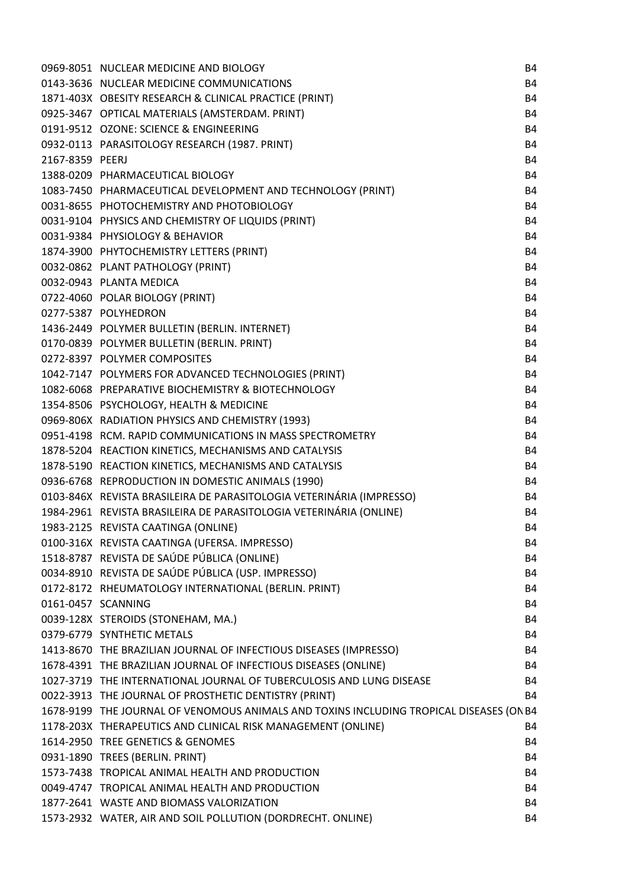|                    | 0969-8051 NUCLEAR MEDICINE AND BIOLOGY                                                  | <b>B4</b> |
|--------------------|-----------------------------------------------------------------------------------------|-----------|
|                    | 0143-3636 NUCLEAR MEDICINE COMMUNICATIONS                                               | <b>B4</b> |
|                    | 1871-403X OBESITY RESEARCH & CLINICAL PRACTICE (PRINT)                                  | <b>B4</b> |
|                    | 0925-3467 OPTICAL MATERIALS (AMSTERDAM. PRINT)                                          | <b>B4</b> |
|                    | 0191-9512 OZONE: SCIENCE & ENGINEERING                                                  | <b>B4</b> |
|                    | 0932-0113 PARASITOLOGY RESEARCH (1987. PRINT)                                           | <b>B4</b> |
| 2167-8359 PEERJ    |                                                                                         | <b>B4</b> |
|                    | 1388-0209 PHARMACEUTICAL BIOLOGY                                                        | <b>B4</b> |
|                    | 1083-7450 PHARMACEUTICAL DEVELOPMENT AND TECHNOLOGY (PRINT)                             | <b>B4</b> |
|                    | 0031-8655 PHOTOCHEMISTRY AND PHOTOBIOLOGY                                               | <b>B4</b> |
|                    | 0031-9104 PHYSICS AND CHEMISTRY OF LIQUIDS (PRINT)                                      | <b>B4</b> |
|                    | 0031-9384 PHYSIOLOGY & BEHAVIOR                                                         | <b>B4</b> |
|                    | 1874-3900 PHYTOCHEMISTRY LETTERS (PRINT)                                                | <b>B4</b> |
|                    | 0032-0862 PLANT PATHOLOGY (PRINT)                                                       | <b>B4</b> |
|                    | 0032-0943 PLANTA MEDICA                                                                 | <b>B4</b> |
|                    | 0722-4060 POLAR BIOLOGY (PRINT)                                                         | <b>B4</b> |
|                    | 0277-5387 POLYHEDRON                                                                    | <b>B4</b> |
|                    | 1436-2449 POLYMER BULLETIN (BERLIN. INTERNET)                                           | <b>B4</b> |
|                    | 0170-0839 POLYMER BULLETIN (BERLIN. PRINT)                                              | <b>B4</b> |
|                    | 0272-8397 POLYMER COMPOSITES                                                            | <b>B4</b> |
|                    | 1042-7147 POLYMERS FOR ADVANCED TECHNOLOGIES (PRINT)                                    | <b>B4</b> |
|                    | 1082-6068 PREPARATIVE BIOCHEMISTRY & BIOTECHNOLOGY                                      | <b>B4</b> |
|                    | 1354-8506 PSYCHOLOGY, HEALTH & MEDICINE                                                 | <b>B4</b> |
|                    | 0969-806X RADIATION PHYSICS AND CHEMISTRY (1993)                                        | <b>B4</b> |
|                    | 0951-4198 RCM. RAPID COMMUNICATIONS IN MASS SPECTROMETRY                                | <b>B4</b> |
|                    | 1878-5204 REACTION KINETICS, MECHANISMS AND CATALYSIS                                   | <b>B4</b> |
|                    | 1878-5190 REACTION KINETICS, MECHANISMS AND CATALYSIS                                   | <b>B4</b> |
|                    | 0936-6768 REPRODUCTION IN DOMESTIC ANIMALS (1990)                                       | <b>B4</b> |
|                    | 0103-846X REVISTA BRASILEIRA DE PARASITOLOGIA VETERINÁRIA (IMPRESSO)                    | <b>B4</b> |
|                    | 1984-2961 REVISTA BRASILEIRA DE PARASITOLOGIA VETERINÁRIA (ONLINE)                      | <b>B4</b> |
|                    | 1983-2125 REVISTA CAATINGA (ONLINE)                                                     | <b>B4</b> |
|                    | 0100-316X REVISTA CAATINGA (UFERSA. IMPRESSO)                                           | <b>B4</b> |
|                    | 1518-8787 REVISTA DE SAÚDE PÚBLICA (ONLINE)                                             | <b>B4</b> |
|                    | 0034-8910 REVISTA DE SAÚDE PÚBLICA (USP. IMPRESSO)                                      | <b>B4</b> |
|                    | 0172-8172 RHEUMATOLOGY INTERNATIONAL (BERLIN. PRINT)                                    | <b>B4</b> |
| 0161-0457 SCANNING |                                                                                         | <b>B4</b> |
|                    | 0039-128X STEROIDS (STONEHAM, MA.)                                                      | <b>B4</b> |
|                    | 0379-6779 SYNTHETIC METALS                                                              | <b>B4</b> |
|                    | 1413-8670 THE BRAZILIAN JOURNAL OF INFECTIOUS DISEASES (IMPRESSO)                       | <b>B4</b> |
|                    | 1678-4391 THE BRAZILIAN JOURNAL OF INFECTIOUS DISEASES (ONLINE)                         | <b>B4</b> |
|                    | 1027-3719 THE INTERNATIONAL JOURNAL OF TUBERCULOSIS AND LUNG DISEASE                    | <b>B4</b> |
|                    | 0022-3913 THE JOURNAL OF PROSTHETIC DENTISTRY (PRINT)                                   | <b>B4</b> |
|                    | 1678-9199 THE JOURNAL OF VENOMOUS ANIMALS AND TOXINS INCLUDING TROPICAL DISEASES (ON B4 |           |
|                    | 1178-203X THERAPEUTICS AND CLINICAL RISK MANAGEMENT (ONLINE)                            | <b>B4</b> |
|                    | 1614-2950 TREE GENETICS & GENOMES                                                       | <b>B4</b> |
|                    | 0931-1890 TREES (BERLIN. PRINT)                                                         | <b>B4</b> |
|                    | 1573-7438 TROPICAL ANIMAL HEALTH AND PRODUCTION                                         | <b>B4</b> |
|                    | 0049-4747 TROPICAL ANIMAL HEALTH AND PRODUCTION                                         | <b>B4</b> |
|                    | 1877-2641 WASTE AND BIOMASS VALORIZATION                                                | <b>B4</b> |
|                    | 1573-2932 WATER, AIR AND SOIL POLLUTION (DORDRECHT. ONLINE)                             | <b>B4</b> |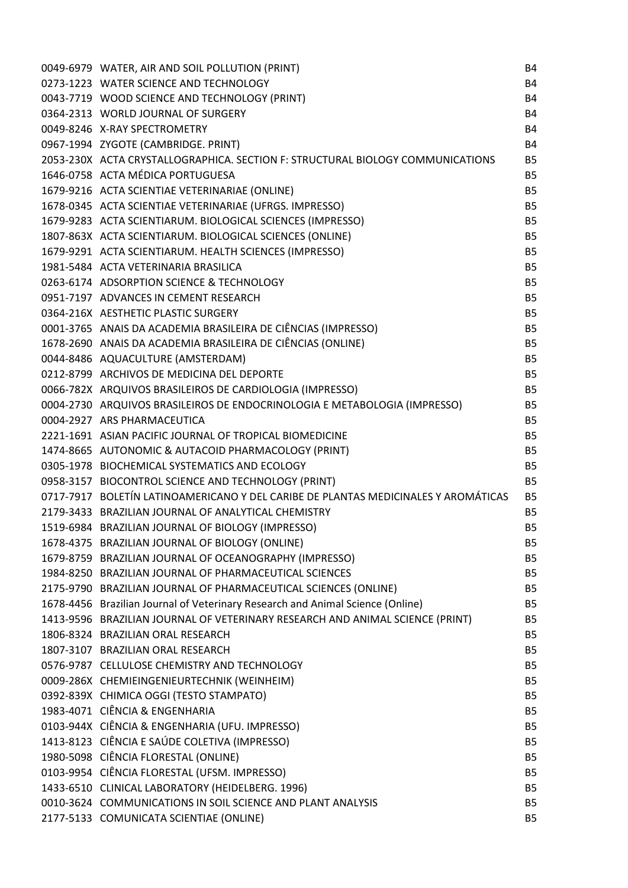| 0049-6979 WATER, AIR AND SOIL POLLUTION (PRINT)                                    | B4        |
|------------------------------------------------------------------------------------|-----------|
| 0273-1223 WATER SCIENCE AND TECHNOLOGY                                             | <b>B4</b> |
| 0043-7719 WOOD SCIENCE AND TECHNOLOGY (PRINT)                                      | <b>B4</b> |
| 0364-2313 WORLD JOURNAL OF SURGERY                                                 | <b>B4</b> |
| 0049-8246 X-RAY SPECTROMETRY                                                       | <b>B4</b> |
| 0967-1994 ZYGOTE (CAMBRIDGE. PRINT)                                                | <b>B4</b> |
| 2053-230X ACTA CRYSTALLOGRAPHICA. SECTION F: STRUCTURAL BIOLOGY COMMUNICATIONS     | <b>B5</b> |
| 1646-0758 ACTA MÉDICA PORTUGUESA                                                   | <b>B5</b> |
| 1679-9216 ACTA SCIENTIAE VETERINARIAE (ONLINE)                                     | <b>B5</b> |
| 1678-0345 ACTA SCIENTIAE VETERINARIAE (UFRGS. IMPRESSO)                            | <b>B5</b> |
| 1679-9283 ACTA SCIENTIARUM. BIOLOGICAL SCIENCES (IMPRESSO)                         | <b>B5</b> |
| 1807-863X ACTA SCIENTIARUM. BIOLOGICAL SCIENCES (ONLINE)                           | <b>B5</b> |
| 1679-9291 ACTA SCIENTIARUM. HEALTH SCIENCES (IMPRESSO)                             | <b>B5</b> |
| 1981-5484 ACTA VETERINARIA BRASILICA                                               | <b>B5</b> |
| 0263-6174 ADSORPTION SCIENCE & TECHNOLOGY                                          | <b>B5</b> |
| 0951-7197 ADVANCES IN CEMENT RESEARCH                                              | <b>B5</b> |
| 0364-216X AESTHETIC PLASTIC SURGERY                                                | <b>B5</b> |
| 0001-3765 ANAIS DA ACADEMIA BRASILEIRA DE CIÊNCIAS (IMPRESSO)                      | <b>B5</b> |
| 1678-2690 ANAIS DA ACADEMIA BRASILEIRA DE CIÊNCIAS (ONLINE)                        | <b>B5</b> |
| 0044-8486 AQUACULTURE (AMSTERDAM)                                                  | <b>B5</b> |
| 0212-8799 ARCHIVOS DE MEDICINA DEL DEPORTE                                         | <b>B5</b> |
| 0066-782X ARQUIVOS BRASILEIROS DE CARDIOLOGIA (IMPRESSO)                           | <b>B5</b> |
| 0004-2730 ARQUIVOS BRASILEIROS DE ENDOCRINOLOGIA E METABOLOGIA (IMPRESSO)          | <b>B5</b> |
| 0004-2927 ARS PHARMACEUTICA                                                        | <b>B5</b> |
| 2221-1691 ASIAN PACIFIC JOURNAL OF TROPICAL BIOMEDICINE                            | <b>B5</b> |
| 1474-8665 AUTONOMIC & AUTACOID PHARMACOLOGY (PRINT)                                | <b>B5</b> |
| 0305-1978 BIOCHEMICAL SYSTEMATICS AND ECOLOGY                                      | <b>B5</b> |
| 0958-3157 BIOCONTROL SCIENCE AND TECHNOLOGY (PRINT)                                | <b>B5</b> |
| 0717-7917 BOLETÍN LATINOAMERICANO Y DEL CARIBE DE PLANTAS MEDICINALES Y AROMÁTICAS | <b>B5</b> |
| 2179-3433 BRAZILIAN JOURNAL OF ANALYTICAL CHEMISTRY                                | <b>B5</b> |
| 1519-6984 BRAZILIAN JOURNAL OF BIOLOGY (IMPRESSO)                                  | <b>B5</b> |
| 1678-4375 BRAZILIAN JOURNAL OF BIOLOGY (ONLINE)                                    | B5        |
| 1679-8759 BRAZILIAN JOURNAL OF OCEANOGRAPHY (IMPRESSO)                             | <b>B5</b> |
| 1984-8250 BRAZILIAN JOURNAL OF PHARMACEUTICAL SCIENCES                             | <b>B5</b> |
| 2175-9790 BRAZILIAN JOURNAL OF PHARMACEUTICAL SCIENCES (ONLINE)                    | <b>B5</b> |
| 1678-4456 Brazilian Journal of Veterinary Research and Animal Science (Online)     | <b>B5</b> |
| 1413-9596 BRAZILIAN JOURNAL OF VETERINARY RESEARCH AND ANIMAL SCIENCE (PRINT)      | <b>B5</b> |
| 1806-8324 BRAZILIAN ORAL RESEARCH                                                  | <b>B5</b> |
| 1807-3107 BRAZILIAN ORAL RESEARCH                                                  | <b>B5</b> |
| 0576-9787 CELLULOSE CHEMISTRY AND TECHNOLOGY                                       | <b>B5</b> |
| 0009-286X CHEMIEINGENIEURTECHNIK (WEINHEIM)                                        | B5        |
| 0392-839X CHIMICA OGGI (TESTO STAMPATO)                                            | <b>B5</b> |
| 1983-4071 CIÊNCIA & ENGENHARIA                                                     | <b>B5</b> |
| 0103-944X CIÊNCIA & ENGENHARIA (UFU. IMPRESSO)                                     | <b>B5</b> |
| 1413-8123 CIÊNCIA E SAÚDE COLETIVA (IMPRESSO)                                      | <b>B5</b> |
| 1980-5098 CIÊNCIA FLORESTAL (ONLINE)                                               | <b>B5</b> |
| 0103-9954 CIÊNCIA FLORESTAL (UFSM. IMPRESSO)                                       | <b>B5</b> |
| 1433-6510 CLINICAL LABORATORY (HEIDELBERG. 1996)                                   | <b>B5</b> |
| 0010-3624 COMMUNICATIONS IN SOIL SCIENCE AND PLANT ANALYSIS                        | <b>B5</b> |
| 2177-5133 COMUNICATA SCIENTIAE (ONLINE)                                            | <b>B5</b> |
|                                                                                    |           |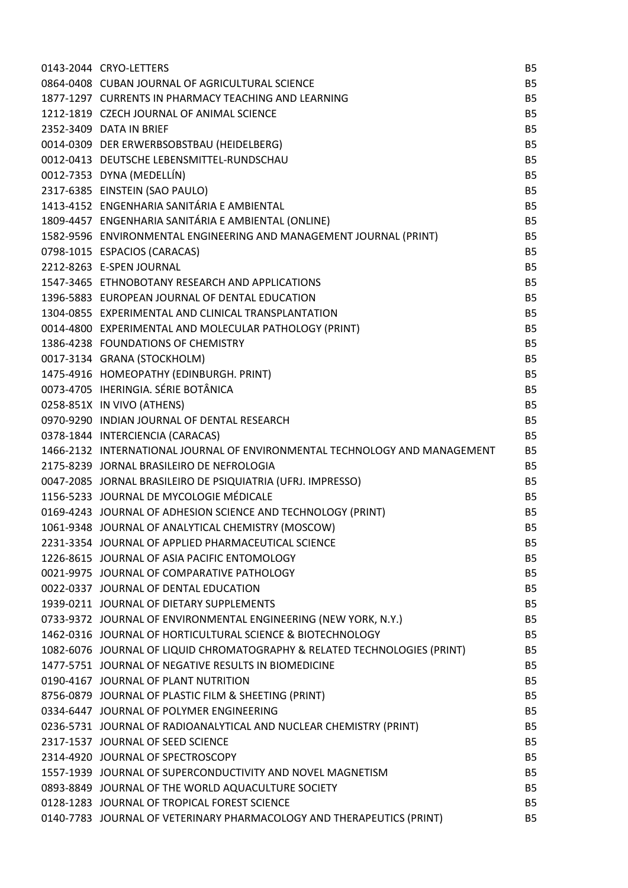| 0143-2044 CRYO-LETTERS                                                     | <b>B5</b> |
|----------------------------------------------------------------------------|-----------|
| 0864-0408 CUBAN JOURNAL OF AGRICULTURAL SCIENCE                            | <b>B5</b> |
| 1877-1297 CURRENTS IN PHARMACY TEACHING AND LEARNING                       | <b>B5</b> |
| 1212-1819 CZECH JOURNAL OF ANIMAL SCIENCE                                  | <b>B5</b> |
| 2352-3409 DATA IN BRIEF                                                    | <b>B5</b> |
| 0014-0309 DER ERWERBSOBSTBAU (HEIDELBERG)                                  | <b>B5</b> |
| 0012-0413 DEUTSCHE LEBENSMITTEL-RUNDSCHAU                                  | <b>B5</b> |
| 0012-7353 DYNA (MEDELLÍN)                                                  | <b>B5</b> |
| 2317-6385 EINSTEIN (SAO PAULO)                                             | <b>B5</b> |
| 1413-4152 ENGENHARIA SANITÁRIA E AMBIENTAL                                 | <b>B5</b> |
| 1809-4457 ENGENHARIA SANITÁRIA E AMBIENTAL (ONLINE)                        | <b>B5</b> |
| 1582-9596 ENVIRONMENTAL ENGINEERING AND MANAGEMENT JOURNAL (PRINT)         | <b>B5</b> |
| 0798-1015 ESPACIOS (CARACAS)                                               | <b>B5</b> |
| 2212-8263 E-SPEN JOURNAL                                                   | <b>B5</b> |
| 1547-3465 ETHNOBOTANY RESEARCH AND APPLICATIONS                            | <b>B5</b> |
| 1396-5883 EUROPEAN JOURNAL OF DENTAL EDUCATION                             | <b>B5</b> |
| 1304-0855 EXPERIMENTAL AND CLINICAL TRANSPLANTATION                        | <b>B5</b> |
| 0014-4800 EXPERIMENTAL AND MOLECULAR PATHOLOGY (PRINT)                     | <b>B5</b> |
| 1386-4238 FOUNDATIONS OF CHEMISTRY                                         | <b>B5</b> |
| 0017-3134 GRANA (STOCKHOLM)                                                | <b>B5</b> |
| 1475-4916 HOMEOPATHY (EDINBURGH. PRINT)                                    | <b>B5</b> |
| 0073-4705 IHERINGIA. SÉRIE BOTÂNICA                                        | <b>B5</b> |
| 0258-851X IN VIVO (ATHENS)                                                 | <b>B5</b> |
| 0970-9290 INDIAN JOURNAL OF DENTAL RESEARCH                                | <b>B5</b> |
| 0378-1844 INTERCIENCIA (CARACAS)                                           | <b>B5</b> |
| 1466-2132 INTERNATIONAL JOURNAL OF ENVIRONMENTAL TECHNOLOGY AND MANAGEMENT | <b>B5</b> |
| 2175-8239 JORNAL BRASILEIRO DE NEFROLOGIA                                  | <b>B5</b> |
| 0047-2085 JORNAL BRASILEIRO DE PSIQUIATRIA (UFRJ. IMPRESSO)                | <b>B5</b> |
| 1156-5233 JOURNAL DE MYCOLOGIE MÉDICALE                                    | <b>B5</b> |
| 0169-4243 JOURNAL OF ADHESION SCIENCE AND TECHNOLOGY (PRINT)               | <b>B5</b> |
| 1061-9348 JOURNAL OF ANALYTICAL CHEMISTRY (MOSCOW)                         | <b>B5</b> |
| 2231-3354 JOURNAL OF APPLIED PHARMACEUTICAL SCIENCE                        | B5        |
| 1226-8615 JOURNAL OF ASIA PACIFIC ENTOMOLOGY                               | <b>B5</b> |
| 0021-9975 JOURNAL OF COMPARATIVE PATHOLOGY                                 | <b>B5</b> |
| 0022-0337 JOURNAL OF DENTAL EDUCATION                                      | <b>B5</b> |
| 1939-0211 JOURNAL OF DIETARY SUPPLEMENTS                                   | <b>B5</b> |
| 0733-9372 JOURNAL OF ENVIRONMENTAL ENGINEERING (NEW YORK, N.Y.)            | <b>B5</b> |
| 1462-0316 JOURNAL OF HORTICULTURAL SCIENCE & BIOTECHNOLOGY                 | <b>B5</b> |
| 1082-6076 JOURNAL OF LIQUID CHROMATOGRAPHY & RELATED TECHNOLOGIES (PRINT)  | <b>B5</b> |
| 1477-5751 JOURNAL OF NEGATIVE RESULTS IN BIOMEDICINE                       | <b>B5</b> |
| 0190-4167 JOURNAL OF PLANT NUTRITION                                       | <b>B5</b> |
| 8756-0879 JOURNAL OF PLASTIC FILM & SHEETING (PRINT)                       | <b>B5</b> |
| 0334-6447 JOURNAL OF POLYMER ENGINEERING                                   | <b>B5</b> |
| 0236-5731 JOURNAL OF RADIOANALYTICAL AND NUCLEAR CHEMISTRY (PRINT)         | <b>B5</b> |
| 2317-1537 JOURNAL OF SEED SCIENCE                                          | B5        |
| 2314-4920 JOURNAL OF SPECTROSCOPY                                          | <b>B5</b> |
| 1557-1939 JOURNAL OF SUPERCONDUCTIVITY AND NOVEL MAGNETISM                 | <b>B5</b> |
| 0893-8849 JOURNAL OF THE WORLD AQUACULTURE SOCIETY                         | <b>B5</b> |
| 0128-1283 JOURNAL OF TROPICAL FOREST SCIENCE                               | <b>B5</b> |
| 0140-7783 JOURNAL OF VETERINARY PHARMACOLOGY AND THERAPEUTICS (PRINT)      | <b>B5</b> |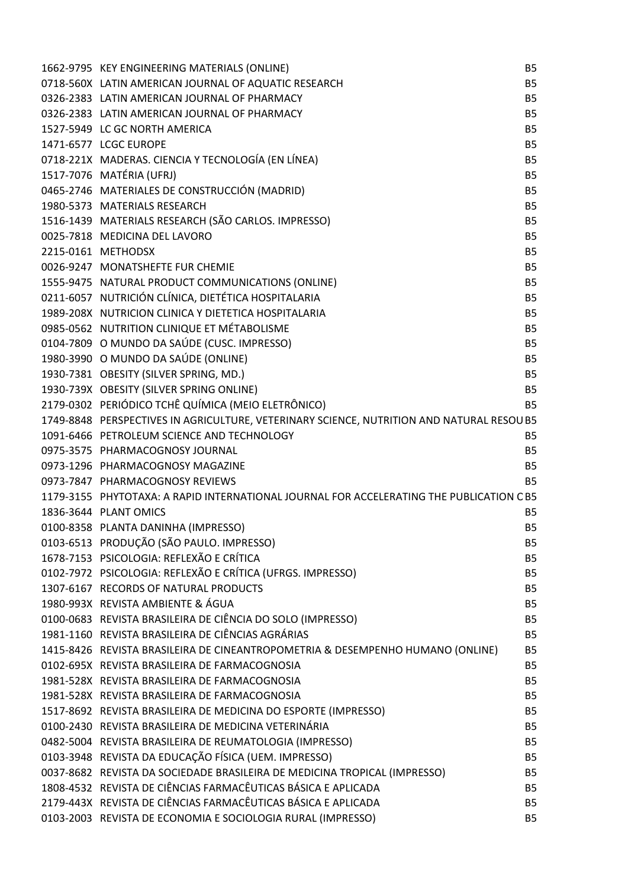| 1662-9795 KEY ENGINEERING MATERIALS (ONLINE)                                              | <b>B5</b> |
|-------------------------------------------------------------------------------------------|-----------|
| 0718-560X LATIN AMERICAN JOURNAL OF AQUATIC RESEARCH                                      | <b>B5</b> |
| 0326-2383 LATIN AMERICAN JOURNAL OF PHARMACY                                              | <b>B5</b> |
| 0326-2383 LATIN AMERICAN JOURNAL OF PHARMACY                                              | <b>B5</b> |
| 1527-5949 LC GC NORTH AMERICA                                                             | <b>B5</b> |
| 1471-6577 LCGC EUROPE                                                                     | <b>B5</b> |
| 0718-221X MADERAS. CIENCIA Y TECNOLOGÍA (EN LÍNEA)                                        | <b>B5</b> |
| 1517-7076 MATÉRIA (UFRJ)                                                                  | <b>B5</b> |
| 0465-2746 MATERIALES DE CONSTRUCCIÓN (MADRID)                                             | <b>B5</b> |
| 1980-5373 MATERIALS RESEARCH                                                              | <b>B5</b> |
| 1516-1439 MATERIALS RESEARCH (SÃO CARLOS. IMPRESSO)                                       | <b>B5</b> |
| 0025-7818 MEDICINA DEL LAVORO                                                             | <b>B5</b> |
| 2215-0161 METHODSX                                                                        | <b>B5</b> |
| 0026-9247 MONATSHEFTE FUR CHEMIE                                                          | <b>B5</b> |
| 1555-9475 NATURAL PRODUCT COMMUNICATIONS (ONLINE)                                         | <b>B5</b> |
| 0211-6057 NUTRICIÓN CLÍNICA, DIETÉTICA HOSPITALARIA                                       | <b>B5</b> |
| 1989-208X NUTRICION CLINICA Y DIETETICA HOSPITALARIA                                      | <b>B5</b> |
| 0985-0562 NUTRITION CLINIQUE ET MÉTABOLISME                                               | <b>B5</b> |
| 0104-7809 O MUNDO DA SAÚDE (CUSC. IMPRESSO)                                               | <b>B5</b> |
| 1980-3990 O MUNDO DA SAÚDE (ONLINE)                                                       | <b>B5</b> |
| 1930-7381 OBESITY (SILVER SPRING, MD.)                                                    | <b>B5</b> |
| 1930-739X OBESITY (SILVER SPRING ONLINE)                                                  | <b>B5</b> |
| 2179-0302 PERIÓDICO TCHÊ QUÍMICA (MEIO ELETRÔNICO)                                        | <b>B5</b> |
| 1749-8848 PERSPECTIVES IN AGRICULTURE, VETERINARY SCIENCE, NUTRITION AND NATURAL RESOU B5 |           |
| 1091-6466 PETROLEUM SCIENCE AND TECHNOLOGY                                                | <b>B5</b> |
| 0975-3575 PHARMACOGNOSY JOURNAL                                                           | <b>B5</b> |
| 0973-1296 PHARMACOGNOSY MAGAZINE                                                          | <b>B5</b> |
| 0973-7847 PHARMACOGNOSY REVIEWS                                                           | <b>B5</b> |
| 1179-3155 PHYTOTAXA: A RAPID INTERNATIONAL JOURNAL FOR ACCELERATING THE PUBLICATION C B5  |           |
| 1836-3644 PLANT OMICS                                                                     | <b>B5</b> |
| 0100-8358 PLANTA DANINHA (IMPRESSO)                                                       | <b>B5</b> |
| 0103-6513 PRODUÇÃO (SÃO PAULO. IMPRESSO)                                                  | <b>B5</b> |
| 1678-7153 PSICOLOGIA: REFLEXÃO E CRÍTICA                                                  | <b>B5</b> |
| 0102-7972 PSICOLOGIA: REFLEXÃO E CRÍTICA (UFRGS. IMPRESSO)                                | <b>B5</b> |
| 1307-6167 RECORDS OF NATURAL PRODUCTS                                                     | <b>B5</b> |
| 1980-993X REVISTA AMBIENTE & ÁGUA                                                         | <b>B5</b> |
| 0100-0683 REVISTA BRASILEIRA DE CIÊNCIA DO SOLO (IMPRESSO)                                | <b>B5</b> |
| 1981-1160 REVISTA BRASILEIRA DE CIÊNCIAS AGRÁRIAS                                         | <b>B5</b> |
| 1415-8426 REVISTA BRASILEIRA DE CINEANTROPOMETRIA & DESEMPENHO HUMANO (ONLINE)            | <b>B5</b> |
| 0102-695X REVISTA BRASILEIRA DE FARMACOGNOSIA                                             | <b>B5</b> |
| 1981-528X REVISTA BRASILEIRA DE FARMACOGNOSIA                                             | <b>B5</b> |
| 1981-528X REVISTA BRASILEIRA DE FARMACOGNOSIA                                             | <b>B5</b> |
| 1517-8692 REVISTA BRASILEIRA DE MEDICINA DO ESPORTE (IMPRESSO)                            | <b>B5</b> |
| 0100-2430 REVISTA BRASILEIRA DE MEDICINA VETERINÁRIA                                      | <b>B5</b> |
| 0482-5004 REVISTA BRASILEIRA DE REUMATOLOGIA (IMPRESSO)                                   | <b>B5</b> |
| 0103-3948 REVISTA DA EDUCAÇÃO FÍSICA (UEM. IMPRESSO)                                      | <b>B5</b> |
| 0037-8682 REVISTA DA SOCIEDADE BRASILEIRA DE MEDICINA TROPICAL (IMPRESSO)                 | <b>B5</b> |
| 1808-4532 REVISTA DE CIÊNCIAS FARMACÊUTICAS BÁSICA E APLICADA                             | <b>B5</b> |
| 2179-443X REVISTA DE CIÊNCIAS FARMACÊUTICAS BÁSICA E APLICADA                             | <b>B5</b> |
| 0103-2003 REVISTA DE ECONOMIA E SOCIOLOGIA RURAL (IMPRESSO)                               | <b>B5</b> |
|                                                                                           |           |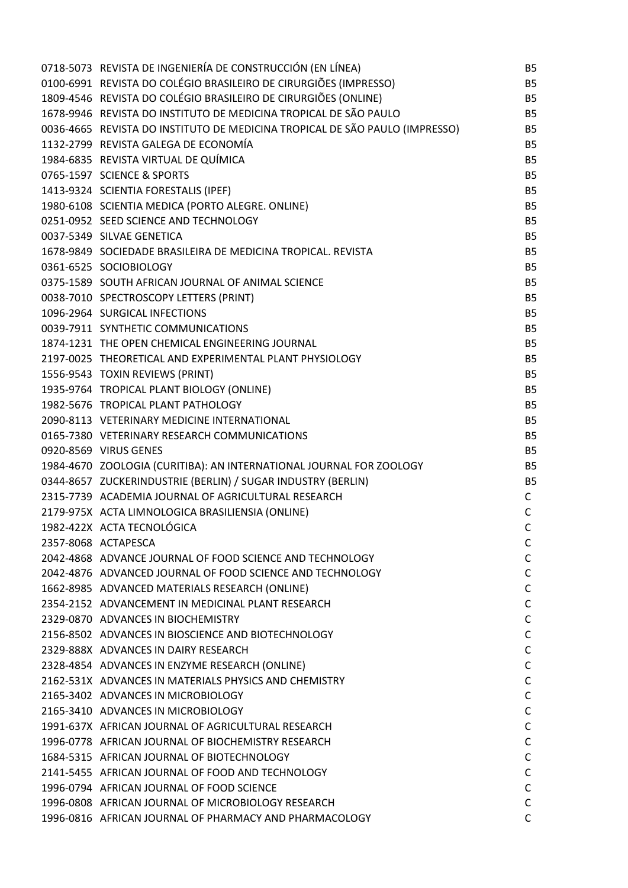| 0718-5073 REVISTA DE INGENIERÍA DE CONSTRUCCIÓN (EN LÍNEA)                  | <b>B5</b>    |
|-----------------------------------------------------------------------------|--------------|
| 0100-6991 REVISTA DO COLÉGIO BRASILEIRO DE CIRURGIÕES (IMPRESSO)            | <b>B5</b>    |
| 1809-4546 REVISTA DO COLÉGIO BRASILEIRO DE CIRURGIÕES (ONLINE)              | <b>B5</b>    |
| 1678-9946 REVISTA DO INSTITUTO DE MEDICINA TROPICAL DE SÃO PAULO            | <b>B5</b>    |
| 0036-4665 REVISTA DO INSTITUTO DE MEDICINA TROPICAL DE SÃO PAULO (IMPRESSO) | <b>B5</b>    |
| 1132-2799 REVISTA GALEGA DE ECONOMÍA                                        | <b>B5</b>    |
| 1984-6835 REVISTA VIRTUAL DE QUÍMICA                                        | <b>B5</b>    |
| 0765-1597 SCIENCE & SPORTS                                                  | <b>B5</b>    |
| 1413-9324 SCIENTIA FORESTALIS (IPEF)                                        | <b>B5</b>    |
| 1980-6108 SCIENTIA MEDICA (PORTO ALEGRE. ONLINE)                            | <b>B5</b>    |
| 0251-0952 SEED SCIENCE AND TECHNOLOGY                                       | <b>B5</b>    |
| 0037-5349 SILVAE GENETICA                                                   | <b>B5</b>    |
| 1678-9849 SOCIEDADE BRASILEIRA DE MEDICINA TROPICAL. REVISTA                | <b>B5</b>    |
| 0361-6525 SOCIOBIOLOGY                                                      | <b>B5</b>    |
| 0375-1589 SOUTH AFRICAN JOURNAL OF ANIMAL SCIENCE                           | <b>B5</b>    |
| 0038-7010 SPECTROSCOPY LETTERS (PRINT)                                      | <b>B5</b>    |
| 1096-2964 SURGICAL INFECTIONS                                               | <b>B5</b>    |
| 0039-7911 SYNTHETIC COMMUNICATIONS                                          | <b>B5</b>    |
| 1874-1231 THE OPEN CHEMICAL ENGINEERING JOURNAL                             | <b>B5</b>    |
| 2197-0025 THEORETICAL AND EXPERIMENTAL PLANT PHYSIOLOGY                     | <b>B5</b>    |
| 1556-9543 TOXIN REVIEWS (PRINT)                                             | <b>B5</b>    |
| 1935-9764 TROPICAL PLANT BIOLOGY (ONLINE)                                   | <b>B5</b>    |
| 1982-5676 TROPICAL PLANT PATHOLOGY                                          | <b>B5</b>    |
| 2090-8113 VETERINARY MEDICINE INTERNATIONAL                                 | <b>B5</b>    |
| 0165-7380 VETERINARY RESEARCH COMMUNICATIONS                                | <b>B5</b>    |
| 0920-8569 VIRUS GENES                                                       | <b>B5</b>    |
| 1984-4670 ZOOLOGIA (CURITIBA): AN INTERNATIONAL JOURNAL FOR ZOOLOGY         | <b>B5</b>    |
| 0344-8657 ZUCKERINDUSTRIE (BERLIN) / SUGAR INDUSTRY (BERLIN)                | <b>B5</b>    |
| 2315-7739 ACADEMIA JOURNAL OF AGRICULTURAL RESEARCH                         | C            |
| 2179-975X ACTA LIMNOLOGICA BRASILIENSIA (ONLINE)                            | $\mathsf{C}$ |
| 1982-422X ACTA TECNOLÓGICA                                                  | $\mathsf C$  |
| 2357-8068 ACTAPESCA                                                         | C            |
| 2042-4868 ADVANCE JOURNAL OF FOOD SCIENCE AND TECHNOLOGY                    | C            |
| 2042-4876 ADVANCED JOURNAL OF FOOD SCIENCE AND TECHNOLOGY                   | C            |
| 1662-8985 ADVANCED MATERIALS RESEARCH (ONLINE)                              | C            |
| 2354-2152 ADVANCEMENT IN MEDICINAL PLANT RESEARCH                           | $\mathsf{C}$ |
| 2329-0870 ADVANCES IN BIOCHEMISTRY                                          | C            |
| 2156-8502 ADVANCES IN BIOSCIENCE AND BIOTECHNOLOGY                          | C            |
| 2329-888X ADVANCES IN DAIRY RESEARCH                                        | C            |
| 2328-4854 ADVANCES IN ENZYME RESEARCH (ONLINE)                              | C            |
| 2162-531X ADVANCES IN MATERIALS PHYSICS AND CHEMISTRY                       | C            |
| 2165-3402 ADVANCES IN MICROBIOLOGY                                          | C            |
| 2165-3410 ADVANCES IN MICROBIOLOGY                                          | $\mathsf C$  |
| 1991-637X AFRICAN JOURNAL OF AGRICULTURAL RESEARCH                          | C            |
| 1996-0778 AFRICAN JOURNAL OF BIOCHEMISTRY RESEARCH                          |              |
| 1684-5315 AFRICAN JOURNAL OF BIOTECHNOLOGY                                  | C            |
|                                                                             | C            |
| 2141-5455 AFRICAN JOURNAL OF FOOD AND TECHNOLOGY                            | C            |
| 1996-0794 AFRICAN JOURNAL OF FOOD SCIENCE                                   | C            |
| 1996-0808 AFRICAN JOURNAL OF MICROBIOLOGY RESEARCH                          | C            |
| 1996-0816 AFRICAN JOURNAL OF PHARMACY AND PHARMACOLOGY                      | C            |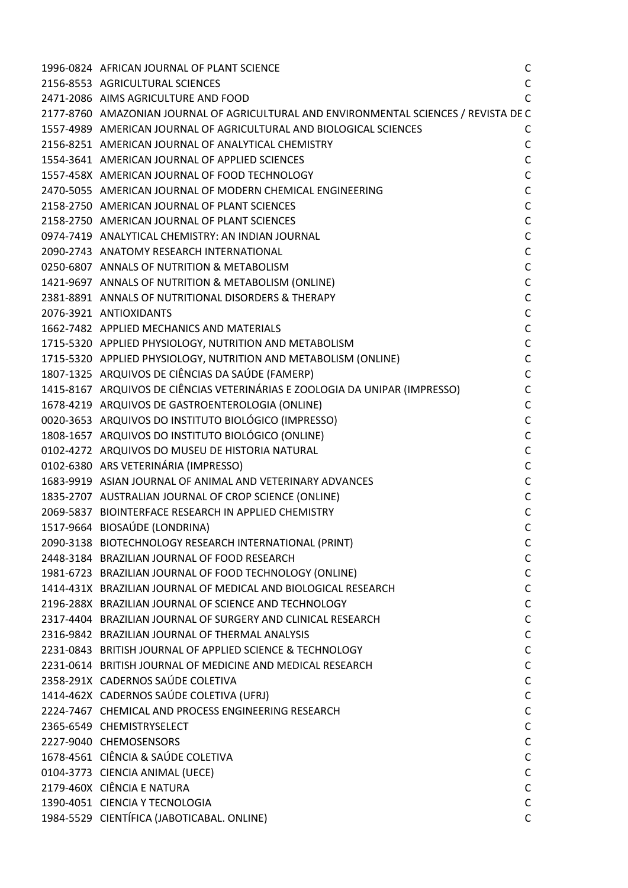| 1996-0824 AFRICAN JOURNAL OF PLANT SCIENCE                                                                                                                                                                                                 | $\mathsf{C}$ |
|--------------------------------------------------------------------------------------------------------------------------------------------------------------------------------------------------------------------------------------------|--------------|
|                                                                                                                                                                                                                                            |              |
| 4 AFRICAL<br>38 AGRICULTURAL JUNE AND PUCATE AND PUCK AND BUCK AND SANCE AND ANAZONIAN JOURNAL OF AGRICULTURAL AND BUCK<br>4989 AMERICAN JOURNAL OF AGRICULTURAL AND BUCK<br>4989 AMERICAN JOURNAL OF AGRICULTURAL AND BUCK<br>4989 AM     |              |
|                                                                                                                                                                                                                                            |              |
|                                                                                                                                                                                                                                            |              |
|                                                                                                                                                                                                                                            |              |
|                                                                                                                                                                                                                                            |              |
|                                                                                                                                                                                                                                            |              |
|                                                                                                                                                                                                                                            |              |
|                                                                                                                                                                                                                                            |              |
|                                                                                                                                                                                                                                            |              |
|                                                                                                                                                                                                                                            |              |
|                                                                                                                                                                                                                                            |              |
|                                                                                                                                                                                                                                            |              |
|                                                                                                                                                                                                                                            |              |
|                                                                                                                                                                                                                                            |              |
|                                                                                                                                                                                                                                            |              |
| 2381-8891 ANNALS OF NUTRITIONAL DISORDERS & THERAPY<br>2076-3921 ANTIOXIDANTS C<br>1662-7482 APPLIED MECHANICS AND MATERIALS C<br>1715-5320 APPLIED PHYSIOLOGY, NUTRITION AND METABOLISM C<br>1715-5320 APPLIED PHYSIOLOGY, NUTRITION AND  |              |
|                                                                                                                                                                                                                                            |              |
|                                                                                                                                                                                                                                            |              |
|                                                                                                                                                                                                                                            | $\mathsf{C}$ |
| 1807-1325   ARQUIVOS DE CIÊNCIAS DA SAÚDE (FAMERP)<br>1415-8167   ARQUIVOS DE CIÊNCIAS VETERINÁRIAS E ZOOLOGIA DA UNIPAR (IMPRESSO)<br>1678-4219   ARQUIVOS DE GASTROENTEROLOGIA (ONLINE)                                                  | $\mathsf{C}$ |
| 1678-4219 ARQUIVOS DE GASTROENTEROLOGIA (ONLINE)                                                                                                                                                                                           | $\mathsf{C}$ |
| 0020-3653 ARQUIVOS DO INSTITUTO BIOLÓGICO (IMPRESSO)                                                                                                                                                                                       | $\mathsf{C}$ |
|                                                                                                                                                                                                                                            | $\mathsf{C}$ |
| 1808-1657 ARQUIVOS DO INSTITUTO BIOLOGICO (-<br>0102-4272 ARQUIVOS DO MUSEU DE HISTORIA NATURAL<br>0102-6380 ARS VETERINÁRIA (IMPRESSO)<br>1683-9919 ASIAN JOURNAL OF ANIMAL AND VETERINARY ADVANCES<br>1835-2707 AUSTRALIAN JOURNAL OF CR | $\mathsf{C}$ |
|                                                                                                                                                                                                                                            | $\mathsf{C}$ |
|                                                                                                                                                                                                                                            | $\mathsf{C}$ |
|                                                                                                                                                                                                                                            | $\mathsf{C}$ |
|                                                                                                                                                                                                                                            | $\mathsf{C}$ |
| 1517-9664 BIOSAÚDE (LONDRINA)                                                                                                                                                                                                              | $\mathsf{C}$ |
| 2090-3138 BIOTECHNOLOGY RESEARCH INTERNATIONAL (PRINT)                                                                                                                                                                                     | C            |
| 2448-3184 BRAZILIAN JOURNAL OF FOOD RESEARCH                                                                                                                                                                                               | $\mathsf{C}$ |
| 1981-6723 BRAZILIAN JOURNAL OF FOOD TECHNOLOGY (ONLINE)                                                                                                                                                                                    | $\mathsf{C}$ |
| 1414-431X BRAZILIAN JOURNAL OF MEDICAL AND BIOLOGICAL RESEARCH                                                                                                                                                                             | C            |
| 2196-288X BRAZILIAN JOURNAL OF SCIENCE AND TECHNOLOGY                                                                                                                                                                                      | С            |
| 2317-4404 BRAZILIAN JOURNAL OF SURGERY AND CLINICAL RESEARCH                                                                                                                                                                               | $\mathsf{C}$ |
| 2316-9842 BRAZILIAN JOURNAL OF THERMAL ANALYSIS                                                                                                                                                                                            | $\mathsf{C}$ |
| 2231-0843 BRITISH JOURNAL OF APPLIED SCIENCE & TECHNOLOGY                                                                                                                                                                                  | $\mathsf{C}$ |
| 2231-0614 BRITISH JOURNAL OF MEDICINE AND MEDICAL RESEARCH                                                                                                                                                                                 | $\mathsf{C}$ |
| 2358-291X CADERNOS SAÚDE COLETIVA                                                                                                                                                                                                          | C            |
| 1414-462X CADERNOS SAÚDE COLETIVA (UFRJ)                                                                                                                                                                                                   | C            |
| 2224-7467 CHEMICAL AND PROCESS ENGINEERING RESEARCH                                                                                                                                                                                        | $\mathsf{C}$ |
| 2365-6549 CHEMISTRYSELECT                                                                                                                                                                                                                  | C            |
| 2227-9040 CHEMOSENSORS                                                                                                                                                                                                                     |              |
|                                                                                                                                                                                                                                            | C            |
| 1678-4561 CIÊNCIA & SAÚDE COLETIVA                                                                                                                                                                                                         | $\mathsf{C}$ |
| 0104-3773 CIENCIA ANIMAL (UECE)<br>2179-460X CIÊNCIA E NATURA                                                                                                                                                                              | C            |
|                                                                                                                                                                                                                                            | $\mathsf{C}$ |
| 1390-4051 CIENCIA Y TECNOLOGIA                                                                                                                                                                                                             | C            |
| 1984-5529 CIENTÍFICA (JABOTICABAL. ONLINE)                                                                                                                                                                                                 | C            |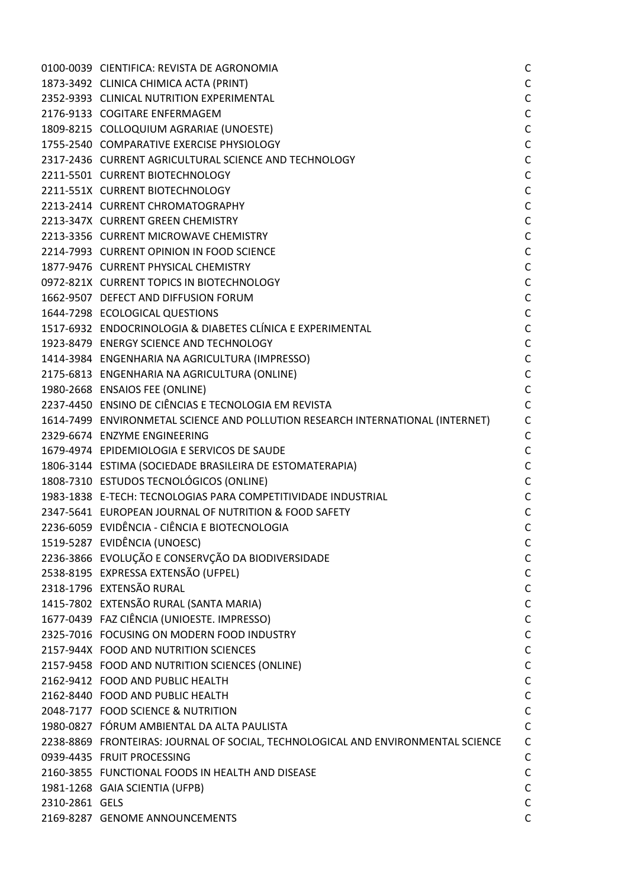|                | 0100-0039 CIENTIFICA: REVISTA DE AGRONOMIA                                       | $\mathsf{C}$ |
|----------------|----------------------------------------------------------------------------------|--------------|
|                | 1873-3492 CLINICA CHIMICA ACTA (PRINT)                                           | $\mathsf C$  |
|                | 2352-9393 CLINICAL NUTRITION EXPERIMENTAL                                        | $\mathsf{C}$ |
|                | 2176-9133 COGITARE ENFERMAGEM                                                    | $\mathsf C$  |
|                | 1809-8215 COLLOQUIUM AGRARIAE (UNOESTE)                                          | $\mathsf C$  |
|                | 1755-2540 COMPARATIVE EXERCISE PHYSIOLOGY                                        | $\mathsf C$  |
|                | 2317-2436 CURRENT AGRICULTURAL SCIENCE AND TECHNOLOGY                            | $\mathsf C$  |
|                | 2211-5501 CURRENT BIOTECHNOLOGY                                                  | $\mathsf C$  |
|                | 2211-551X CURRENT BIOTECHNOLOGY                                                  | $\mathsf C$  |
|                | 2213-2414 CURRENT CHROMATOGRAPHY                                                 | $\mathsf C$  |
|                | 2213-347X CURRENT GREEN CHEMISTRY                                                | $\mathsf C$  |
|                | 2213-3356 CURRENT MICROWAVE CHEMISTRY                                            | $\mathsf C$  |
|                | 2214-7993 CURRENT OPINION IN FOOD SCIENCE                                        | $\mathsf C$  |
|                | 1877-9476 CURRENT PHYSICAL CHEMISTRY                                             | $\mathsf C$  |
|                | 0972-821X CURRENT TOPICS IN BIOTECHNOLOGY                                        | $\mathsf{C}$ |
|                | 1662-9507 DEFECT AND DIFFUSION FORUM                                             | $\mathsf C$  |
|                | 1644-7298 ECOLOGICAL QUESTIONS                                                   | $\mathsf C$  |
|                | 1517-6932 ENDOCRINOLOGIA & DIABETES CLÍNICA E EXPERIMENTAL                       | $\mathsf C$  |
|                | 1923-8479 ENERGY SCIENCE AND TECHNOLOGY                                          | $\mathsf C$  |
|                | 1414-3984 ENGENHARIA NA AGRICULTURA (IMPRESSO)                                   | $\mathsf C$  |
|                | 2175-6813 ENGENHARIA NA AGRICULTURA (ONLINE)                                     | $\mathsf C$  |
|                | 1980-2668 ENSAIOS FEE (ONLINE)                                                   | $\mathsf C$  |
|                | 2237-4450 ENSINO DE CIÊNCIAS E TECNOLOGIA EM REVISTA                             | $\mathsf{C}$ |
|                | 1614-7499 ENVIRONMETAL SCIENCE AND POLLUTION RESEARCH INTERNATIONAL (INTERNET)   | $\mathsf{C}$ |
|                | 2329-6674 ENZYME ENGINEERING                                                     | $\mathsf{C}$ |
|                | 1679-4974 EPIDEMIOLOGIA E SERVICOS DE SAUDE                                      | $\mathsf{C}$ |
|                | 1806-3144 ESTIMA (SOCIEDADE BRASILEIRA DE ESTOMATERAPIA)                         | $\mathsf{C}$ |
|                | 1808-7310 ESTUDOS TECNOLÓGICOS (ONLINE)                                          | $\mathsf C$  |
|                | 1983-1838 E-TECH: TECNOLOGIAS PARA COMPETITIVIDADE INDUSTRIAL                    | $\mathsf C$  |
|                | 2347-5641 EUROPEAN JOURNAL OF NUTRITION & FOOD SAFETY                            | $\mathsf C$  |
|                | 2236-6059 EVIDÊNCIA - CIÊNCIA E BIOTECNOLOGIA                                    | $\mathsf{C}$ |
|                | 1519-5287 EVIDÊNCIA (UNOESC)                                                     | $\mathsf{C}$ |
|                | 2236-3866 EVOLUÇÃO E CONSERVÇÃO DA BIODIVERSIDADE                                | $\mathsf C$  |
|                | 2538-8195 EXPRESSA EXTENSÃO (UFPEL)                                              | $\mathsf C$  |
|                | 2318-1796 EXTENSÃO RURAL                                                         | $\mathsf C$  |
|                | 1415-7802 EXTENSÃO RURAL (SANTA MARIA)                                           | $\mathsf C$  |
|                | 1677-0439 FAZ CIÊNCIA (UNIOESTE. IMPRESSO)                                       | $\mathsf C$  |
|                | 2325-7016 FOCUSING ON MODERN FOOD INDUSTRY                                       | $\mathsf C$  |
|                | 2157-944X FOOD AND NUTRITION SCIENCES                                            | $\mathsf C$  |
|                | 2157-9458 FOOD AND NUTRITION SCIENCES (ONLINE)                                   | $\mathsf C$  |
|                | 2162-9412 FOOD AND PUBLIC HEALTH                                                 | $\mathsf C$  |
|                | 2162-8440 FOOD AND PUBLIC HEALTH                                                 | $\mathsf C$  |
|                | 2048-7177 FOOD SCIENCE & NUTRITION                                               | $\mathsf C$  |
|                | 1980-0827 FÓRUM AMBIENTAL DA ALTA PAULISTA                                       | $\mathsf{C}$ |
|                | 2238-8869 FRONTEIRAS: JOURNAL OF SOCIAL, TECHNOLOGICAL AND ENVIRONMENTAL SCIENCE | $\mathsf C$  |
|                | 0939-4435 FRUIT PROCESSING                                                       | $\mathsf C$  |
|                | 2160-3855 FUNCTIONAL FOODS IN HEALTH AND DISEASE                                 | $\mathsf{C}$ |
|                | 1981-1268 GAIA SCIENTIA (UFPB)                                                   | $\mathsf{C}$ |
| 2310-2861 GELS |                                                                                  | $\mathsf C$  |
|                | 2169-8287 GENOME ANNOUNCEMENTS                                                   | $\mathsf C$  |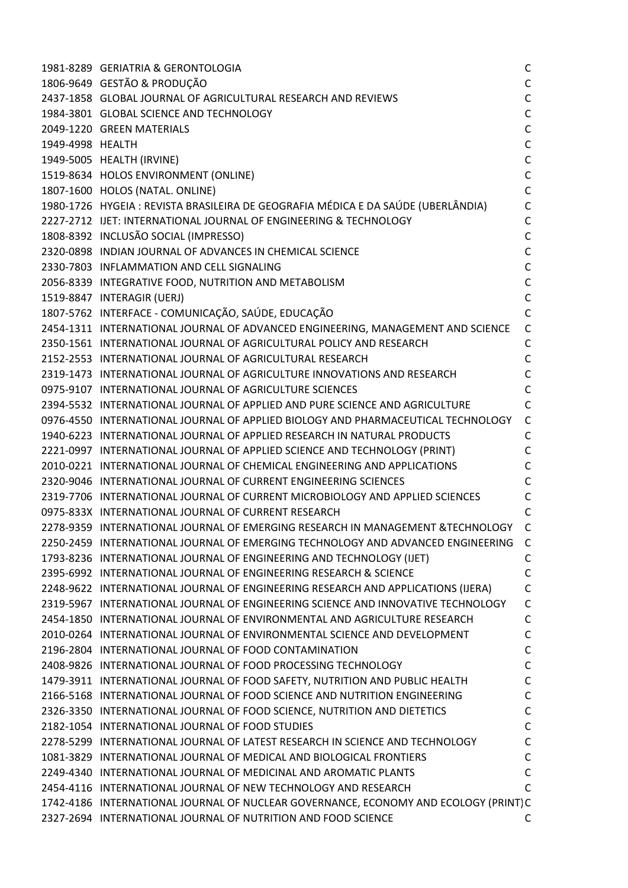|                  | 1981-8289 GERIATRIA & GERONTOLOGIA                                                   | C            |
|------------------|--------------------------------------------------------------------------------------|--------------|
|                  | 1806-9649 GESTÃO & PRODUÇÃO                                                          | $\mathsf{C}$ |
|                  | 2437-1858 GLOBAL JOURNAL OF AGRICULTURAL RESEARCH AND REVIEWS                        | $\mathsf{C}$ |
|                  | 1984-3801 GLOBAL SCIENCE AND TECHNOLOGY                                              | $\mathsf{C}$ |
|                  | 2049-1220 GREEN MATERIALS                                                            | $\mathsf{C}$ |
| 1949-4998 HEALTH |                                                                                      | $\mathsf C$  |
|                  | 1949-5005 HEALTH (IRVINE)                                                            | $\mathsf C$  |
|                  | 1519-8634 HOLOS ENVIRONMENT (ONLINE)                                                 | $\mathsf C$  |
|                  | 1807-1600 HOLOS (NATAL. ONLINE)                                                      | $\mathsf{C}$ |
|                  | 1980-1726 HYGEIA : REVISTA BRASILEIRA DE GEOGRAFIA MÉDICA E DA SAÚDE (UBERLÂNDIA)    | $\mathsf{C}$ |
|                  | 2227-2712 IJET: INTERNATIONAL JOURNAL OF ENGINEERING & TECHNOLOGY                    | $\mathsf{C}$ |
|                  | 1808-8392 INCLUSÃO SOCIAL (IMPRESSO)                                                 | $\mathsf{C}$ |
|                  | 2320-0898 INDIAN JOURNAL OF ADVANCES IN CHEMICAL SCIENCE                             | $\mathsf C$  |
|                  | 2330-7803 INFLAMMATION AND CELL SIGNALING                                            | $\mathsf{C}$ |
|                  | 2056-8339 INTEGRATIVE FOOD, NUTRITION AND METABOLISM                                 | $\mathsf C$  |
|                  | 1519-8847 INTERAGIR (UERJ)                                                           | $\mathsf{C}$ |
|                  | 1807-5762 INTERFACE - COMUNICAÇÃO, SAÚDE, EDUCAÇÃO                                   | $\mathsf{C}$ |
|                  | 2454-1311 INTERNATIONAL JOURNAL OF ADVANCED ENGINEERING, MANAGEMENT AND SCIENCE      | $\mathsf{C}$ |
|                  | 2350-1561 INTERNATIONAL JOURNAL OF AGRICULTURAL POLICY AND RESEARCH                  | $\mathsf{C}$ |
|                  | 2152-2553 INTERNATIONAL JOURNAL OF AGRICULTURAL RESEARCH                             | $\mathsf{C}$ |
|                  | 2319-1473 INTERNATIONAL JOURNAL OF AGRICULTURE INNOVATIONS AND RESEARCH              | $\mathsf{C}$ |
|                  | 0975-9107 INTERNATIONAL JOURNAL OF AGRICULTURE SCIENCES                              | $\mathsf{C}$ |
|                  | 2394-5532 INTERNATIONAL JOURNAL OF APPLIED AND PURE SCIENCE AND AGRICULTURE          | $\mathsf{C}$ |
|                  | 0976-4550 INTERNATIONAL JOURNAL OF APPLIED BIOLOGY AND PHARMACEUTICAL TECHNOLOGY     | $\mathsf{C}$ |
|                  | 1940-6223 INTERNATIONAL JOURNAL OF APPLIED RESEARCH IN NATURAL PRODUCTS              | $\mathsf{C}$ |
|                  | 2221-0997 INTERNATIONAL JOURNAL OF APPLIED SCIENCE AND TECHNOLOGY (PRINT)            | $\mathsf{C}$ |
|                  | 2010-0221 INTERNATIONAL JOURNAL OF CHEMICAL ENGINEERING AND APPLICATIONS             | C            |
|                  | 2320-9046 INTERNATIONAL JOURNAL OF CURRENT ENGINEERING SCIENCES                      | C            |
|                  | 2319-7706 INTERNATIONAL JOURNAL OF CURRENT MICROBIOLOGY AND APPLIED SCIENCES         | C            |
|                  | 0975-833X INTERNATIONAL JOURNAL OF CURRENT RESEARCH                                  | C            |
|                  | 2278-9359 INTERNATIONAL JOURNAL OF EMERGING RESEARCH IN MANAGEMENT &TECHNOLOGY       | $\mathsf{C}$ |
|                  | 2250-2459 INTERNATIONAL JOURNAL OF EMERGING TECHNOLOGY AND ADVANCED ENGINEERING      | C            |
|                  | 1793-8236 INTERNATIONAL JOURNAL OF ENGINEERING AND TECHNOLOGY (IJET)                 | C            |
|                  | 2395-6992 INTERNATIONAL JOURNAL OF ENGINEERING RESEARCH & SCIENCE                    | $\mathsf C$  |
|                  | 2248-9622 INTERNATIONAL JOURNAL OF ENGINEERING RESEARCH AND APPLICATIONS (IJERA)     | $\mathsf{C}$ |
|                  | 2319-5967 INTERNATIONAL JOURNAL OF ENGINEERING SCIENCE AND INNOVATIVE TECHNOLOGY     | $\mathsf C$  |
|                  | 2454-1850 INTERNATIONAL JOURNAL OF ENVIRONMENTAL AND AGRICULTURE RESEARCH            | $\mathsf{C}$ |
|                  | 2010-0264 INTERNATIONAL JOURNAL OF ENVIRONMENTAL SCIENCE AND DEVELOPMENT             | $\mathsf{C}$ |
|                  | 2196-2804 INTERNATIONAL JOURNAL OF FOOD CONTAMINATION                                | $\mathsf C$  |
|                  | 2408-9826 INTERNATIONAL JOURNAL OF FOOD PROCESSING TECHNOLOGY                        | $\mathsf C$  |
|                  | 1479-3911 INTERNATIONAL JOURNAL OF FOOD SAFETY, NUTRITION AND PUBLIC HEALTH          | $\mathsf C$  |
|                  | 2166-5168 INTERNATIONAL JOURNAL OF FOOD SCIENCE AND NUTRITION ENGINEERING            | $\mathsf C$  |
|                  | 2326-3350 INTERNATIONAL JOURNAL OF FOOD SCIENCE, NUTRITION AND DIETETICS             | $\mathsf C$  |
|                  | 2182-1054 INTERNATIONAL JOURNAL OF FOOD STUDIES                                      | $\mathsf{C}$ |
|                  | 2278-5299 INTERNATIONAL JOURNAL OF LATEST RESEARCH IN SCIENCE AND TECHNOLOGY         | $\mathsf{C}$ |
|                  | 1081-3829 INTERNATIONAL JOURNAL OF MEDICAL AND BIOLOGICAL FRONTIERS                  | $\mathsf C$  |
|                  | 2249-4340 INTERNATIONAL JOURNAL OF MEDICINAL AND AROMATIC PLANTS                     | $\mathsf{C}$ |
|                  | 2454-4116 INTERNATIONAL JOURNAL OF NEW TECHNOLOGY AND RESEARCH                       | $\mathsf{C}$ |
|                  | 1742-4186 INTERNATIONAL JOURNAL OF NUCLEAR GOVERNANCE, ECONOMY AND ECOLOGY (PRINT) C |              |
|                  | 2327-2694 INTERNATIONAL JOURNAL OF NUTRITION AND FOOD SCIENCE                        | C            |
|                  |                                                                                      |              |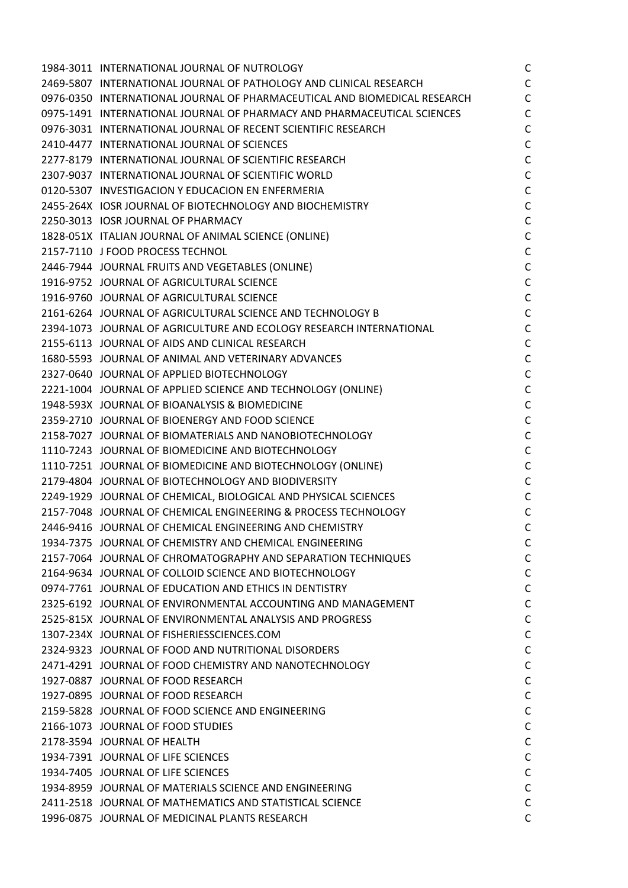| 1984-3011 INTERNATIONAL JOURNAL OF NUTROLOGY                              | C            |
|---------------------------------------------------------------------------|--------------|
| 2469-5807 INTERNATIONAL JOURNAL OF PATHOLOGY AND CLINICAL RESEARCH        | $\mathsf C$  |
| 0976-0350 INTERNATIONAL JOURNAL OF PHARMACEUTICAL AND BIOMEDICAL RESEARCH | $\mathsf C$  |
| 0975-1491 INTERNATIONAL JOURNAL OF PHARMACY AND PHARMACEUTICAL SCIENCES   | $\mathsf{C}$ |
| 0976-3031 INTERNATIONAL JOURNAL OF RECENT SCIENTIFIC RESEARCH             | $\mathsf C$  |
| 2410-4477 INTERNATIONAL JOURNAL OF SCIENCES                               | $\mathsf C$  |
| 2277-8179 INTERNATIONAL JOURNAL OF SCIENTIFIC RESEARCH                    | $\mathsf C$  |
| 2307-9037 INTERNATIONAL JOURNAL OF SCIENTIFIC WORLD                       | $\mathsf C$  |
| 0120-5307 INVESTIGACION Y EDUCACION EN ENFERMERIA                         | $\mathsf C$  |
| 2455-264X IOSR JOURNAL OF BIOTECHNOLOGY AND BIOCHEMISTRY                  | $\mathsf C$  |
| 2250-3013 IOSR JOURNAL OF PHARMACY                                        | $\mathsf C$  |
| 1828-051X ITALIAN JOURNAL OF ANIMAL SCIENCE (ONLINE)                      | $\mathsf C$  |
| 2157-7110 J FOOD PROCESS TECHNOL                                          | $\mathsf C$  |
| 2446-7944 JOURNAL FRUITS AND VEGETABLES (ONLINE)                          | $\mathsf C$  |
| 1916-9752 JOURNAL OF AGRICULTURAL SCIENCE                                 | $\mathsf C$  |
| 1916-9760 JOURNAL OF AGRICULTURAL SCIENCE                                 | $\mathsf C$  |
| 2161-6264 JOURNAL OF AGRICULTURAL SCIENCE AND TECHNOLOGY B                | $\mathsf C$  |
| 2394-1073 JOURNAL OF AGRICULTURE AND ECOLOGY RESEARCH INTERNATIONAL       | $\mathsf{C}$ |
| 2155-6113 JOURNAL OF AIDS AND CLINICAL RESEARCH                           | $\mathsf C$  |
| 1680-5593 JOURNAL OF ANIMAL AND VETERINARY ADVANCES                       | $\mathsf C$  |
| 2327-0640 JOURNAL OF APPLIED BIOTECHNOLOGY                                | $\mathsf C$  |
| 2221-1004 JOURNAL OF APPLIED SCIENCE AND TECHNOLOGY (ONLINE)              | $\mathsf C$  |
| 1948-593X JOURNAL OF BIOANALYSIS & BIOMEDICINE                            | $\mathsf C$  |
| 2359-2710 JOURNAL OF BIOENERGY AND FOOD SCIENCE                           | $\mathsf C$  |
| 2158-7027 JOURNAL OF BIOMATERIALS AND NANOBIOTECHNOLOGY                   | $\mathsf C$  |
| 1110-7243 JOURNAL OF BIOMEDICINE AND BIOTECHNOLOGY                        | $\mathsf C$  |
| 1110-7251 JOURNAL OF BIOMEDICINE AND BIOTECHNOLOGY (ONLINE)               | $\mathsf C$  |
| 2179-4804 JOURNAL OF BIOTECHNOLOGY AND BIODIVERSITY                       | $\mathsf C$  |
| 2249-1929 JOURNAL OF CHEMICAL, BIOLOGICAL AND PHYSICAL SCIENCES           | $\mathsf C$  |
| 2157-7048 JOURNAL OF CHEMICAL ENGINEERING & PROCESS TECHNOLOGY            | $\mathsf C$  |
| 2446-9416 JOURNAL OF CHEMICAL ENGINEERING AND CHEMISTRY                   | $\mathsf{C}$ |
| 1934-7375 JOURNAL OF CHEMISTRY AND CHEMICAL ENGINEERING                   | C            |
| 2157-7064 JOURNAL OF CHROMATOGRAPHY AND SEPARATION TECHNIQUES             | $\mathsf C$  |
| 2164-9634 JOURNAL OF COLLOID SCIENCE AND BIOTECHNOLOGY                    | $\mathsf C$  |
| 0974-7761 JOURNAL OF EDUCATION AND ETHICS IN DENTISTRY                    | C            |
| 2325-6192 JOURNAL OF ENVIRONMENTAL ACCOUNTING AND MANAGEMENT              | $\mathsf C$  |
| 2525-815X JOURNAL OF ENVIRONMENTAL ANALYSIS AND PROGRESS                  | $\mathsf{C}$ |
| 1307-234X JOURNAL OF FISHERIESSCIENCES.COM                                | $\mathsf C$  |
| 2324-9323 JOURNAL OF FOOD AND NUTRITIONAL DISORDERS                       | $\mathsf C$  |
| 2471-4291 JOURNAL OF FOOD CHEMISTRY AND NANOTECHNOLOGY                    | $\mathsf C$  |
| 1927-0887 JOURNAL OF FOOD RESEARCH                                        | $\mathsf C$  |
| 1927-0895 JOURNAL OF FOOD RESEARCH                                        | $\mathsf{C}$ |
| 2159-5828 JOURNAL OF FOOD SCIENCE AND ENGINEERING                         | $\mathsf C$  |
| 2166-1073 JOURNAL OF FOOD STUDIES                                         | $\mathsf C$  |
| 2178-3594 JOURNAL OF HEALTH                                               | $\mathsf C$  |
| 1934-7391 JOURNAL OF LIFE SCIENCES                                        | $\mathsf C$  |
| 1934-7405 JOURNAL OF LIFE SCIENCES                                        | $\mathsf C$  |
| 1934-8959 JOURNAL OF MATERIALS SCIENCE AND ENGINEERING                    | $\mathsf C$  |
| 2411-2518 JOURNAL OF MATHEMATICS AND STATISTICAL SCIENCE                  | $\mathsf{C}$ |
|                                                                           |              |
| 1996-0875 JOURNAL OF MEDICINAL PLANTS RESEARCH                            | $\mathsf{C}$ |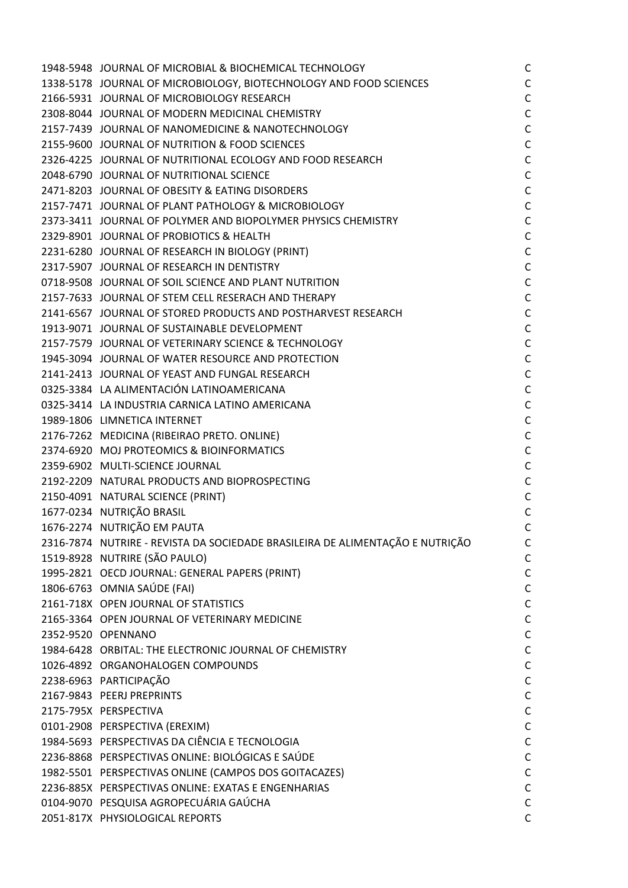| 1948-5948 JOURNAL OF MICROBIAL & BIOCHEMICAL TECHNOLOGY                       | $\mathsf{C}$ |
|-------------------------------------------------------------------------------|--------------|
| 1338-5178 JOURNAL OF MICROBIOLOGY, BIOTECHNOLOGY AND FOOD SCIENCES            | $\mathsf C$  |
| 2166-5931 JOURNAL OF MICROBIOLOGY RESEARCH                                    | $\mathsf C$  |
| 2308-8044 JOURNAL OF MODERN MEDICINAL CHEMISTRY                               | $\mathsf C$  |
| 2157-7439 JOURNAL OF NANOMEDICINE & NANOTECHNOLOGY                            | $\mathsf C$  |
| 2155-9600 JOURNAL OF NUTRITION & FOOD SCIENCES                                | $\mathsf C$  |
| 2326-4225 JOURNAL OF NUTRITIONAL ECOLOGY AND FOOD RESEARCH                    | $\mathsf C$  |
| 2048-6790 JOURNAL OF NUTRITIONAL SCIENCE                                      | $\mathsf{C}$ |
| 2471-8203 JOURNAL OF OBESITY & EATING DISORDERS                               | $\mathsf C$  |
| 2157-7471 JOURNAL OF PLANT PATHOLOGY & MICROBIOLOGY                           | $\mathsf C$  |
| 2373-3411 JOURNAL OF POLYMER AND BIOPOLYMER PHYSICS CHEMISTRY                 | $\mathsf C$  |
| 2329-8901 JOURNAL OF PROBIOTICS & HEALTH                                      | $\mathsf C$  |
| 2231-6280 JOURNAL OF RESEARCH IN BIOLOGY (PRINT)                              | $\mathsf C$  |
| 2317-5907 JOURNAL OF RESEARCH IN DENTISTRY                                    | $\mathsf C$  |
| 0718-9508 JOURNAL OF SOIL SCIENCE AND PLANT NUTRITION                         | $\mathsf C$  |
| 2157-7633 JOURNAL OF STEM CELL RESERACH AND THERAPY                           | $\mathsf C$  |
| 2141-6567 JOURNAL OF STORED PRODUCTS AND POSTHARVEST RESEARCH                 | $\mathsf C$  |
| 1913-9071 JOURNAL OF SUSTAINABLE DEVELOPMENT                                  | $\mathsf C$  |
| 2157-7579 JOURNAL OF VETERINARY SCIENCE & TECHNOLOGY                          | $\mathsf C$  |
| 1945-3094 JOURNAL OF WATER RESOURCE AND PROTECTION                            | $\mathsf C$  |
| 2141-2413 JOURNAL OF YEAST AND FUNGAL RESEARCH                                | $\mathsf C$  |
| 0325-3384 LA ALIMENTACIÓN LATINOAMERICANA                                     | $\mathsf C$  |
| 0325-3414 LA INDUSTRIA CARNICA LATINO AMERICANA                               | $\mathsf C$  |
| 1989-1806 LIMNETICA INTERNET                                                  | $\mathsf C$  |
| 2176-7262 MEDICINA (RIBEIRAO PRETO. ONLINE)                                   | $\mathsf C$  |
| 2374-6920 MOJ PROTEOMICS & BIOINFORMATICS                                     | $\mathsf C$  |
| 2359-6902 MULTI-SCIENCE JOURNAL                                               | $\mathsf C$  |
| 2192-2209 NATURAL PRODUCTS AND BIOPROSPECTING                                 | $\mathsf C$  |
| 2150-4091 NATURAL SCIENCE (PRINT)                                             | $\mathsf C$  |
| 1677-0234 NUTRIÇÃO BRASIL                                                     | $\mathsf C$  |
| 1676-2274 NUTRIÇÃO EM PAUTA                                                   | $\mathsf{C}$ |
| 2316-7874 NUTRIRE - REVISTA DA SOCIEDADE BRASILEIRA DE ALIMENTAÇÃO E NUTRIÇÃO | C            |
| 1519-8928 NUTRIRE (SÃO PAULO)                                                 | $\mathsf C$  |
| 1995-2821 OECD JOURNAL: GENERAL PAPERS (PRINT)                                | $\mathsf{C}$ |
| 1806-6763 OMNIA SAÚDE (FAI)                                                   | $\mathsf{C}$ |
| 2161-718X OPEN JOURNAL OF STATISTICS                                          | $\mathsf C$  |
| 2165-3364 OPEN JOURNAL OF VETERINARY MEDICINE                                 | $\mathsf C$  |
| 2352-9520 OPENNANO                                                            | $\mathsf C$  |
| 1984-6428 ORBITAL: THE ELECTRONIC JOURNAL OF CHEMISTRY                        | $\mathsf C$  |
| 1026-4892 ORGANOHALOGEN COMPOUNDS                                             | $\mathsf C$  |
| 2238-6963 PARTICIPAÇÃO                                                        | $\mathsf C$  |
| 2167-9843 PEERJ PREPRINTS                                                     | $\mathsf C$  |
| 2175-795X PERSPECTIVA                                                         | $\mathsf C$  |
| 0101-2908 PERSPECTIVA (EREXIM)                                                | $\mathsf C$  |
| 1984-5693 PERSPECTIVAS DA CIÊNCIA E TECNOLOGIA                                | $\mathsf C$  |
| 2236-8868 PERSPECTIVAS ONLINE: BIOLÓGICAS E SAÚDE                             | $\mathsf C$  |
| 1982-5501 PERSPECTIVAS ONLINE (CAMPOS DOS GOITACAZES)                         | $\mathsf C$  |
| 2236-885X PERSPECTIVAS ONLINE: EXATAS E ENGENHARIAS                           | $\mathsf C$  |
| 0104-9070 PESQUISA AGROPECUÁRIA GAÚCHA                                        | $\mathsf C$  |
| 2051-817X PHYSIOLOGICAL REPORTS                                               | $\mathsf C$  |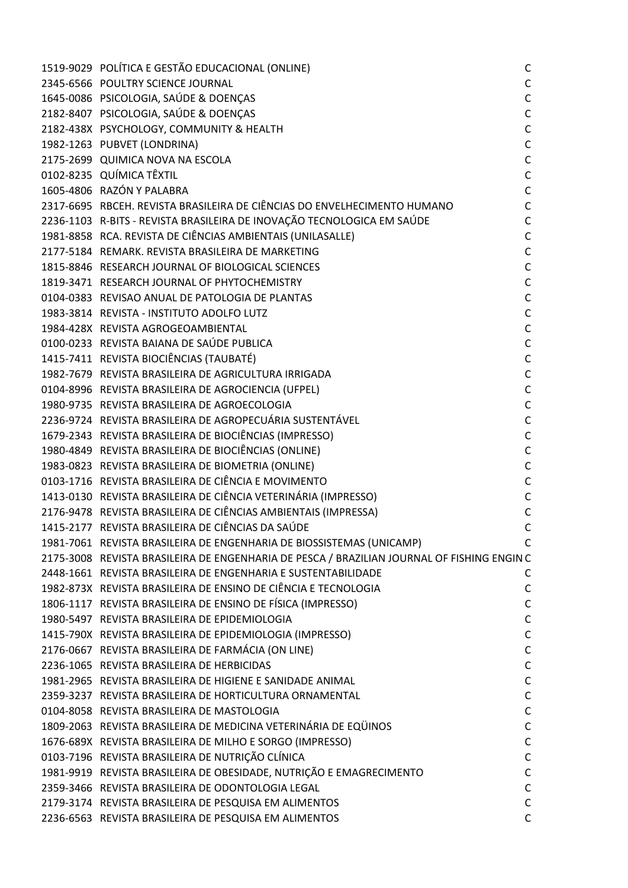| 1519-9029 POLÍTICA E GESTÃO EDUCACIONAL (ONLINE)                                           | C            |
|--------------------------------------------------------------------------------------------|--------------|
| 2345-6566 POULTRY SCIENCE JOURNAL                                                          | C            |
| 1645-0086 PSICOLOGIA, SAÚDE & DOENÇAS                                                      | C            |
| 2182-8407 PSICOLOGIA, SAÚDE & DOENÇAS                                                      | C            |
| 2182-438X PSYCHOLOGY, COMMUNITY & HEALTH                                                   | $\mathsf{C}$ |
| 1982-1263 PUBVET (LONDRINA)                                                                | C            |
| 2175-2699 QUIMICA NOVA NA ESCOLA                                                           | $\mathsf{C}$ |
| 0102-8235 QUÍMICA TÊXTIL                                                                   | $\mathsf{C}$ |
| 1605-4806 RAZÓN Y PALABRA                                                                  | $\mathsf{C}$ |
| 2317-6695 RBCEH. REVISTA BRASILEIRA DE CIÊNCIAS DO ENVELHECIMENTO HUMANO                   | $\mathsf{C}$ |
| 2236-1103 R-BITS - REVISTA BRASILEIRA DE INOVAÇÃO TECNOLOGICA EM SAÚDE                     | $\mathsf{C}$ |
| 1981-8858 RCA. REVISTA DE CIÊNCIAS AMBIENTAIS (UNILASALLE)                                 | $\mathsf{C}$ |
| 2177-5184 REMARK. REVISTA BRASILEIRA DE MARKETING                                          | C            |
| 1815-8846 RESEARCH JOURNAL OF BIOLOGICAL SCIENCES                                          | $\mathsf{C}$ |
| 1819-3471 RESEARCH JOURNAL OF PHYTOCHEMISTRY                                               | $\mathsf{C}$ |
| 0104-0383 REVISAO ANUAL DE PATOLOGIA DE PLANTAS                                            | $\mathsf C$  |
| 1983-3814 REVISTA - INSTITUTO ADOLFO LUTZ                                                  | $\mathsf{C}$ |
| 1984-428X REVISTA AGROGEOAMBIENTAL                                                         | С            |
| 0100-0233 REVISTA BAIANA DE SAÚDE PUBLICA                                                  | $\mathsf{C}$ |
| 1415-7411 REVISTA BIOCIÊNCIAS (TAUBATÉ)                                                    | $\mathsf{C}$ |
| 1982-7679 REVISTA BRASILEIRA DE AGRICULTURA IRRIGADA                                       | $\mathsf C$  |
| 0104-8996 REVISTA BRASILEIRA DE AGROCIENCIA (UFPEL)                                        | $\mathsf{C}$ |
| 1980-9735 REVISTA BRASILEIRA DE AGROECOLOGIA                                               | $\mathsf C$  |
| 2236-9724 REVISTA BRASILEIRA DE AGROPECUÁRIA SUSTENTÁVEL                                   | $\mathsf{C}$ |
| 1679-2343 REVISTA BRASILEIRA DE BIOCIÊNCIAS (IMPRESSO)                                     | C            |
| 1980-4849 REVISTA BRASILEIRA DE BIOCIÊNCIAS (ONLINE)                                       | $\mathsf{C}$ |
| 1983-0823 REVISTA BRASILEIRA DE BIOMETRIA (ONLINE)                                         | $\mathsf{C}$ |
| 0103-1716 REVISTA BRASILEIRA DE CIÊNCIA E MOVIMENTO                                        | C            |
| 1413-0130 REVISTA BRASILEIRA DE CIÊNCIA VETERINÁRIA (IMPRESSO)                             | C            |
| 2176-9478 REVISTA BRASILEIRA DE CIÊNCIAS AMBIENTAIS (IMPRESSA)                             | C            |
| 1415-2177 REVISTA BRASILEIRA DE CIÊNCIAS DA SAÚDE                                          | C            |
| 1981-7061 REVISTA BRASILEIRA DE ENGENHARIA DE BIOSSISTEMAS (UNICAMP)                       | C            |
| 2175-3008 REVISTA BRASILEIRA DE ENGENHARIA DE PESCA / BRAZILIAN JOURNAL OF FISHING ENGIN C |              |
| 2448-1661 REVISTA BRASILEIRA DE ENGENHARIA E SUSTENTABILIDADE                              | C            |
| 1982-873X REVISTA BRASILEIRA DE ENSINO DE CIÊNCIA E TECNOLOGIA                             | C            |
| 1806-1117 REVISTA BRASILEIRA DE ENSINO DE FÍSICA (IMPRESSO)                                | C            |
| 1980-5497 REVISTA BRASILEIRA DE EPIDEMIOLOGIA                                              | C            |
| 1415-790X REVISTA BRASILEIRA DE EPIDEMIOLOGIA (IMPRESSO)                                   | $\mathsf C$  |
| 2176-0667 REVISTA BRASILEIRA DE FARMÁCIA (ON LINE)                                         | C            |
| 2236-1065 REVISTA BRASILEIRA DE HERBICIDAS                                                 | C            |
| 1981-2965 REVISTA BRASILEIRA DE HIGIENE E SANIDADE ANIMAL                                  | C            |
| 2359-3237 REVISTA BRASILEIRA DE HORTICULTURA ORNAMENTAL                                    | C            |
| 0104-8058 REVISTA BRASILEIRA DE MASTOLOGIA                                                 | C            |
| 1809-2063 REVISTA BRASILEIRA DE MEDICINA VETERINÁRIA DE EQÜINOS                            | C            |
| 1676-689X REVISTA BRASILEIRA DE MILHO E SORGO (IMPRESSO)                                   | $\mathsf{C}$ |
| 0103-7196 REVISTA BRASILEIRA DE NUTRIÇÃO CLÍNICA                                           | C            |
| 1981-9919 REVISTA BRASILEIRA DE OBESIDADE, NUTRIÇÃO E EMAGRECIMENTO                        | C            |
| 2359-3466 REVISTA BRASILEIRA DE ODONTOLOGIA LEGAL                                          | $\mathsf{C}$ |
| 2179-3174 REVISTA BRASILEIRA DE PESQUISA EM ALIMENTOS                                      | C            |
| 2236-6563 REVISTA BRASILEIRA DE PESQUISA EM ALIMENTOS                                      | C            |
|                                                                                            |              |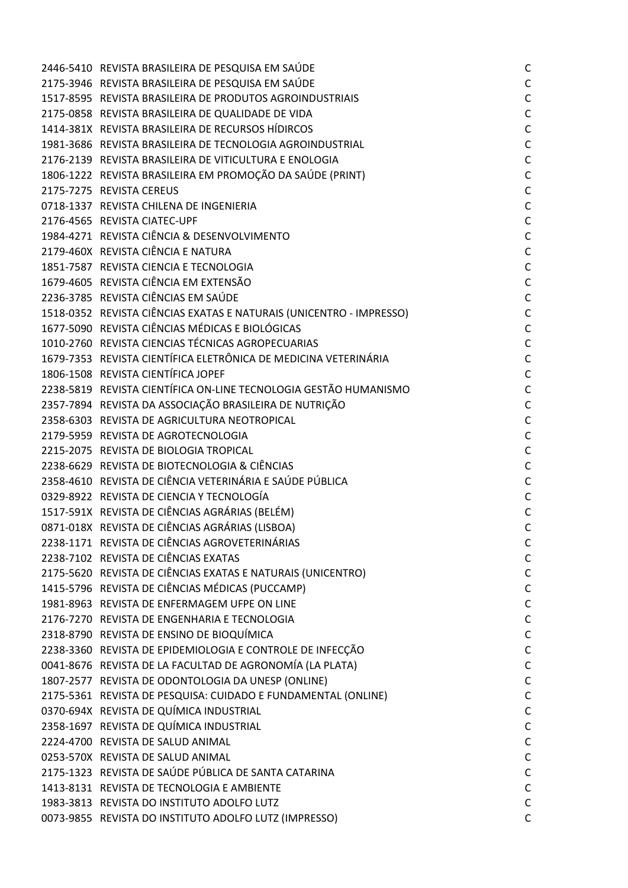| 2446-5410 REVISTA BRASILEIRA DE PESQUISA EM SAÚDE                   | $\mathsf{C}$ |
|---------------------------------------------------------------------|--------------|
| 2175-3946 REVISTA BRASILEIRA DE PESQUISA EM SAÚDE                   | $\mathsf C$  |
| 1517-8595 REVISTA BRASILEIRA DE PRODUTOS AGROINDUSTRIAIS            | $\mathsf C$  |
| 2175-0858 REVISTA BRASILEIRA DE QUALIDADE DE VIDA                   | $\mathsf C$  |
| 1414-381X REVISTA BRASILEIRA DE RECURSOS HÍDIRCOS                   | $\mathsf C$  |
| 1981-3686 REVISTA BRASILEIRA DE TECNOLOGIA AGROINDUSTRIAL           | $\mathsf C$  |
| 2176-2139 REVISTA BRASILEIRA DE VITICULTURA E ENOLOGIA              | $\mathsf C$  |
| 1806-1222 REVISTA BRASILEIRA EM PROMOÇÃO DA SAÚDE (PRINT)           | $\mathsf C$  |
| 2175-7275 REVISTA CEREUS                                            | $\mathsf C$  |
| 0718-1337 REVISTA CHILENA DE INGENIERIA                             | $\mathsf C$  |
| 2176-4565 REVISTA CIATEC-UPF                                        | $\mathsf C$  |
| 1984-4271 REVISTA CIÊNCIA & DESENVOLVIMENTO                         | $\mathsf C$  |
| 2179-460X REVISTA CIÊNCIA E NATURA                                  | $\mathsf C$  |
| 1851-7587 REVISTA CIENCIA E TECNOLOGIA                              | $\mathsf C$  |
| 1679-4605 REVISTA CIÊNCIA EM EXTENSÃO                               | $\mathsf C$  |
| 2236-3785 REVISTA CIÊNCIAS EM SAÚDE                                 | $\mathsf C$  |
| 1518-0352 REVISTA CIÊNCIAS EXATAS E NATURAIS (UNICENTRO - IMPRESSO) | $\mathsf C$  |
| 1677-5090 REVISTA CIÊNCIAS MÉDICAS E BIOLÓGICAS                     | $\mathsf C$  |
| 1010-2760 REVISTA CIENCIAS TÉCNICAS AGROPECUARIAS                   | $\mathsf C$  |
| 1679-7353 REVISTA CIENTÍFICA ELETRÔNICA DE MEDICINA VETERINÁRIA     | $\mathsf C$  |
| 1806-1508 REVISTA CIENTÍFICA JOPEF                                  | $\mathsf C$  |
| 2238-5819 REVISTA CIENTÍFICA ON-LINE TECNOLOGIA GESTÃO HUMANISMO    | $\mathsf C$  |
| 2357-7894 REVISTA DA ASSOCIAÇÃO BRASILEIRA DE NUTRIÇÃO              | $\mathsf C$  |
| 2358-6303 REVISTA DE AGRICULTURA NEOTROPICAL                        | $\mathsf C$  |
| 2179-5959 REVISTA DE AGROTECNOLOGIA                                 | $\mathsf C$  |
| 2215-2075 REVISTA DE BIOLOGIA TROPICAL                              | $\mathsf C$  |
| 2238-6629 REVISTA DE BIOTECNOLOGIA & CIÊNCIAS                       | $\mathsf C$  |
| 2358-4610 REVISTA DE CIÊNCIA VETERINÁRIA E SAÚDE PÚBLICA            | $\mathsf C$  |
| 0329-8922 REVISTA DE CIENCIA Y TECNOLOGÍA                           | $\mathsf C$  |
| 1517-591X REVISTA DE CIÊNCIAS AGRÁRIAS (BELÉM)                      | $\mathsf C$  |
| 0871-018X REVISTA DE CIÊNCIAS AGRÁRIAS (LISBOA)                     | $\mathsf{C}$ |
| 2238-1171 REVISTA DE CIÊNCIAS AGROVETERINÁRIAS                      | $\mathsf{C}$ |
| 2238-7102 REVISTA DE CIÊNCIAS EXATAS                                | $\mathsf C$  |
| 2175-5620 REVISTA DE CIÊNCIAS EXATAS E NATURAIS (UNICENTRO)         | $\mathsf C$  |
| 1415-5796 REVISTA DE CIÊNCIAS MÉDICAS (PUCCAMP)                     | $\mathsf{C}$ |
| 1981-8963 REVISTA DE ENFERMAGEM UFPE ON LINE                        | $\mathsf C$  |
| 2176-7270 REVISTA DE ENGENHARIA E TECNOLOGIA                        | $\mathsf C$  |
| 2318-8790 REVISTA DE ENSINO DE BIOQUÍMICA                           | $\mathsf C$  |
| 2238-3360 REVISTA DE EPIDEMIOLOGIA E CONTROLE DE INFECÇÃO           | $\mathsf C$  |
| 0041-8676 REVISTA DE LA FACULTAD DE AGRONOMÍA (LA PLATA)            | $\mathsf C$  |
| 1807-2577 REVISTA DE ODONTOLOGIA DA UNESP (ONLINE)                  | $\mathsf{C}$ |
| 2175-5361 REVISTA DE PESQUISA: CUIDADO E FUNDAMENTAL (ONLINE)       | $\mathsf C$  |
| 0370-694X REVISTA DE QUÍMICA INDUSTRIAL                             | $\mathsf C$  |
| 2358-1697 REVISTA DE QUÍMICA INDUSTRIAL                             | $\mathsf C$  |
| 2224-4700 REVISTA DE SALUD ANIMAL                                   | $\mathsf C$  |
| 0253-570X REVISTA DE SALUD ANIMAL                                   | $\mathsf C$  |
| 2175-1323 REVISTA DE SAÚDE PÚBLICA DE SANTA CATARINA                | $\mathsf C$  |
| 1413-8131 REVISTA DE TECNOLOGIA E AMBIENTE                          | $\mathsf C$  |
| 1983-3813 REVISTA DO INSTITUTO ADOLFO LUTZ                          | $\mathsf C$  |
| 0073-9855 REVISTA DO INSTITUTO ADOLFO LUTZ (IMPRESSO)               | $\mathsf{C}$ |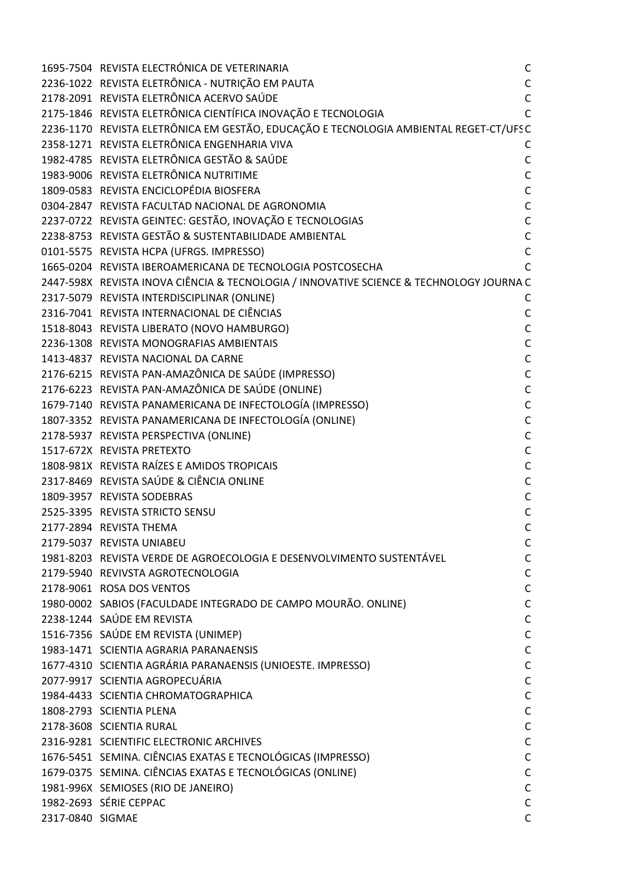|                  | 1695-7504 REVISTA ELECTRÓNICA DE VETERINARIA                                            | $\mathsf{C}$ |
|------------------|-----------------------------------------------------------------------------------------|--------------|
|                  | 2236-1022 REVISTA ELETRÔNICA - NUTRIÇÃO EM PAUTA                                        | $\mathsf C$  |
|                  | 2178-2091 REVISTA ELETRÔNICA ACERVO SAÚDE                                               | $\mathsf{C}$ |
|                  | 2175-1846 REVISTA ELETRÔNICA CIENTÍFICA INOVAÇÃO E TECNOLOGIA                           | $\mathsf{C}$ |
|                  | 2236-1170 REVISTA ELETRÔNICA EM GESTÃO, EDUCAÇÃO E TECNOLOGIA AMBIENTAL REGET-CT/UFSC   |              |
|                  | 2358-1271 REVISTA ELETRÔNICA ENGENHARIA VIVA                                            | C            |
|                  | 1982-4785 REVISTA ELETRÔNICA GESTÃO & SAÚDE                                             | $\mathsf C$  |
|                  | 1983-9006 REVISTA ELETRÔNICA NUTRITIME                                                  | $\mathsf{C}$ |
|                  | 1809-0583 REVISTA ENCICLOPÉDIA BIOSFERA                                                 | $\mathsf{C}$ |
|                  | 0304-2847 REVISTA FACULTAD NACIONAL DE AGRONOMIA                                        | $\mathsf C$  |
|                  | 2237-0722 REVISTA GEINTEC: GESTÃO, INOVAÇÃO E TECNOLOGIAS                               | $\mathsf{C}$ |
|                  | 2238-8753 REVISTA GESTÃO & SUSTENTABILIDADE AMBIENTAL                                   | $\mathsf{C}$ |
|                  | 0101-5575 REVISTA HCPA (UFRGS. IMPRESSO)                                                | $\mathsf{C}$ |
|                  | 1665-0204 REVISTA IBEROAMERICANA DE TECNOLOGIA POSTCOSECHA                              | $\mathsf{C}$ |
|                  | 2447-598X REVISTA INOVA CIÊNCIA & TECNOLOGIA / INNOVATIVE SCIENCE & TECHNOLOGY JOURNA C |              |
|                  | 2317-5079 REVISTA INTERDISCIPLINAR (ONLINE)                                             | C            |
|                  | 2316-7041 REVISTA INTERNACIONAL DE CIÊNCIAS                                             | $\mathsf C$  |
|                  | 1518-8043 REVISTA LIBERATO (NOVO HAMBURGO)                                              | $\mathsf C$  |
|                  | 2236-1308 REVISTA MONOGRAFIAS AMBIENTAIS                                                | $\mathsf C$  |
|                  | 1413-4837 REVISTA NACIONAL DA CARNE                                                     | $\mathsf{C}$ |
|                  | 2176-6215 REVISTA PAN-AMAZÔNICA DE SAÚDE (IMPRESSO)                                     | $\mathsf C$  |
|                  | 2176-6223 REVISTA PAN-AMAZÔNICA DE SAÚDE (ONLINE)                                       | $\mathsf C$  |
|                  | 1679-7140 REVISTA PANAMERICANA DE INFECTOLOGÍA (IMPRESSO)                               | $\mathsf C$  |
|                  | 1807-3352 REVISTA PANAMERICANA DE INFECTOLOGÍA (ONLINE)                                 | $\mathsf C$  |
|                  | 2178-5937 REVISTA PERSPECTIVA (ONLINE)                                                  | $\mathsf{C}$ |
|                  | 1517-672X REVISTA PRETEXTO                                                              | $\mathsf{C}$ |
|                  | 1808-981X REVISTA RAÍZES E AMIDOS TROPICAIS                                             | $\mathsf{C}$ |
|                  | 2317-8469 REVISTA SAÚDE & CIÊNCIA ONLINE                                                | $\mathsf C$  |
|                  | 1809-3957 REVISTA SODEBRAS                                                              | $\mathsf{C}$ |
|                  | 2525-3395 REVISTA STRICTO SENSU                                                         | $\mathsf{C}$ |
|                  | 2177-2894 REVISTA THEMA                                                                 | $\mathsf{C}$ |
|                  | 2179-5037 REVISTA UNIABEU                                                               | C            |
|                  | 1981-8203 REVISTA VERDE DE AGROECOLOGIA E DESENVOLVIMENTO SUSTENTÁVEL                   | $\mathsf C$  |
|                  | 2179-5940 REVIVSTA AGROTECNOLOGIA                                                       | $\mathsf C$  |
|                  | 2178-9061 ROSA DOS VENTOS                                                               | $\mathsf C$  |
|                  | 1980-0002 SABIOS (FACULDADE INTEGRADO DE CAMPO MOURÃO. ONLINE)                          | $\mathsf C$  |
|                  | 2238-1244 SAÚDE EM REVISTA                                                              | $\mathsf C$  |
|                  | 1516-7356 SAÚDE EM REVISTA (UNIMEP)                                                     | $\mathsf C$  |
|                  | 1983-1471 SCIENTIA AGRARIA PARANAENSIS                                                  | $\mathsf{C}$ |
|                  | 1677-4310 SCIENTIA AGRÁRIA PARANAENSIS (UNIOESTE. IMPRESSO)                             | $\mathsf C$  |
|                  | 2077-9917 SCIENTIA AGROPECUÁRIA                                                         | $\mathsf C$  |
|                  | 1984-4433 SCIENTIA CHROMATOGRAPHICA                                                     | $\mathsf C$  |
|                  | 1808-2793 SCIENTIA PLENA                                                                | $\mathsf C$  |
|                  | 2178-3608 SCIENTIA RURAL                                                                | $\mathsf C$  |
|                  | 2316-9281 SCIENTIFIC ELECTRONIC ARCHIVES                                                | $\mathsf C$  |
|                  | 1676-5451 SEMINA. CIÊNCIAS EXATAS E TECNOLÓGICAS (IMPRESSO)                             | $\mathsf C$  |
|                  | 1679-0375 SEMINA. CIÊNCIAS EXATAS E TECNOLÓGICAS (ONLINE)                               | $\mathsf C$  |
|                  | 1981-996X SEMIOSES (RIO DE JANEIRO)                                                     | $\mathsf C$  |
|                  | 1982-2693 SÉRIE CEPPAC                                                                  | $\mathsf C$  |
| 2317-0840 SIGMAE |                                                                                         | $\mathsf{C}$ |
|                  |                                                                                         |              |